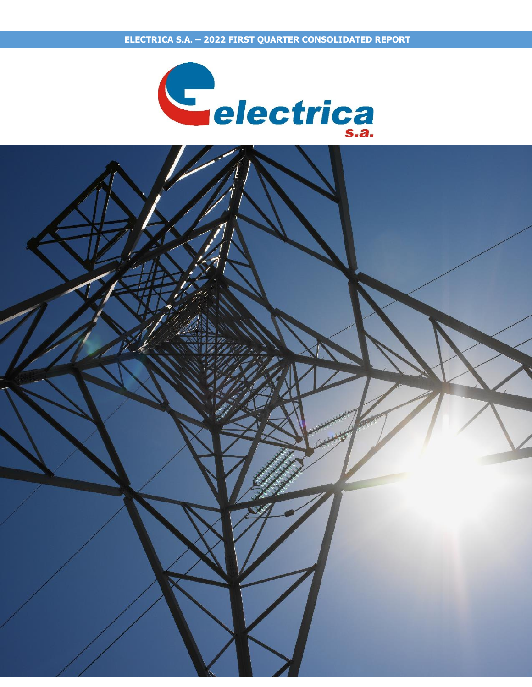

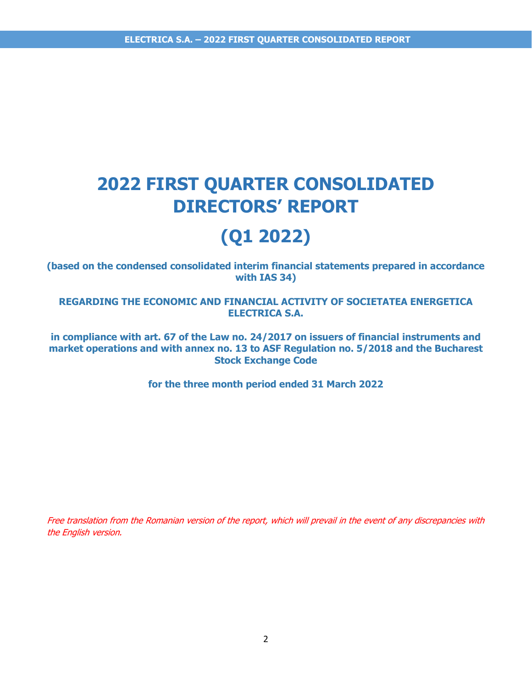# **2022 FIRST QUARTER CONSOLIDATED DIRECTORS' REPORT**

# **(Q1 2022)**

**(based on the condensed consolidated interim financial statements prepared in accordance with IAS 34)** 

**REGARDING THE ECONOMIC AND FINANCIAL ACTIVITY OF SOCIETATEA ENERGETICA ELECTRICA S.A.** 

**in compliance with art. 67 of the Law no. 24/2017 on issuers of financial instruments and market operations and with annex no. 13 to ASF Regulation no. 5/2018 and the Bucharest Stock Exchange Code**

**for the three month period ended 31 March 2022**

Free translation from the Romanian version of the report, which will prevail in the event of any discrepancies with the English version.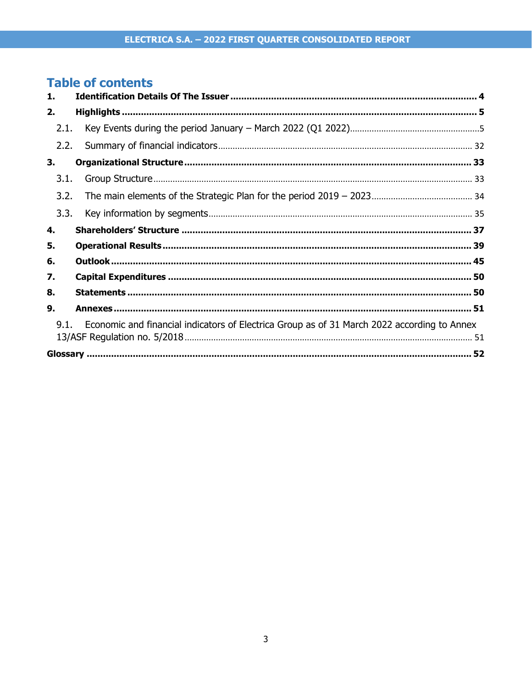# **Table of contents**

| 1.   |                                                                                             |
|------|---------------------------------------------------------------------------------------------|
| 2.   |                                                                                             |
| 2.1. |                                                                                             |
| 2.2. |                                                                                             |
| 3.   |                                                                                             |
| 3.1. |                                                                                             |
| 3.2. |                                                                                             |
| 3.3. |                                                                                             |
| 4.   |                                                                                             |
| 5.   |                                                                                             |
| 6.   |                                                                                             |
| 7.   |                                                                                             |
| 8.   |                                                                                             |
| 9.   |                                                                                             |
| 9.1  | Economic and financial indicators of Electrica Group as of 31 March 2022 according to Annex |
|      |                                                                                             |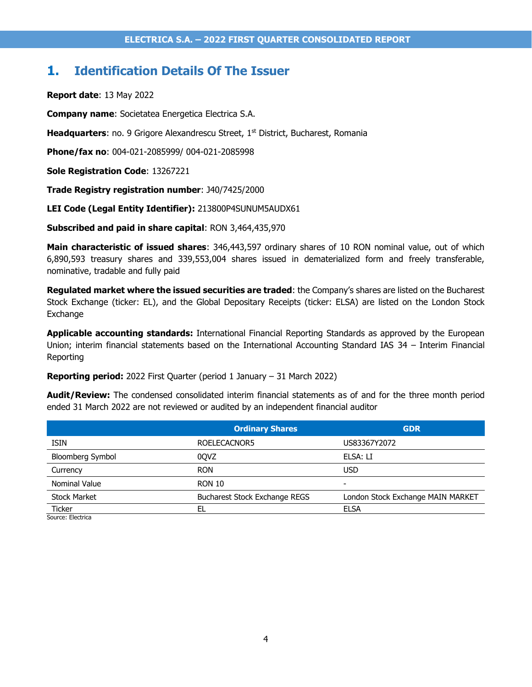## <span id="page-3-0"></span>**1. Identification Details Of The Issuer**

**Report date**: 13 May 2022

**Company name**: Societatea Energetica Electrica S.A.

Headquarters: no. 9 Grigore Alexandrescu Street, 1<sup>st</sup> District, Bucharest, Romania

**Phone/fax no**: 004-021-2085999/ 004-021-2085998

**Sole Registration Code**: 13267221

**Trade Registry registration number**: J40/7425/2000

**LEI Code (Legal Entity Identifier):** 213800P4SUNUM5AUDX61

**Subscribed and paid in share capital**: RON 3,464,435,970

**Main characteristic of issued shares**: 346,443,597 ordinary shares of 10 RON nominal value, out of which 6,890,593 treasury shares and 339,553,004 shares issued in dematerialized form and freely transferable, nominative, tradable and fully paid

**Regulated market where the issued securities are traded**: the Company's shares are listed on the Bucharest Stock Exchange (ticker: EL), and the Global Depositary Receipts (ticker: ELSA) are listed on the London Stock Exchange

**Applicable accounting standards:** International Financial Reporting Standards as approved by the European Union; interim financial statements based on the International Accounting Standard IAS 34 – Interim Financial Reporting

**Reporting period:** 2022 First Quarter (period 1 January – 31 March 2022)

**Audit/Review:** The condensed consolidated interim financial statements as of and for the three month period ended 31 March 2022 are not reviewed or audited by an independent financial auditor

|                             | <b>Ordinary Shares</b>        | <b>GDR</b>                        |  |
|-----------------------------|-------------------------------|-----------------------------------|--|
| <b>ISIN</b>                 | ROELECACNOR5                  | US83367Y2072                      |  |
| <b>Bloomberg Symbol</b>     | 00VZ                          | ELSA: LI                          |  |
| Currency                    | <b>RON</b>                    | <b>USD</b>                        |  |
| <b>Nominal Value</b>        | <b>RON 10</b>                 | $\overline{\phantom{0}}$          |  |
| <b>Stock Market</b>         | Bucharest Stock Exchange REGS | London Stock Exchange MAIN MARKET |  |
| Ticker<br>Courset Floatrico | EL                            | <b>ELSA</b>                       |  |

Source: Electrica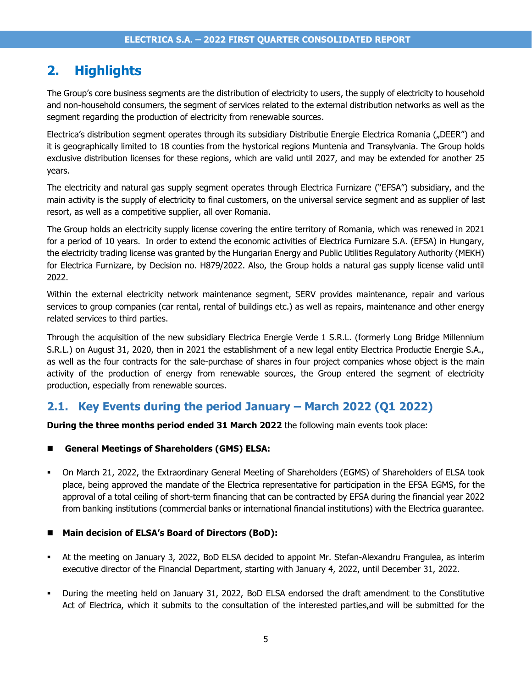# <span id="page-4-0"></span>**2. Highlights**

The Group's core business segments are the distribution of electricity to users, the supply of electricity to household and non-household consumers, the segment of services related to the external distribution networks as well as the segment regarding the production of electricity from renewable sources.

Electrica's distribution segment operates through its subsidiary Distributie Energie Electrica Romania ("DEER") and it is geographically limited to 18 counties from the hystorical regions Muntenia and Transylvania. The Group holds exclusive distribution licenses for these regions, which are valid until 2027, and may be extended for another 25 years.

The electricity and natural gas supply segment operates through Electrica Furnizare ("EFSA") subsidiary, and the main activity is the supply of electricity to final customers, on the universal service segment and as supplier of last resort, as well as a competitive supplier, all over Romania.

The Group holds an electricity supply license covering the entire territory of Romania, which was renewed in 2021 for a period of 10 years. In order to extend the economic activities of Electrica Furnizare S.A. (EFSA) in Hungary, the electricity trading license was granted by the Hungarian Energy and Public Utilities Regulatory Authority (MEKH) for Electrica Furnizare, by Decision no. H879/2022. Also, the Group holds a natural gas supply license valid until 2022.

Within the external electricity network maintenance segment, SERV provides maintenance, repair and various services to group companies (car rental, rental of buildings etc.) as well as repairs, maintenance and other energy related services to third parties.

Through the acquisition of the new subsidiary Electrica Energie Verde 1 S.R.L. (formerly Long Bridge Millennium S.R.L.) on August 31, 2020, then in 2021 the establishment of a new legal entity Electrica Productie Energie S.A., as well as the four contracts for the sale-purchase of shares in four project companies whose object is the main activity of the production of energy from renewable sources, the Group entered the segment of electricity production, especially from renewable sources.

### <span id="page-4-1"></span>**2.1. Key Events during the period January – March 2022 (Q1 2022)**

**During the three months period ended 31 March 2022** the following main events took place:

#### ◼ **General Meetings of Shareholders (GMS) ELSA:**

▪ On March 21, 2022, the Extraordinary General Meeting of Shareholders (EGMS) of Shareholders of ELSA took place, being approved the mandate of the Electrica representative for participation in the EFSA EGMS, for the approval of a total ceiling of short-term financing that can be contracted by EFSA during the financial year 2022 from banking institutions (commercial banks or international financial institutions) with the Electrica guarantee.

#### ◼ **Main decision of ELSA's Board of Directors (BoD):**

- At the meeting on January 3, 2022, BoD ELSA decided to appoint Mr. Stefan-Alexandru Frangulea, as interim executive director of the Financial Department, starting with January 4, 2022, until December 31, 2022.
- During the meeting held on January 31, 2022, BoD ELSA endorsed the draft amendment to the Constitutive Act of Electrica, which it submits to the consultation of the interested parties,and will be submitted for the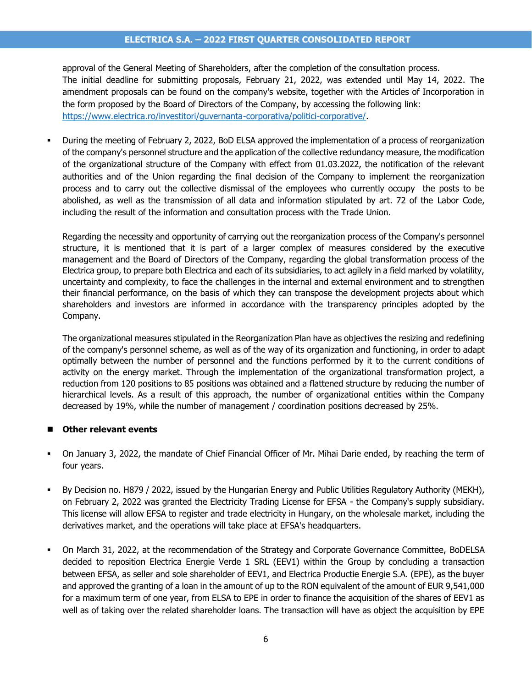#### **ELECTRICA S.A. – 2022 FIRST QUARTER CONSOLIDATED REPORT**

approval of the General Meeting of Shareholders, after the completion of the consultation process. The initial deadline for submitting proposals, February 21, 2022, was extended until May 14, 2022. The amendment proposals can be found on the company's website, together with the Articles of Incorporation in the form proposed by the Board of Directors of the Company, by accessing the following link: [https://www.electrica.ro/investitori/guvernanta-corporativa/politici-corporative/.](https://www.electrica.ro/investitori/guvernanta-corporativa/politici-corporative/)

During the meeting of February 2, 2022, BoD ELSA approved the implementation of a process of reorganization of the company's personnel structure and the application of the collective redundancy measure, the modification of the organizational structure of the Company with effect from 01.03.2022, the notification of the relevant authorities and of the Union regarding the final decision of the Company to implement the reorganization process and to carry out the collective dismissal of the employees who currently occupy the posts to be abolished, as well as the transmission of all data and information stipulated by art. 72 of the Labor Code, including the result of the information and consultation process with the Trade Union.

Regarding the necessity and opportunity of carrying out the reorganization process of the Company's personnel structure, it is mentioned that it is part of a larger complex of measures considered by the executive management and the Board of Directors of the Company, regarding the global transformation process of the Electrica group, to prepare both Electrica and each of its subsidiaries, to act agilely in a field marked by volatility, uncertainty and complexity, to face the challenges in the internal and external environment and to strengthen their financial performance, on the basis of which they can transpose the development projects about which shareholders and investors are informed in accordance with the transparency principles adopted by the Company.

The organizational measures stipulated in the Reorganization Plan have as objectives the resizing and redefining of the company's personnel scheme, as well as of the way of its organization and functioning, in order to adapt optimally between the number of personnel and the functions performed by it to the current conditions of activity on the energy market. Through the implementation of the organizational transformation project, a reduction from 120 positions to 85 positions was obtained and a flattened structure by reducing the number of hierarchical levels. As a result of this approach, the number of organizational entities within the Company decreased by 19%, while the number of management / coordination positions decreased by 25%.

#### ■ Other relevant events

- On January 3, 2022, the mandate of Chief Financial Officer of Mr. Mihai Darie ended, by reaching the term of four years.
- By Decision no. H879 / 2022, issued by the Hungarian Energy and Public Utilities Regulatory Authority (MEKH), on February 2, 2022 was granted the Electricity Trading License for EFSA - the Company's supply subsidiary. This license will allow EFSA to register and trade electricity in Hungary, on the wholesale market, including the derivatives market, and the operations will take place at EFSA's headquarters.
- On March 31, 2022, at the recommendation of the Strategy and Corporate Governance Committee, BoDELSA decided to reposition Electrica Energie Verde 1 SRL (EEV1) within the Group by concluding a transaction between EFSA, as seller and sole shareholder of EEV1, and Electrica Productie Energie S.A. (EPE), as the buyer and approved the granting of a loan in the amount of up to the RON equivalent of the amount of EUR 9,541,000 for a maximum term of one year, from ELSA to EPE in order to finance the acquisition of the shares of EEV1 as well as of taking over the related shareholder loans. The transaction will have as object the acquisition by EPE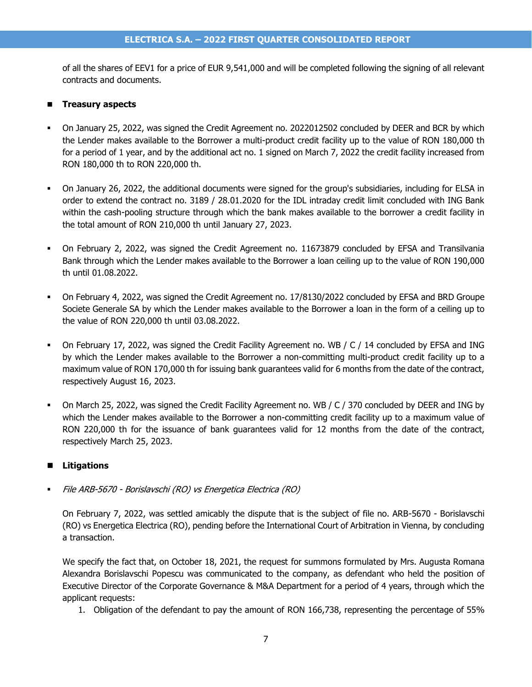of all the shares of EEV1 for a price of EUR 9,541,000 and will be completed following the signing of all relevant contracts and documents.

#### ◼ **Treasury aspects**

- On January 25, 2022, was signed the Credit Agreement no. 2022012502 concluded by DEER and BCR by which the Lender makes available to the Borrower a multi-product credit facility up to the value of RON 180,000 th for a period of 1 year, and by the additional act no. 1 signed on March 7, 2022 the credit facility increased from RON 180,000 th to RON 220,000 th.
- On January 26, 2022, the additional documents were signed for the group's subsidiaries, including for ELSA in order to extend the contract no. 3189 / 28.01.2020 for the IDL intraday credit limit concluded with ING Bank within the cash-pooling structure through which the bank makes available to the borrower a credit facility in the total amount of RON 210,000 th until January 27, 2023.
- On February 2, 2022, was signed the Credit Agreement no. 11673879 concluded by EFSA and Transilvania Bank through which the Lender makes available to the Borrower a loan ceiling up to the value of RON 190,000 th until 01.08.2022.
- On February 4, 2022, was signed the Credit Agreement no. 17/8130/2022 concluded by EFSA and BRD Groupe Societe Generale SA by which the Lender makes available to the Borrower a loan in the form of a ceiling up to the value of RON 220,000 th until 03.08.2022.
- On February 17, 2022, was signed the Credit Facility Agreement no. WB / C / 14 concluded by EFSA and ING by which the Lender makes available to the Borrower a non-committing multi-product credit facility up to a maximum value of RON 170,000 th for issuing bank guarantees valid for 6 months from the date of the contract, respectively August 16, 2023.
- On March 25, 2022, was signed the Credit Facility Agreement no. WB / C / 370 concluded by DEER and ING by which the Lender makes available to the Borrower a non-committing credit facility up to a maximum value of RON 220,000 th for the issuance of bank guarantees valid for 12 months from the date of the contract, respectively March 25, 2023.

#### ■ Litigations

File ARB-5670 - Borislavschi (RO) vs Energetica Electrica (RO)

On February 7, 2022, was settled amicably the dispute that is the subject of file no. ARB-5670 - Borislavschi (RO) vs Energetica Electrica (RO), pending before the International Court of Arbitration in Vienna, by concluding a transaction.

We specify the fact that, on October 18, 2021, the request for summons formulated by Mrs. Augusta Romana Alexandra Borislavschi Popescu was communicated to the company, as defendant who held the position of Executive Director of the Corporate Governance & M&A Department for a period of 4 years, through which the applicant requests:

1. Obligation of the defendant to pay the amount of RON 166,738, representing the percentage of 55%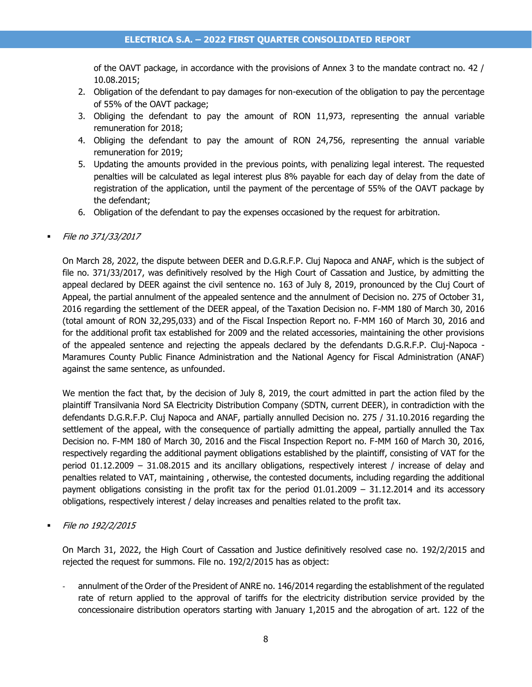of the OAVT package, in accordance with the provisions of Annex 3 to the mandate contract no. 42 / 10.08.2015;

- 2. Obligation of the defendant to pay damages for non-execution of the obligation to pay the percentage of 55% of the OAVT package;
- 3. Obliging the defendant to pay the amount of RON 11,973, representing the annual variable remuneration for 2018;
- 4. Obliging the defendant to pay the amount of RON 24,756, representing the annual variable remuneration for 2019;
- 5. Updating the amounts provided in the previous points, with penalizing legal interest. The requested penalties will be calculated as legal interest plus 8% payable for each day of delay from the date of registration of the application, until the payment of the percentage of 55% of the OAVT package by the defendant;
- 6. Obligation of the defendant to pay the expenses occasioned by the request for arbitration.

#### ▪ File no 371/33/2017

On March 28, 2022, the dispute between DEER and D.G.R.F.P. Cluj Napoca and ANAF, which is the subject of file no. 371/33/2017, was definitively resolved by the High Court of Cassation and Justice, by admitting the appeal declared by DEER against the civil sentence no. 163 of July 8, 2019, pronounced by the Cluj Court of Appeal, the partial annulment of the appealed sentence and the annulment of Decision no. 275 of October 31, 2016 regarding the settlement of the DEER appeal, of the Taxation Decision no. F-MM 180 of March 30, 2016 (total amount of RON 32,295,033) and of the Fiscal Inspection Report no. F-MM 160 of March 30, 2016 and for the additional profit tax established for 2009 and the related accessories, maintaining the other provisions of the appealed sentence and rejecting the appeals declared by the defendants D.G.R.F.P. Cluj-Napoca - Maramures County Public Finance Administration and the National Agency for Fiscal Administration (ANAF) against the same sentence, as unfounded.

We mention the fact that, by the decision of July 8, 2019, the court admitted in part the action filed by the plaintiff Transilvania Nord SA Electricity Distribution Company (SDTN, current DEER), in contradiction with the defendants D.G.R.F.P. Cluj Napoca and ANAF, partially annulled Decision no. 275 / 31.10.2016 regarding the settlement of the appeal, with the consequence of partially admitting the appeal, partially annulled the Tax Decision no. F-MM 180 of March 30, 2016 and the Fiscal Inspection Report no. F-MM 160 of March 30, 2016, respectively regarding the additional payment obligations established by the plaintiff, consisting of VAT for the period 01.12.2009 – 31.08.2015 and its ancillary obligations, respectively interest / increase of delay and penalties related to VAT, maintaining , otherwise, the contested documents, including regarding the additional payment obligations consisting in the profit tax for the period 01.01.2009 – 31.12.2014 and its accessory obligations, respectively interest / delay increases and penalties related to the profit tax.

File no 192/2/2015

On March 31, 2022, the High Court of Cassation and Justice definitively resolved case no. 192/2/2015 and rejected the request for summons. File no. 192/2/2015 has as object:

- annulment of the Order of the President of ANRE no. 146/2014 regarding the establishment of the regulated rate of return applied to the approval of tariffs for the electricity distribution service provided by the concessionaire distribution operators starting with January 1,2015 and the abrogation of art. 122 of the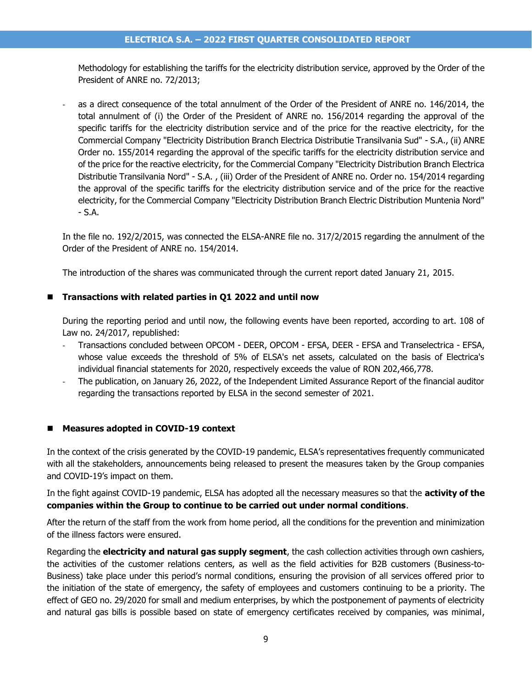Methodology for establishing the tariffs for the electricity distribution service, approved by the Order of the President of ANRE no. 72/2013;

as a direct consequence of the total annulment of the Order of the President of ANRE no. 146/2014, the total annulment of (i) the Order of the President of ANRE no. 156/2014 regarding the approval of the specific tariffs for the electricity distribution service and of the price for the reactive electricity, for the Commercial Company "Electricity Distribution Branch Electrica Distributie Transilvania Sud" - S.A., (ii) ANRE Order no. 155/2014 regarding the approval of the specific tariffs for the electricity distribution service and of the price for the reactive electricity, for the Commercial Company "Electricity Distribution Branch Electrica Distributie Transilvania Nord" - S.A. , (iii) Order of the President of ANRE no. Order no. 154/2014 regarding the approval of the specific tariffs for the electricity distribution service and of the price for the reactive electricity, for the Commercial Company "Electricity Distribution Branch Electric Distribution Muntenia Nord" - S.A.

In the file no. 192/2/2015, was connected the ELSA-ANRE file no. 317/2/2015 regarding the annulment of the Order of the President of ANRE no. 154/2014.

The introduction of the shares was communicated through the current report dated January 21, 2015.

#### ◼ **Transactions with related parties in Q1 2022 and until now**

During the reporting period and until now, the following events have been reported, according to art. 108 of Law no. 24/2017, republished:

- Transactions concluded between OPCOM DEER, OPCOM EFSA, DEER EFSA and Transelectrica EFSA, whose value exceeds the threshold of 5% of ELSA's net assets, calculated on the basis of Electrica's individual financial statements for 2020, respectively exceeds the value of RON 202,466,778.
- The publication, on January 26, 2022, of the Independent Limited Assurance Report of the financial auditor regarding the transactions reported by ELSA in the second semester of 2021.

#### ◼ **Measures adopted in COVID-19 context**

In the context of the crisis generated by the COVID-19 pandemic, ELSA's representatives frequently communicated with all the stakeholders, announcements being released to present the measures taken by the Group companies and COVID-19's impact on them.

In the fight against COVID-19 pandemic, ELSA has adopted all the necessary measures so that the **activity of the companies within the Group to continue to be carried out under normal conditions**.

After the return of the staff from the work from home period, all the conditions for the prevention and minimization of the illness factors were ensured.

Regarding the **electricity and natural gas supply segment**, the cash collection activities through own cashiers, the activities of the customer relations centers, as well as the field activities for B2B customers (Business-to-Business) take place under this period's normal conditions, ensuring the provision of all services offered prior to the initiation of the state of emergency, the safety of employees and customers continuing to be a priority. The effect of GEO no. 29/2020 for small and medium enterprises, by which the postponement of payments of electricity and natural gas bills is possible based on state of emergency certificates received by companies, was minimal,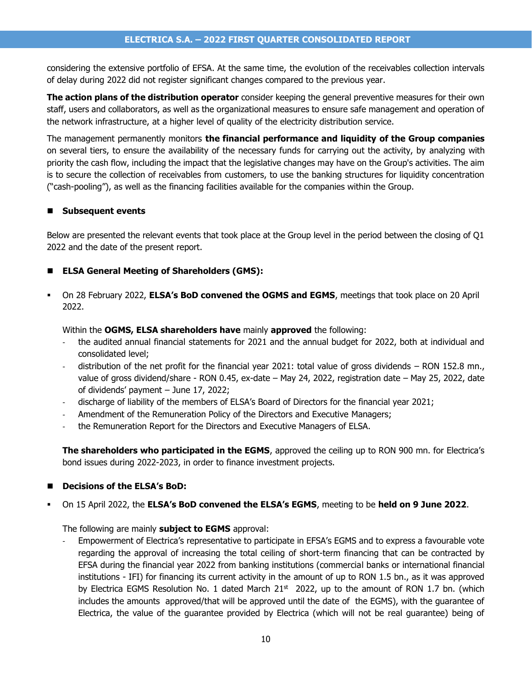considering the extensive portfolio of EFSA. At the same time, the evolution of the receivables collection intervals of delay during 2022 did not register significant changes compared to the previous year.

**The action plans of the distribution operator** consider keeping the general preventive measures for their own staff, users and collaborators, as well as the organizational measures to ensure safe management and operation of the network infrastructure, at a higher level of quality of the electricity distribution service.

The management permanently monitors **the financial performance and liquidity of the Group companies** on several tiers, to ensure the availability of the necessary funds for carrying out the activity, by analyzing with priority the cash flow, including the impact that the legislative changes may have on the Group's activities. The aim is to secure the collection of receivables from customers, to use the banking structures for liquidity concentration ("cash-pooling"), as well as the financing facilities available for the companies within the Group.

#### ◼ **Subsequent events**

Below are presented the relevant events that took place at the Group level in the period between the closing of Q1 2022 and the date of the present report.

#### ◼ **ELSA General Meeting of Shareholders (GMS):**

▪ On 28 February 2022, **ELSA's BoD convened the OGMS and EGMS**, meetings that took place on 20 April 2022.

Within the **OGMS, ELSA shareholders have** mainly **approved** the following:

- the audited annual financial statements for 2021 and the annual budget for 2022, both at individual and consolidated level;
- distribution of the net profit for the financial year 2021: total value of gross dividends  $-$  RON 152.8 mn., value of gross dividend/share - RON 0.45, ex-date – May 24, 2022, registration date – May 25, 2022, date of dividends' payment – June 17, 2022;
- discharge of liability of the members of ELSA's Board of Directors for the financial year 2021;
- Amendment of the Remuneration Policy of the Directors and Executive Managers;
- the Remuneration Report for the Directors and Executive Managers of ELSA.

**The shareholders who participated in the EGMS**, approved the ceiling up to RON 900 mn. for Electrica's bond issues during 2022-2023, in order to finance investment projects.

#### ◼ **Decisions of the ELSA's BoD:**

▪ On 15 April 2022, the **ELSA's BoD convened the ELSA's EGMS**, meeting to be **held on 9 June 2022**.

The following are mainly **subject to EGMS** approval:

Empowerment of Electrica's representative to participate in EFSA's EGMS and to express a favourable vote regarding the approval of increasing the total ceiling of short-term financing that can be contracted by EFSA during the financial year 2022 from banking institutions (commercial banks or international financial institutions - IFI) for financing its current activity in the amount of up to RON 1.5 bn., as it was approved by Electrica EGMS Resolution No. 1 dated March  $21<sup>st</sup>$  2022, up to the amount of RON 1.7 bn. (which includes the amounts approved/that will be approved until the date of the EGMS), with the guarantee of Electrica, the value of the guarantee provided by Electrica (which will not be real guarantee) being of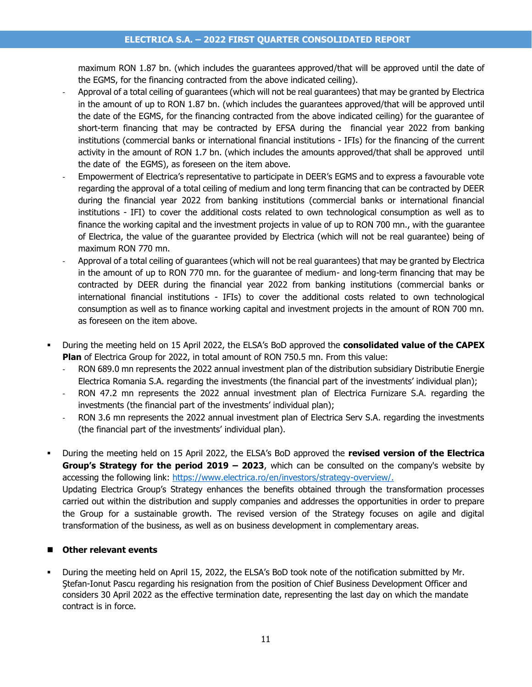#### **ELECTRICA S.A. – 2022 FIRST QUARTER CONSOLIDATED REPORT**

maximum RON 1.87 bn. (which includes the guarantees approved/that will be approved until the date of the EGMS, for the financing contracted from the above indicated ceiling).

- Approval of a total ceiling of guarantees (which will not be real guarantees) that may be granted by Electrica in the amount of up to RON 1.87 bn. (which includes the guarantees approved/that will be approved until the date of the EGMS, for the financing contracted from the above indicated ceiling) for the guarantee of short-term financing that may be contracted by EFSA during the financial year 2022 from banking institutions (commercial banks or international financial institutions - IFIs) for the financing of the current activity in the amount of RON 1.7 bn. (which includes the amounts approved/that shall be approved until the date of the EGMS), as foreseen on the item above.
- Empowerment of Electrica's representative to participate in DEER's EGMS and to express a favourable vote regarding the approval of a total ceiling of medium and long term financing that can be contracted by DEER during the financial year 2022 from banking institutions (commercial banks or international financial institutions - IFI) to cover the additional costs related to own technological consumption as well as to finance the working capital and the investment projects in value of up to RON 700 mn., with the guarantee of Electrica, the value of the guarantee provided by Electrica (which will not be real guarantee) being of maximum RON 770 mn.
- Approval of a total ceiling of guarantees (which will not be real guarantees) that may be granted by Electrica in the amount of up to RON 770 mn. for the guarantee of medium- and long-term financing that may be contracted by DEER during the financial year 2022 from banking institutions (commercial banks or international financial institutions - IFIs) to cover the additional costs related to own technological consumption as well as to finance working capital and investment projects in the amount of RON 700 mn. as foreseen on the item above.
- During the meeting held on 15 April 2022, the ELSA's BoD approved the **consolidated value of the CAPEX Plan** of Electrica Group for 2022, in total amount of RON 750.5 mn. From this value:
	- RON 689.0 mn represents the 2022 annual investment plan of the distribution subsidiary Distributie Energie Electrica Romania S.A. regarding the investments (the financial part of the investments' individual plan);
	- RON 47.2 mn represents the 2022 annual investment plan of Electrica Furnizare S.A. regarding the investments (the financial part of the investments' individual plan);
	- RON 3.6 mn represents the 2022 annual investment plan of Electrica Serv S.A. regarding the investments (the financial part of the investments' individual plan).
- During the meeting held on 15 April 2022, the ELSA's BoD approved the **revised version of the Electrica Group's Strategy for the period 2019 – 2023**, which can be consulted on the company's website by accessing the following link: [https://www.electrica.ro/en/investors/strategy-overview/.](https://www.electrica.ro/en/investors/strategy-overview/) Updating Electrica Group's Strategy enhances the benefits obtained through the transformation processes carried out within the distribution and supply companies and addresses the opportunities in order to prepare the Group for a sustainable growth. The revised version of the Strategy focuses on agile and digital transformation of the business, as well as on business development in complementary areas.

#### ■ Other relevant events

During the meeting held on April 15, 2022, the ELSA's BoD took note of the notification submitted by Mr. Ştefan-Ionut Pascu regarding his resignation from the position of Chief Business Development Officer and considers 30 April 2022 as the effective termination date, representing the last day on which the mandate contract is in force.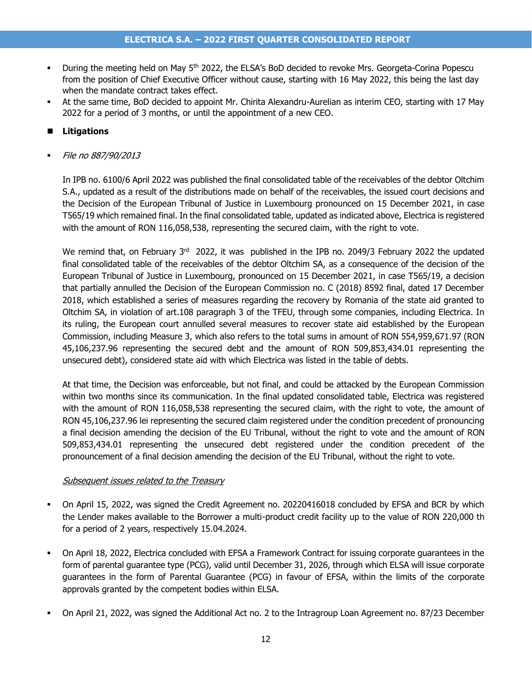- During the meeting held on May 5<sup>th</sup> 2022, the ELSA's BoD decided to revoke Mrs. Georgeta-Corina Popescu from the position of Chief Executive Officer without cause, starting with 16 May 2022, this being the last day when the mandate contract takes effect.
- At the same time, BoD decided to appoint Mr. Chirita Alexandru-Aurelian as interim CEO, starting with 17 May 2022 for a period of 3 months, or until the appointment of a new CEO.

#### ■ Litigations

File no 887/90/2013

In IPB no. 6100/6 April 2022 was published the final consolidated table of the receivables of the debtor Oltchim S.A., updated as a result of the distributions made on behalf of the receivables, the issued court decisions and the Decision of the European Tribunal of Justice in Luxembourg pronounced on 15 December 2021, in case T565/19 which remained final. In the final consolidated table, updated as indicated above, Electrica is registered with the amount of RON 116,058,538, representing the secured claim, with the right to vote.

We remind that, on February 3<sup>rd</sup> 2022, it was published in the IPB no. 2049/3 February 2022 the updated final consolidated table of the receivables of the debtor Oltchim SA, as a consequence of the decision of the European Tribunal of Justice in Luxembourg, pronounced on 15 December 2021, in case T565/19, a decision that partially annulled the Decision of the European Commission no. C (2018) 8592 final, dated 17 December 2018, which established a series of measures regarding the recovery by Romania of the state aid granted to Oltchim SA, in violation of art.108 paragraph 3 of the TFEU, through some companies, including Electrica. In its ruling, the European court annulled several measures to recover state aid established by the European Commission, including Measure 3, which also refers to the total sums in amount of RON 554,959,671.97 (RON 45,106,237.96 representing the secured debt and the amount of RON 509,853,434.01 representing the unsecured debt), considered state aid with which Electrica was listed in the table of debts.

At that time, the Decision was enforceable, but not final, and could be attacked by the European Commission within two months since its communication. In the final updated consolidated table, Electrica was registered with the amount of RON 116,058,538 representing the secured claim, with the right to vote, the amount of RON 45,106,237.96 lei representing the secured claim registered under the condition precedent of pronouncing a final decision amending the decision of the EU Tribunal, without the right to vote and the amount of RON 509,853,434.01 representing the unsecured debt registered under the condition precedent of the pronouncement of a final decision amending the decision of the EU Tribunal, without the right to vote.

#### Subsequent issues related to the Treasury

- On April 15, 2022, was signed the Credit Agreement no. 20220416018 concluded by EFSA and BCR by which the Lender makes available to the Borrower a multi-product credit facility up to the value of RON 220,000 th for a period of 2 years, respectively 15.04.2024.
- On April 18, 2022, Electrica concluded with EFSA a Framework Contract for issuing corporate guarantees in the form of parental guarantee type (PCG), valid until December 31, 2026, through which ELSA will issue corporate guarantees in the form of Parental Guarantee (PCG) in favour of EFSA, within the limits of the corporate approvals granted by the competent bodies within ELSA.
- On April 21, 2022, was signed the Additional Act no. 2 to the Intragroup Loan Agreement no. 87/23 December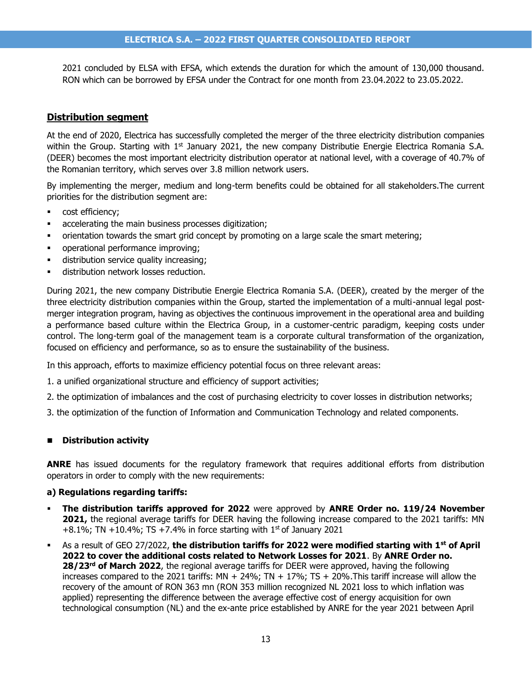2021 concluded by ELSA with EFSA, which extends the duration for which the amount of 130,000 thousand. RON which can be borrowed by EFSA under the Contract for one month from 23.04.2022 to 23.05.2022.

#### **Distribution segment**

At the end of 2020, Electrica has successfully completed the merger of the three electricity distribution companies within the Group. Starting with  $1<sup>st</sup>$  January 2021, the new company Distributie Energie Electrica Romania S.A. (DEER) becomes the most important electricity distribution operator at national level, with a coverage of 40.7% of the Romanian territory, which serves over 3.8 million network users.

By implementing the merger, medium and long-term benefits could be obtained for all stakeholders.The current priorities for the distribution segment are:

- cost efficiency:
- accelerating the main business processes digitization;
- orientation towards the smart grid concept by promoting on a large scale the smart metering;
- operational performance improving;
- distribution service quality increasing;
- **■** distribution network losses reduction.

During 2021, the new company Distributie Energie Electrica Romania S.A. (DEER), created by the merger of the three electricity distribution companies within the Group, started the implementation of a multi-annual legal postmerger integration program, having as objectives the continuous improvement in the operational area and building a performance based culture within the Electrica Group, in a customer-centric paradigm, keeping costs under control. The long-term goal of the management team is a corporate cultural transformation of the organization, focused on efficiency and performance, so as to ensure the sustainability of the business.

In this approach, efforts to maximize efficiency potential focus on three relevant areas:

- 1. a unified organizational structure and efficiency of support activities;
- 2. the optimization of imbalances and the cost of purchasing electricity to cover losses in distribution networks;
- 3. the optimization of the function of Information and Communication Technology and related components.

#### ◼ **Distribution activity**

**ANRE** has issued documents for the regulatory framework that requires additional efforts from distribution operators in order to comply with the new requirements:

#### **a) Regulations regarding tariffs:**

- **The distribution tariffs approved for 2022** were approved by **ANRE Order no. 119/24 November 2021,** the regional average tariffs for DEER having the following increase compared to the 2021 tariffs: MN +8.1%; TN +10.4%; TS +7.4% in force starting with  $1<sup>st</sup>$  of January 2021
- As a result of GEO 27/2022, **the distribution tariffs for 2022 were modified starting with 1st of April 2022 to cover the additional costs related to Network Losses for 2021**. By **ANRE Order no. 28/23rd of March 2022**, the regional average tariffs for DEER were approved, having the following increases compared to the 2021 tariffs:  $MN + 24\%$ ;  $TN + 17\%$ ;  $TS + 20\%$ . This tariff increase will allow the recovery of the amount of RON 363 mn (RON 353 million recognized NL 2021 loss to which inflation was applied) representing the difference between the average effective cost of energy acquisition for own technological consumption (NL) and the ex-ante price established by ANRE for the year 2021 between April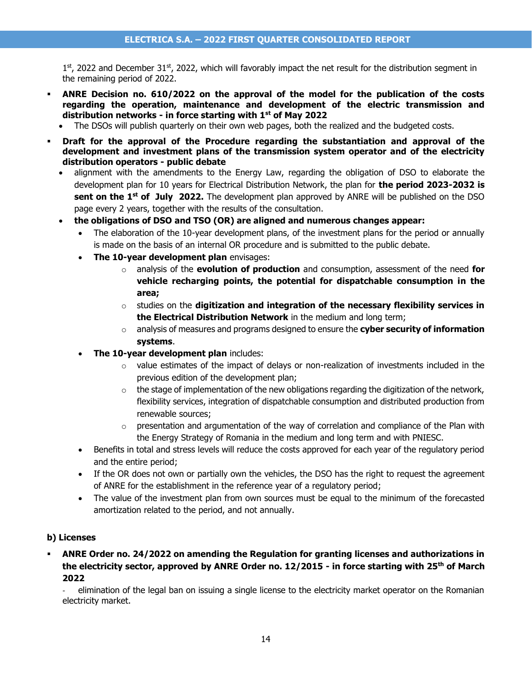$1<sup>st</sup>$ , 2022 and December 31<sup>st</sup>, 2022, which will favorably impact the net result for the distribution segment in the remaining period of 2022.

- ANRE Decision no. 610/2022 on the approval of the model for the publication of the costs **regarding the operation, maintenance and development of the electric transmission and distribution networks - in force starting with 1st of May 2022**
	- The DSOs will publish quarterly on their own web pages, both the realized and the budgeted costs.
- Draft for the approval of the Procedure regarding the substantiation and approval of the **development and investment plans of the transmission system operator and of the electricity distribution operators - public debate**
	- alignment with the amendments to the Energy Law, regarding the obligation of DSO to elaborate the development plan for 10 years for Electrical Distribution Network, the plan for **the period 2023-2032 is sent on the 1st of July 2022.** The development plan approved by ANRE will be published on the DSO page every 2 years, together with the results of the consultation.
	- **the obligations of DSO and TSO (OR) are aligned and numerous changes appear:**
		- The elaboration of the 10-year development plans, of the investment plans for the period or annually is made on the basis of an internal OR procedure and is submitted to the public debate.
		- **The 10-year development plan** envisages:
			- o analysis of the **evolution of production** and consumption, assessment of the need **for vehicle recharging points, the potential for dispatchable consumption in the area;**
			- o studies on the **digitization and integration of the necessary flexibility services in the Electrical Distribution Network** in the medium and long term;
			- o analysis of measures and programs designed to ensure the **cyber security of information systems**.
		- **The 10-year development plan** includes:
			- $\circ$  value estimates of the impact of delays or non-realization of investments included in the previous edition of the development plan;
			- $\circ$  the stage of implementation of the new obligations regarding the digitization of the network, flexibility services, integration of dispatchable consumption and distributed production from renewable sources;
			- $\circ$  presentation and argumentation of the way of correlation and compliance of the Plan with the Energy Strategy of Romania in the medium and long term and with PNIESC.
		- Benefits in total and stress levels will reduce the costs approved for each year of the regulatory period and the entire period;
		- If the OR does not own or partially own the vehicles, the DSO has the right to request the agreement of ANRE for the establishment in the reference year of a regulatory period;
		- The value of the investment plan from own sources must be equal to the minimum of the forecasted amortization related to the period, and not annually.

#### **b) Licenses**

▪ **ANRE Order no. 24/2022 on amending the Regulation for granting licenses and authorizations in the electricity sector, approved by ANRE Order no. 12/2015 - in force starting with 25th of March 2022**

- elimination of the legal ban on issuing a single license to the electricity market operator on the Romanian electricity market.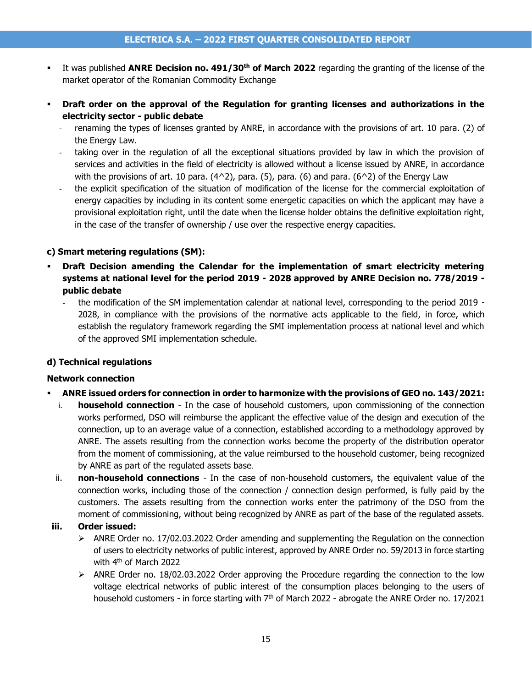- It was published **ANRE Decision no. 491/30<sup>th</sup> of March 2022** regarding the granting of the license of the market operator of the Romanian Commodity Exchange
- **Draft order on the approval of the Regulation for granting licenses and authorizations in the electricity sector - public debate**
	- renaming the types of licenses granted by ANRE, in accordance with the provisions of art. 10 para. (2) of the Energy Law.
	- taking over in the regulation of all the exceptional situations provided by law in which the provision of services and activities in the field of electricity is allowed without a license issued by ANRE, in accordance with the provisions of art. 10 para.  $(4^2)$ , para. (5), para. (6) and para. (6<sup> $\land$ </sup>2) of the Energy Law
	- the explicit specification of the situation of modification of the license for the commercial exploitation of energy capacities by including in its content some energetic capacities on which the applicant may have a provisional exploitation right, until the date when the license holder obtains the definitive exploitation right, in the case of the transfer of ownership / use over the respective energy capacities.

#### **c) Smart metering regulations (SM):**

- Draft Decision amending the Calendar for the implementation of smart electricity metering **systems at national level for the period 2019 - 2028 approved by ANRE Decision no. 778/2019 public debate**
	- the modification of the SM implementation calendar at national level, corresponding to the period 2019 2028, in compliance with the provisions of the normative acts applicable to the field, in force, which establish the regulatory framework regarding the SMI implementation process at national level and which of the approved SMI implementation schedule.

#### **d) Technical regulations**

#### **Network connection**

- **ANRE issued orders for connection in order to harmonize with the provisions of GEO no. 143/2021:**
	- i. **household connection** In the case of household customers, upon commissioning of the connection works performed, DSO will reimburse the applicant the effective value of the design and execution of the connection, up to an average value of a connection, established according to a methodology approved by ANRE. The assets resulting from the connection works become the property of the distribution operator from the moment of commissioning, at the value reimbursed to the household customer, being recognized by ANRE as part of the regulated assets base.
	- ii. **non-household connections** In the case of non-household customers, the equivalent value of the connection works, including those of the connection / connection design performed, is fully paid by the customers. The assets resulting from the connection works enter the patrimony of the DSO from the moment of commissioning, without being recognized by ANRE as part of the base of the regulated assets.

#### **iii. Order issued:**

- $\triangleright$  ANRE Order no. 17/02.03.2022 Order amending and supplementing the Regulation on the connection of users to electricity networks of public interest, approved by ANRE Order no. 59/2013 in force starting with 4<sup>th</sup> of March 2022
- $\triangleright$  ANRE Order no. 18/02.03.2022 Order approving the Procedure regarding the connection to the low voltage electrical networks of public interest of the consumption places belonging to the users of household customers - in force starting with  $7<sup>th</sup>$  of March 2022 - abrogate the ANRE Order no. 17/2021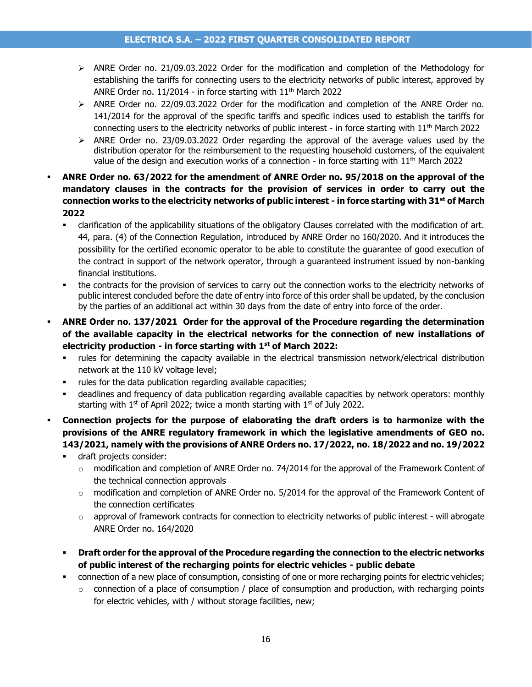- ➢ ANRE Order no. 21/09.03.2022 Order for the modification and completion of the Methodology for establishing the tariffs for connecting users to the electricity networks of public interest, approved by ANRE Order no.  $11/2014$  - in force starting with  $11<sup>th</sup>$  March 2022
- $\triangleright$  ANRE Order no. 22/09.03.2022 Order for the modification and completion of the ANRE Order no. 141/2014 for the approval of the specific tariffs and specific indices used to establish the tariffs for connecting users to the electricity networks of public interest - in force starting with  $11<sup>th</sup>$  March 2022
- $\triangleright$  ANRE Order no. 23/09.03.2022 Order regarding the approval of the average values used by the distribution operator for the reimbursement to the requesting household customers, of the equivalent value of the design and execution works of a connection - in force starting with 11<sup>th</sup> March 2022
- ANRE Order no. 63/2022 for the amendment of ANRE Order no. 95/2018 on the approval of the **mandatory clauses in the contracts for the provision of services in order to carry out the connection works to the electricity networks of public interest - in force starting with 31st of March 2022**
	- clarification of the applicability situations of the obligatory Clauses correlated with the modification of art. 44, para. (4) of the Connection Regulation, introduced by ANRE Order no 160/2020. And it introduces the possibility for the certified economic operator to be able to constitute the guarantee of good execution of the contract in support of the network operator, through a guaranteed instrument issued by non-banking financial institutions.
	- the contracts for the provision of services to carry out the connection works to the electricity networks of public interest concluded before the date of entry into force of this order shall be updated, by the conclusion by the parties of an additional act within 30 days from the date of entry into force of the order.
- **ANRE Order no. 137/2021 Order for the approval of the Procedure regarding the determination of the available capacity in the electrical networks for the connection of new installations of electricity production - in force starting with 1st of March 2022:**
	- rules for determining the capacity available in the electrical transmission network/electrical distribution network at the 110 kV voltage level;
	- rules for the data publication regarding available capacities;
	- deadlines and frequency of data publication regarding available capacities by network operators: monthly starting with  $1<sup>st</sup>$  of April 2022; twice a month starting with  $1<sup>st</sup>$  of July 2022.
- **Connection projects for the purpose of elaborating the draft orders is to harmonize with the provisions of the ANRE regulatory framework in which the legislative amendments of GEO no. 143/2021, namely with the provisions of ANRE Orders no. 17/2022, no. 18/2022 and no. 19/2022**
	- draft projects consider:
		- $\circ$  modification and completion of ANRE Order no. 74/2014 for the approval of the Framework Content of the technical connection approvals
		- $\circ$  modification and completion of ANRE Order no. 5/2014 for the approval of the Framework Content of the connection certificates
		- $\circ$  approval of framework contracts for connection to electricity networks of public interest will abrogate ANRE Order no. 164/2020
	- **Draft order for the approval of the Procedure regarding the connection to the electric networks of public interest of the recharging points for electric vehicles - public debate**
	- connection of a new place of consumption, consisting of one or more recharging points for electric vehicles;
		- $\circ$  connection of a place of consumption / place of consumption and production, with recharging points for electric vehicles, with / without storage facilities, new;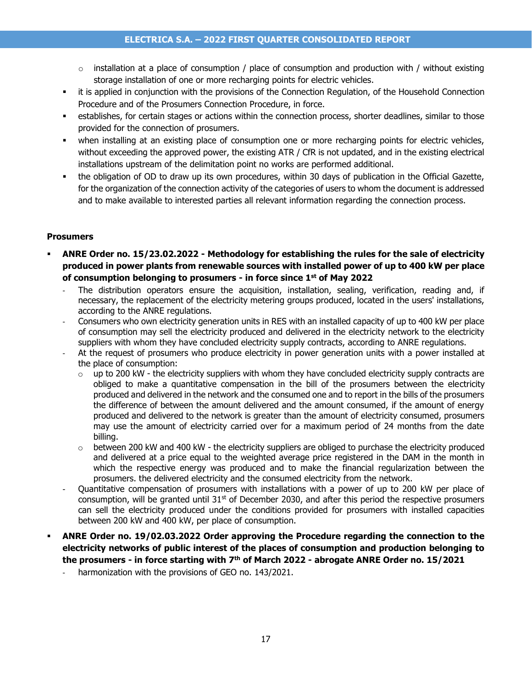- $\circ$  installation at a place of consumption / place of consumption and production with / without existing storage installation of one or more recharging points for electric vehicles.
- it is applied in conjunction with the provisions of the Connection Regulation, of the Household Connection Procedure and of the Prosumers Connection Procedure, in force.
- establishes, for certain stages or actions within the connection process, shorter deadlines, similar to those provided for the connection of prosumers.
- when installing at an existing place of consumption one or more recharging points for electric vehicles, without exceeding the approved power, the existing ATR / CfR is not updated, and in the existing electrical installations upstream of the delimitation point no works are performed additional.
- the obligation of OD to draw up its own procedures, within 30 days of publication in the Official Gazette, for the organization of the connection activity of the categories of users to whom the document is addressed and to make available to interested parties all relevant information regarding the connection process.

#### **Prosumers**

- **ANRE Order no. 15/23.02.2022 - Methodology for establishing the rules for the sale of electricity produced in power plants from renewable sources with installed power of up to 400 kW per place of consumption belonging to prosumers - in force since 1st of May 2022**
	- The distribution operators ensure the acquisition, installation, sealing, verification, reading and, if necessary, the replacement of the electricity metering groups produced, located in the users' installations, according to the ANRE regulations.
	- Consumers who own electricity generation units in RES with an installed capacity of up to 400 kW per place of consumption may sell the electricity produced and delivered in the electricity network to the electricity suppliers with whom they have concluded electricity supply contracts, according to ANRE regulations.
	- At the request of prosumers who produce electricity in power generation units with a power installed at the place of consumption:
		- $\circ$  up to 200 kW the electricity suppliers with whom they have concluded electricity supply contracts are obliged to make a quantitative compensation in the bill of the prosumers between the electricity produced and delivered in the network and the consumed one and to report in the bills of the prosumers the difference of between the amount delivered and the amount consumed, if the amount of energy produced and delivered to the network is greater than the amount of electricity consumed, prosumers may use the amount of electricity carried over for a maximum period of 24 months from the date billing.
		- $\circ$  between 200 kW and 400 kW the electricity suppliers are obliged to purchase the electricity produced and delivered at a price equal to the weighted average price registered in the DAM in the month in which the respective energy was produced and to make the financial regularization between the prosumers. the delivered electricity and the consumed electricity from the network.
	- Quantitative compensation of prosumers with installations with a power of up to 200 kW per place of consumption, will be granted until  $31^{st}$  of December 2030, and after this period the respective prosumers can sell the electricity produced under the conditions provided for prosumers with installed capacities between 200 kW and 400 kW, per place of consumption.
- ANRE Order no. 19/02.03.2022 Order approving the Procedure regarding the connection to the **electricity networks of public interest of the places of consumption and production belonging to the prosumers - in force starting with 7th of March 2022 - abrogate ANRE Order no. 15/2021**
	- harmonization with the provisions of GEO no. 143/2021.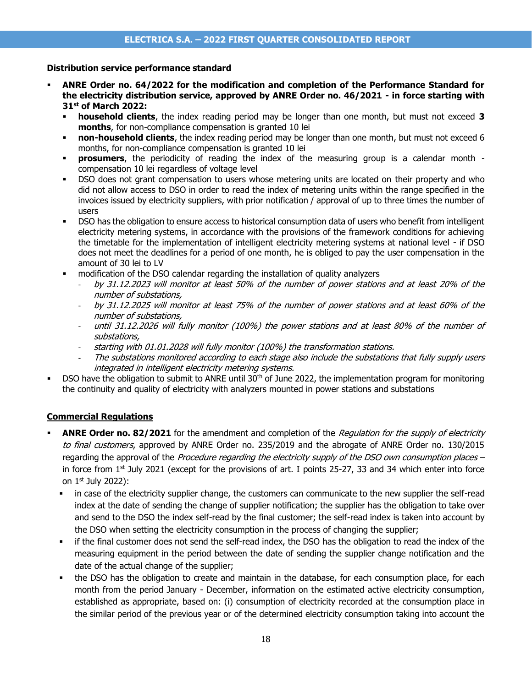#### **Distribution service performance standard**

- ANRE Order no. 64/2022 for the modification and completion of the Performance Standard for **the electricity distribution service, approved by ANRE Order no. 46/2021 - in force starting with 31st of March 2022:**
	- **household clients**, the index reading period may be longer than one month, but must not exceed 3 **months**, for non-compliance compensation is granted 10 lei
	- **non-household clients**, the index reading period may be longer than one month, but must not exceed 6 months, for non-compliance compensation is granted 10 lei
	- **prosumers**, the periodicity of reading the index of the measuring group is a calendar month compensation 10 lei regardless of voltage level
	- DSO does not grant compensation to users whose metering units are located on their property and who did not allow access to DSO in order to read the index of metering units within the range specified in the invoices issued by electricity suppliers, with prior notification / approval of up to three times the number of users
	- DSO has the obligation to ensure access to historical consumption data of users who benefit from intelligent electricity metering systems, in accordance with the provisions of the framework conditions for achieving the timetable for the implementation of intelligent electricity metering systems at national level - if DSO does not meet the deadlines for a period of one month, he is obliged to pay the user compensation in the amount of 30 lei to LV
	- modification of the DSO calendar regarding the installation of quality analyzers
		- by 31.12.2023 will monitor at least 50% of the number of power stations and at least 20% of the number of substations,
		- by 31.12.2025 will monitor at least 75% of the number of power stations and at least 60% of the number of substations,
		- until 31.12.2026 will fully monitor (100%) the power stations and at least 80% of the number of substations,
		- starting with 01.01.2028 will fully monitor (100%) the transformation stations.
		- The substations monitored according to each stage also include the substations that fully supply users integrated in intelligent electricity metering systems.
- DSO have the obligation to submit to ANRE until  $30<sup>th</sup>$  of June 2022, the implementation program for monitoring the continuity and quality of electricity with analyzers mounted in power stations and substations

#### **Commercial Regulations**

- **ANRE Order no. 82/2021** for the amendment and completion of the Regulation for the supply of electricity to final customers, approved by ANRE Order no. 235/2019 and the abrogate of ANRE Order no. 130/2015 regarding the approval of the Procedure regarding the electricity supply of the DSO own consumption places – in force from  $1<sup>st</sup>$  July 2021 (except for the provisions of art. I points 25-27, 33 and 34 which enter into force on 1st July 2022):
	- in case of the electricity supplier change, the customers can communicate to the new supplier the self-read index at the date of sending the change of supplier notification; the supplier has the obligation to take over and send to the DSO the index self-read by the final customer; the self-read index is taken into account by the DSO when setting the electricity consumption in the process of changing the supplier;
	- if the final customer does not send the self-read index, the DSO has the obligation to read the index of the measuring equipment in the period between the date of sending the supplier change notification and the date of the actual change of the supplier;
	- the DSO has the obligation to create and maintain in the database, for each consumption place, for each month from the period January - December, information on the estimated active electricity consumption, established as appropriate, based on: (i) consumption of electricity recorded at the consumption place in the similar period of the previous year or of the determined electricity consumption taking into account the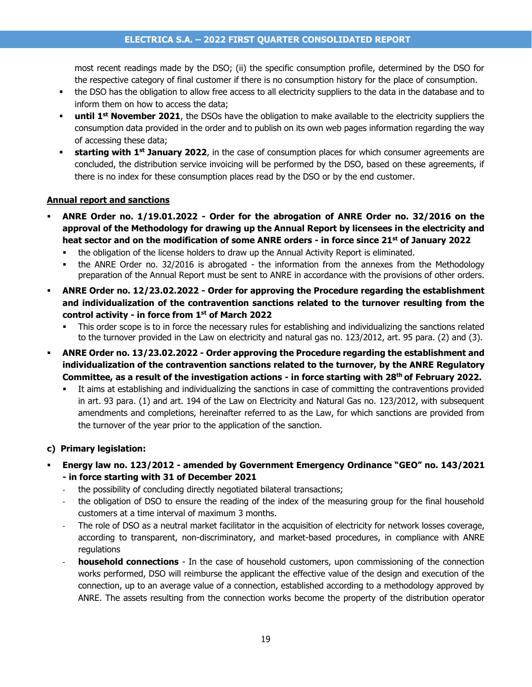most recent readings made by the DSO; (ii) the specific consumption profile, determined by the DSO for the respective category of final customer if there is no consumption history for the place of consumption.

- the DSO has the obligation to allow free access to all electricity suppliers to the data in the database and to inform them on how to access the data;
- **until 1<sup>st</sup> November 2021**, the DSOs have the obligation to make available to the electricity suppliers the consumption data provided in the order and to publish on its own web pages information regarding the way of accessing these data;
- **Example 1 starting with 1<sup>st</sup> January 2022**, in the case of consumption places for which consumer agreements are concluded, the distribution service invoicing will be performed by the DSO, based on these agreements, if there is no index for these consumption places read by the DSO or by the end customer.

#### **Annual report and sanctions**

- **ANRE Order no. 1/19.01.2022 - Order for the abrogation of ANRE Order no. 32/2016 on the approval of the Methodology for drawing up the Annual Report by licensees in the electricity and heat sector and on the modification of some ANRE orders - in force since 21st of January 2022**
	- the obligation of the license holders to draw up the Annual Activity Report is eliminated.
	- the ANRE Order no. 32/2016 is abrogated the information from the annexes from the Methodology preparation of the Annual Report must be sent to ANRE in accordance with the provisions of other orders.
- **ANRE Order no. 12/23.02.2022 - Order for approving the Procedure regarding the establishment and individualization of the contravention sanctions related to the turnover resulting from the control activity - in force from 1st of March 2022**
	- This order scope is to in force the necessary rules for establishing and individualizing the sanctions related to the turnover provided in the Law on electricity and natural gas no. 123/2012, art. 95 para. (2) and (3).
- **ANRE Order no. 13/23.02.2022 - Order approving the Procedure regarding the establishment and individualization of the contravention sanctions related to the turnover, by the ANRE Regulatory Committee, as a result of the investigation actions - in force starting with 28th of February 2022.**
	- It aims at establishing and individualizing the sanctions in case of committing the contraventions provided in art. 93 para. (1) and art. 194 of the Law on Electricity and Natural Gas no. 123/2012, with subsequent amendments and completions, hereinafter referred to as the Law, for which sanctions are provided from the turnover of the year prior to the application of the sanction.

#### **c) Primary legislation:**

- **Energy law no. 123/2012 - amended by Government Emergency Ordinance "GEO" no. 143/2021 - in force starting with 31 of December 2021**
	- the possibility of concluding directly negotiated bilateral transactions;
	- the obligation of DSO to ensure the reading of the index of the measuring group for the final household customers at a time interval of maximum 3 months.
	- The role of DSO as a neutral market facilitator in the acquisition of electricity for network losses coverage, according to transparent, non-discriminatory, and market-based procedures, in compliance with ANRE regulations
	- **household connections** In the case of household customers, upon commissioning of the connection works performed, DSO will reimburse the applicant the effective value of the design and execution of the connection, up to an average value of a connection, established according to a methodology approved by ANRE. The assets resulting from the connection works become the property of the distribution operator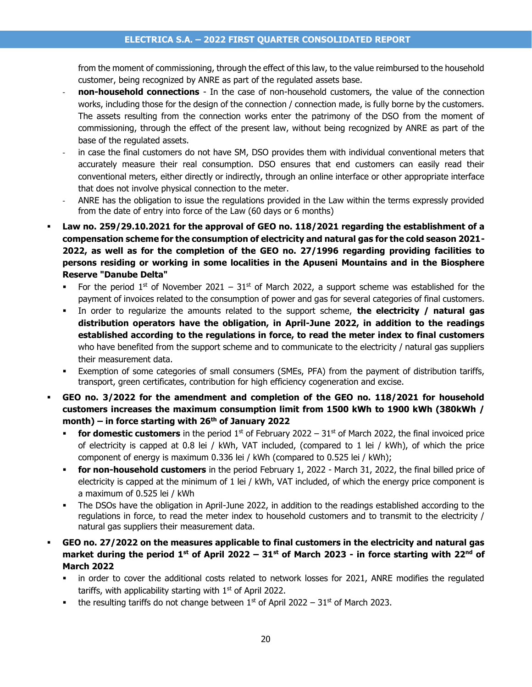from the moment of commissioning, through the effect of this law, to the value reimbursed to the household customer, being recognized by ANRE as part of the regulated assets base.

- **non-household connections** In the case of non-household customers, the value of the connection works, including those for the design of the connection / connection made, is fully borne by the customers. The assets resulting from the connection works enter the patrimony of the DSO from the moment of commissioning, through the effect of the present law, without being recognized by ANRE as part of the base of the regulated assets.
- in case the final customers do not have SM, DSO provides them with individual conventional meters that accurately measure their real consumption. DSO ensures that end customers can easily read their conventional meters, either directly or indirectly, through an online interface or other appropriate interface that does not involve physical connection to the meter.
- ANRE has the obligation to issue the regulations provided in the Law within the terms expressly provided from the date of entry into force of the Law (60 days or 6 months)
- **Law no. 259/29.10.2021 for the approval of GEO no. 118/2021 regarding the establishment of a compensation scheme for the consumption of electricity and natural gas for the cold season 2021- 2022, as well as for the completion of the GEO no. 27/1996 regarding providing facilities to persons residing or working in some localities in the Apuseni Mountains and in the Biosphere Reserve "Danube Delta"**
	- For the period 1<sup>st</sup> of November 2021 31<sup>st</sup> of March 2022, a support scheme was established for the payment of invoices related to the consumption of power and gas for several categories of final customers.
	- In order to regularize the amounts related to the support scheme, **the electricity / natural gas distribution operators have the obligation, in April-June 2022, in addition to the readings established according to the regulations in force, to read the meter index to final customers** who have benefited from the support scheme and to communicate to the electricity / natural gas suppliers their measurement data.
	- Exemption of some categories of small consumers (SMEs, PFA) from the payment of distribution tariffs, transport, green certificates, contribution for high efficiency cogeneration and excise.
- GEO no. 3/2022 for the amendment and completion of the GEO no. 118/2021 for household **customers increases the maximum consumption limit from 1500 kWh to 1900 kWh (380kWh / month) – in force starting with 26th of January 2022**
	- **for domestic customers** in the period  $1^{st}$  of February 2022 31<sup>st</sup> of March 2022, the final invoiced price of electricity is capped at 0.8 lei / kWh, VAT included, (compared to 1 lei / kWh), of which the price component of energy is maximum 0.336 lei / kWh (compared to 0.525 lei / kWh);
	- **for non-household customers** in the period February 1, 2022 March 31, 2022, the final billed price of electricity is capped at the minimum of 1 lei / kWh, VAT included, of which the energy price component is a maximum of 0.525 lei / kWh
	- The DSOs have the obligation in April-June 2022, in addition to the readings established according to the regulations in force, to read the meter index to household customers and to transmit to the electricity / natural gas suppliers their measurement data.
- **GEO no. 27/2022 on the measures applicable to final customers in the electricity and natural gas market during the period 1st of April 2022 – 31st of March 2023 - in force starting with 22nd of March 2022**
	- in order to cover the additional costs related to network losses for 2021, ANRE modifies the regulated tariffs, with applicability starting with  $1<sup>st</sup>$  of April 2022.
	- the resulting tariffs do not change between  $1<sup>st</sup>$  of April 2022 31st of March 2023.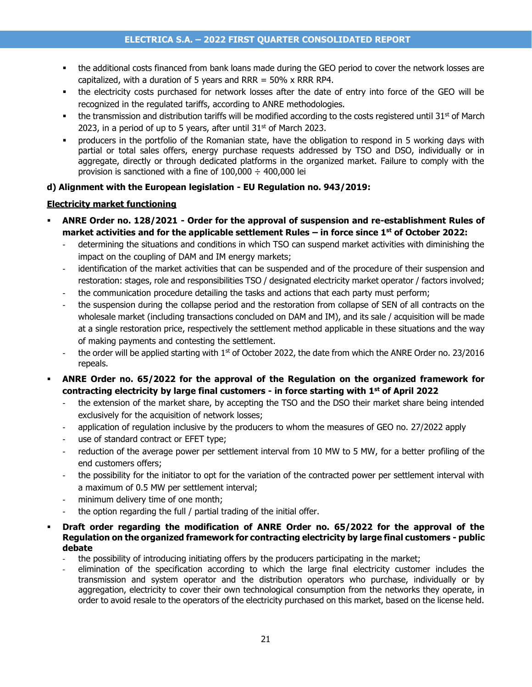- the additional costs financed from bank loans made during the GEO period to cover the network losses are capitalized, with a duration of 5 years and RRR =  $50\%$  x RRR RP4.
- the electricity costs purchased for network losses after the date of entry into force of the GEO will be recognized in the regulated tariffs, according to ANRE methodologies.
- the transmission and distribution tariffs will be modified according to the costs registered until 31 $st$  of March 2023, in a period of up to 5 years, after until  $31<sup>st</sup>$  of March 2023.
- producers in the portfolio of the Romanian state, have the obligation to respond in 5 working days with partial or total sales offers, energy purchase requests addressed by TSO and DSO, individually or in aggregate, directly or through dedicated platforms in the organized market. Failure to comply with the provision is sanctioned with a fine of  $100,000 \div 400,000$  lei

#### **d) Alignment with the European legislation - EU Regulation no. 943/2019:**

#### **Electricity market functioning**

- **ANRE Order no. 128/2021 - Order for the approval of suspension and re-establishment Rules of market activities and for the applicable settlement Rules – in force since 1st of October 2022:**
	- determining the situations and conditions in which TSO can suspend market activities with diminishing the impact on the coupling of DAM and IM energy markets;
	- identification of the market activities that can be suspended and of the procedure of their suspension and restoration: stages, role and responsibilities TSO / designated electricity market operator / factors involved;
	- the communication procedure detailing the tasks and actions that each party must perform;
	- the suspension during the collapse period and the restoration from collapse of SEN of all contracts on the wholesale market (including transactions concluded on DAM and IM), and its sale / acquisition will be made at a single restoration price, respectively the settlement method applicable in these situations and the way of making payments and contesting the settlement.
	- the order will be applied starting with 1<sup>st</sup> of October 2022, the date from which the ANRE Order no. 23/2016 repeals.
- ANRE Order no. 65/2022 for the approval of the Regulation on the organized framework for **contracting electricity by large final customers - in force starting with 1st of April 2022**
	- the extension of the market share, by accepting the TSO and the DSO their market share being intended exclusively for the acquisition of network losses;
	- application of regulation inclusive by the producers to whom the measures of GEO no. 27/2022 apply
	- use of standard contract or EFET type;
	- reduction of the average power per settlement interval from 10 MW to 5 MW, for a better profiling of the end customers offers;
	- the possibility for the initiator to opt for the variation of the contracted power per settlement interval with a maximum of 0.5 MW per settlement interval;
	- minimum delivery time of one month;
	- the option regarding the full / partial trading of the initial offer.
- **Draft order regarding the modification of ANRE Order no. 65/2022 for the approval of the Regulation on the organized framework for contracting electricity by large final customers - public debate**
	- the possibility of introducing initiating offers by the producers participating in the market;
	- elimination of the specification according to which the large final electricity customer includes the transmission and system operator and the distribution operators who purchase, individually or by aggregation, electricity to cover their own technological consumption from the networks they operate, in order to avoid resale to the operators of the electricity purchased on this market, based on the license held.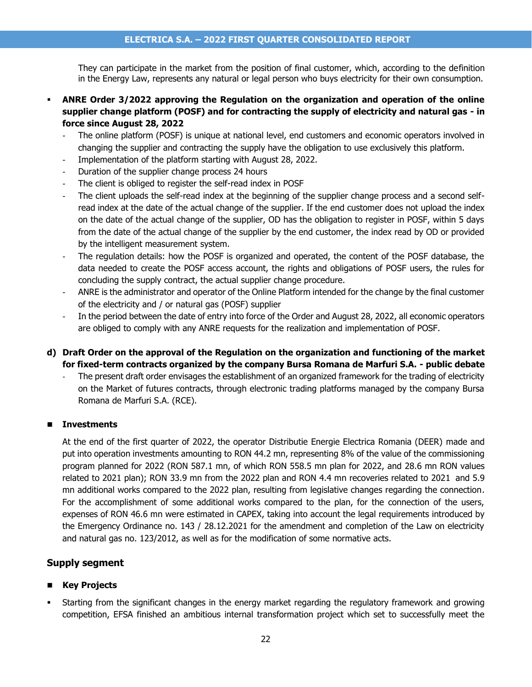They can participate in the market from the position of final customer, which, according to the definition in the Energy Law, represents any natural or legal person who buys electricity for their own consumption.

- **ANRE Order 3/2022 approving the Regulation on the organization and operation of the online supplier change platform (POSF) and for contracting the supply of electricity and natural gas - in force since August 28, 2022**
	- The online platform (POSF) is unique at national level, end customers and economic operators involved in changing the supplier and contracting the supply have the obligation to use exclusively this platform.
	- Implementation of the platform starting with August 28, 2022.
	- Duration of the supplier change process 24 hours
	- The client is obliged to register the self-read index in POSF
	- The client uploads the self-read index at the beginning of the supplier change process and a second selfread index at the date of the actual change of the supplier. If the end customer does not upload the index on the date of the actual change of the supplier, OD has the obligation to register in POSF, within 5 days from the date of the actual change of the supplier by the end customer, the index read by OD or provided by the intelligent measurement system.
	- The regulation details: how the POSF is organized and operated, the content of the POSF database, the data needed to create the POSF access account, the rights and obligations of POSF users, the rules for concluding the supply contract, the actual supplier change procedure.
	- ANRE is the administrator and operator of the Online Platform intended for the change by the final customer of the electricity and / or natural gas (POSF) supplier
	- In the period between the date of entry into force of the Order and August 28, 2022, all economic operators are obliged to comply with any ANRE requests for the realization and implementation of POSF.
- **d) Draft Order on the approval of the Regulation on the organization and functioning of the market for fixed-term contracts organized by the company Bursa Romana de Marfuri S.A. - public debate**
	- The present draft order envisages the establishment of an organized framework for the trading of electricity on the Market of futures contracts, through electronic trading platforms managed by the company Bursa Romana de Marfuri S.A. (RCE).

#### ◼ **Investments**

At the end of the first quarter of 2022, the operator Distributie Energie Electrica Romania (DEER) made and put into operation investments amounting to RON 44.2 mn, representing 8% of the value of the commissioning program planned for 2022 (RON 587.1 mn, of which RON 558.5 mn plan for 2022, and 28.6 mn RON values related to 2021 plan); RON 33.9 mn from the 2022 plan and RON 4.4 mn recoveries related to 2021 and 5.9 mn additional works compared to the 2022 plan, resulting from legislative changes regarding the connection. For the accomplishment of some additional works compared to the plan, for the connection of the users, expenses of RON 46.6 mn were estimated in CAPEX, taking into account the legal requirements introduced by the Emergency Ordinance no. 143 / 28.12.2021 for the amendment and completion of the Law on electricity and natural gas no. 123/2012, as well as for the modification of some normative acts.

#### **Supply segment**

#### ■ Key Projects

Starting from the significant changes in the energy market regarding the regulatory framework and growing competition, EFSA finished an ambitious internal transformation project which set to successfully meet the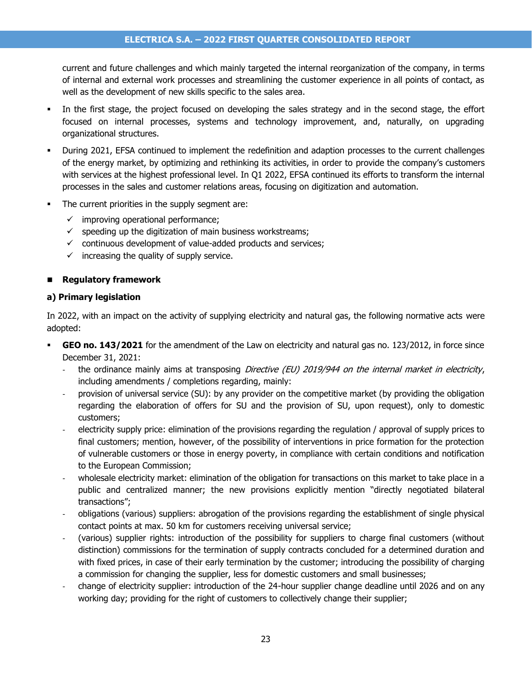current and future challenges and which mainly targeted the internal reorganization of the company, in terms of internal and external work processes and streamlining the customer experience in all points of contact, as well as the development of new skills specific to the sales area.

- In the first stage, the project focused on developing the sales strategy and in the second stage, the effort focused on internal processes, systems and technology improvement, and, naturally, on upgrading organizational structures.
- During 2021, EFSA continued to implement the redefinition and adaption processes to the current challenges of the energy market, by optimizing and rethinking its activities, in order to provide the company's customers with services at the highest professional level. In Q1 2022, EFSA continued its efforts to transform the internal processes in the sales and customer relations areas, focusing on digitization and automation.
- The current priorities in the supply segment are:
	- $\checkmark$  improving operational performance;
	- $\checkmark$  speeding up the digitization of main business workstreams;
	- $\checkmark$  continuous development of value-added products and services;
	- $\checkmark$  increasing the quality of supply service.

#### ◼ **Regulatory framework**

#### **a) Primary legislation**

In 2022, with an impact on the activity of supplying electricity and natural gas, the following normative acts were adopted:

- **GEO no. 143/2021** for the amendment of the Law on electricity and natural gas no. 123/2012, in force since December 31, 2021:
	- the ordinance mainly aims at transposing Directive (EU) 2019/944 on the internal market in electricity, including amendments / completions regarding, mainly:
	- provision of universal service (SU): by any provider on the competitive market (by providing the obligation regarding the elaboration of offers for SU and the provision of SU, upon request), only to domestic customers;
	- electricity supply price: elimination of the provisions regarding the regulation / approval of supply prices to final customers; mention, however, of the possibility of interventions in price formation for the protection of vulnerable customers or those in energy poverty, in compliance with certain conditions and notification to the European Commission;
	- wholesale electricity market: elimination of the obligation for transactions on this market to take place in a public and centralized manner; the new provisions explicitly mention "directly negotiated bilateral transactions";
	- obligations (various) suppliers: abrogation of the provisions regarding the establishment of single physical contact points at max. 50 km for customers receiving universal service;
	- (various) supplier rights: introduction of the possibility for suppliers to charge final customers (without distinction) commissions for the termination of supply contracts concluded for a determined duration and with fixed prices, in case of their early termination by the customer; introducing the possibility of charging a commission for changing the supplier, less for domestic customers and small businesses;
	- change of electricity supplier: introduction of the 24-hour supplier change deadline until 2026 and on any working day; providing for the right of customers to collectively change their supplier;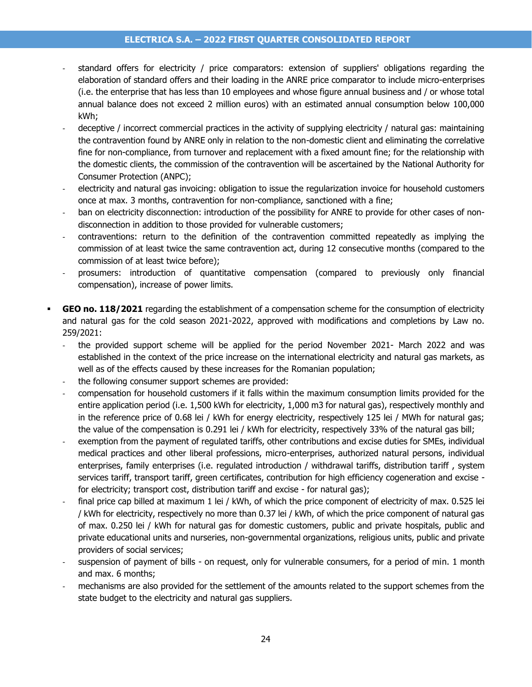#### **ELECTRICA S.A. – 2022 FIRST QUARTER CONSOLIDATED REPORT**

- standard offers for electricity / price comparators: extension of suppliers' obligations regarding the elaboration of standard offers and their loading in the ANRE price comparator to include micro-enterprises (i.e. the enterprise that has less than 10 employees and whose figure annual business and / or whose total annual balance does not exceed 2 million euros) with an estimated annual consumption below 100,000 kWh;
- deceptive / incorrect commercial practices in the activity of supplying electricity / natural gas: maintaining the contravention found by ANRE only in relation to the non-domestic client and eliminating the correlative fine for non-compliance, from turnover and replacement with a fixed amount fine; for the relationship with the domestic clients, the commission of the contravention will be ascertained by the National Authority for Consumer Protection (ANPC);
- electricity and natural gas invoicing: obligation to issue the regularization invoice for household customers once at max. 3 months, contravention for non-compliance, sanctioned with a fine;
- ban on electricity disconnection: introduction of the possibility for ANRE to provide for other cases of nondisconnection in addition to those provided for vulnerable customers;
- contraventions: return to the definition of the contravention committed repeatedly as implying the commission of at least twice the same contravention act, during 12 consecutive months (compared to the commission of at least twice before);
- prosumers: introduction of quantitative compensation (compared to previously only financial compensation), increase of power limits.
- **GEO no. 118/2021** regarding the establishment of a compensation scheme for the consumption of electricity and natural gas for the cold season 2021-2022, approved with modifications and completions by Law no. 259/2021:
	- the provided support scheme will be applied for the period November 2021- March 2022 and was established in the context of the price increase on the international electricity and natural gas markets, as well as of the effects caused by these increases for the Romanian population;
	- the following consumer support schemes are provided:
	- compensation for household customers if it falls within the maximum consumption limits provided for the entire application period (i.e. 1,500 kWh for electricity, 1,000 m3 for natural gas), respectively monthly and in the reference price of 0.68 lei / kWh for energy electricity, respectively 125 lei / MWh for natural gas; the value of the compensation is 0.291 lei / kWh for electricity, respectively 33% of the natural gas bill;
	- exemption from the payment of regulated tariffs, other contributions and excise duties for SMEs, individual medical practices and other liberal professions, micro-enterprises, authorized natural persons, individual enterprises, family enterprises (i.e. regulated introduction / withdrawal tariffs, distribution tariff , system services tariff, transport tariff, green certificates, contribution for high efficiency cogeneration and excise for electricity; transport cost, distribution tariff and excise - for natural gas);
	- final price cap billed at maximum 1 lei / kWh, of which the price component of electricity of max. 0.525 lei / kWh for electricity, respectively no more than 0.37 lei / kWh, of which the price component of natural gas of max. 0.250 lei / kWh for natural gas for domestic customers, public and private hospitals, public and private educational units and nurseries, non-governmental organizations, religious units, public and private providers of social services;
	- suspension of payment of bills on request, only for vulnerable consumers, for a period of min. 1 month and max. 6 months;
	- mechanisms are also provided for the settlement of the amounts related to the support schemes from the state budget to the electricity and natural gas suppliers.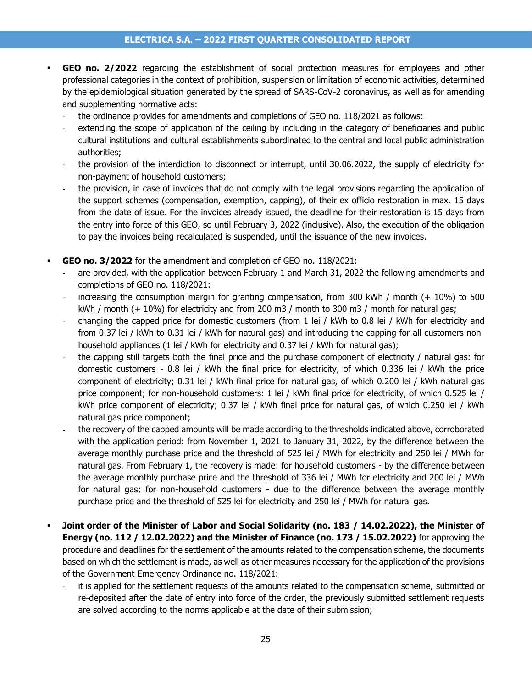- **GEO no. 2/2022** regarding the establishment of social protection measures for employees and other professional categories in the context of prohibition, suspension or limitation of economic activities, determined by the epidemiological situation generated by the spread of SARS-CoV-2 coronavirus, as well as for amending and supplementing normative acts:
	- the ordinance provides for amendments and completions of GEO no. 118/2021 as follows:
	- extending the scope of application of the ceiling by including in the category of beneficiaries and public cultural institutions and cultural establishments subordinated to the central and local public administration authorities;
	- the provision of the interdiction to disconnect or interrupt, until 30.06.2022, the supply of electricity for non-payment of household customers;
	- the provision, in case of invoices that do not comply with the legal provisions regarding the application of the support schemes (compensation, exemption, capping), of their ex officio restoration in max. 15 days from the date of issue. For the invoices already issued, the deadline for their restoration is 15 days from the entry into force of this GEO, so until February 3, 2022 (inclusive). Also, the execution of the obligation to pay the invoices being recalculated is suspended, until the issuance of the new invoices.
- **GEO no. 3/2022** for the amendment and completion of GEO no. 118/2021:
	- are provided, with the application between February 1 and March 31, 2022 the following amendments and completions of GEO no. 118/2021:
	- increasing the consumption margin for granting compensation, from 300 kWh / month  $(+ 10%)$  to 500 kWh / month (+ 10%) for electricity and from 200 m3 / month to 300 m3 / month for natural gas;
	- changing the capped price for domestic customers (from 1 lei / kWh to 0.8 lei / kWh for electricity and from 0.37 lei / kWh to 0.31 lei / kWh for natural gas) and introducing the capping for all customers nonhousehold appliances (1 lei / kWh for electricity and 0.37 lei / kWh for natural gas);
	- the capping still targets both the final price and the purchase component of electricity / natural gas: for domestic customers - 0.8 lei / kWh the final price for electricity, of which 0.336 lei / kWh the price component of electricity; 0.31 lei / kWh final price for natural gas, of which 0.200 lei / kWh natural gas price component; for non-household customers: 1 lei / kWh final price for electricity, of which 0.525 lei / kWh price component of electricity; 0.37 lei / kWh final price for natural gas, of which 0.250 lei / kWh natural gas price component;
	- the recovery of the capped amounts will be made according to the thresholds indicated above, corroborated with the application period: from November 1, 2021 to January 31, 2022, by the difference between the average monthly purchase price and the threshold of 525 lei / MWh for electricity and 250 lei / MWh for natural gas. From February 1, the recovery is made: for household customers - by the difference between the average monthly purchase price and the threshold of 336 lei / MWh for electricity and 200 lei / MWh for natural gas; for non-household customers - due to the difference between the average monthly purchase price and the threshold of 525 lei for electricity and 250 lei / MWh for natural gas.
- **Joint order of the Minister of Labor and Social Solidarity (no. 183 / 14.02.2022), the Minister of Energy (no. 112 / 12.02.2022) and the Minister of Finance (no. 173 / 15.02.2022)** for approving the procedure and deadlines for the settlement of the amounts related to the compensation scheme, the documents based on which the settlement is made, as well as other measures necessary for the application of the provisions of the Government Emergency Ordinance no. 118/2021:
	- it is applied for the settlement requests of the amounts related to the compensation scheme, submitted or re-deposited after the date of entry into force of the order, the previously submitted settlement requests are solved according to the norms applicable at the date of their submission;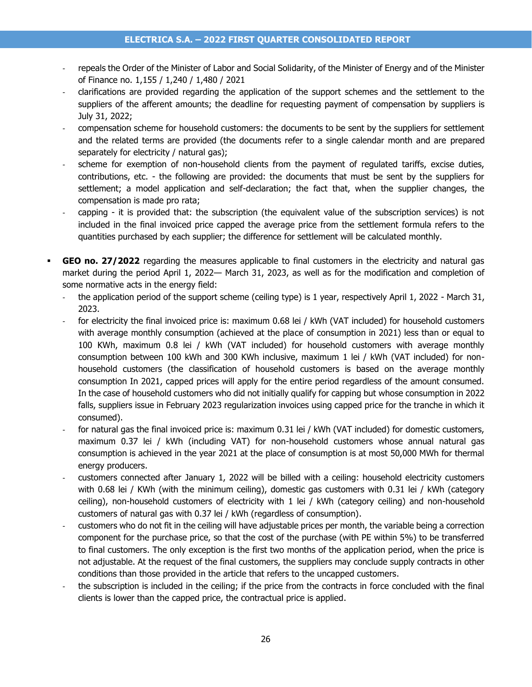- repeals the Order of the Minister of Labor and Social Solidarity, of the Minister of Energy and of the Minister of Finance no. 1,155 / 1,240 / 1,480 / 2021
- clarifications are provided regarding the application of the support schemes and the settlement to the suppliers of the afferent amounts; the deadline for requesting payment of compensation by suppliers is July 31, 2022;
- compensation scheme for household customers: the documents to be sent by the suppliers for settlement and the related terms are provided (the documents refer to a single calendar month and are prepared separately for electricity / natural gas);
- scheme for exemption of non-household clients from the payment of requlated tariffs, excise duties, contributions, etc. - the following are provided: the documents that must be sent by the suppliers for settlement; a model application and self-declaration; the fact that, when the supplier changes, the compensation is made pro rata;
- capping it is provided that: the subscription (the equivalent value of the subscription services) is not included in the final invoiced price capped the average price from the settlement formula refers to the quantities purchased by each supplier; the difference for settlement will be calculated monthly.
- **GEO no. 27/2022** regarding the measures applicable to final customers in the electricity and natural gas market during the period April 1, 2022— March 31, 2023, as well as for the modification and completion of some normative acts in the energy field:
	- the application period of the support scheme (ceiling type) is 1 year, respectively April 1, 2022 March 31, 2023.
	- for electricity the final invoiced price is: maximum 0.68 lei / kWh (VAT included) for household customers with average monthly consumption (achieved at the place of consumption in 2021) less than or equal to 100 KWh, maximum 0.8 lei / kWh (VAT included) for household customers with average monthly consumption between 100 kWh and 300 KWh inclusive, maximum 1 lei / kWh (VAT included) for nonhousehold customers (the classification of household customers is based on the average monthly consumption In 2021, capped prices will apply for the entire period regardless of the amount consumed. In the case of household customers who did not initially qualify for capping but whose consumption in 2022 falls, suppliers issue in February 2023 regularization invoices using capped price for the tranche in which it consumed).
	- for natural gas the final invoiced price is: maximum 0.31 lei / kWh (VAT included) for domestic customers, maximum 0.37 lei / kWh (including VAT) for non-household customers whose annual natural gas consumption is achieved in the year 2021 at the place of consumption is at most 50,000 MWh for thermal energy producers.
	- customers connected after January 1, 2022 will be billed with a ceiling: household electricity customers with 0.68 lei / KWh (with the minimum ceiling), domestic gas customers with 0.31 lei / kWh (category ceiling), non-household customers of electricity with 1 lei / kWh (category ceiling) and non-household customers of natural gas with 0.37 lei / kWh (regardless of consumption).
	- customers who do not fit in the ceiling will have adjustable prices per month, the variable being a correction component for the purchase price, so that the cost of the purchase (with PE within 5%) to be transferred to final customers. The only exception is the first two months of the application period, when the price is not adjustable. At the request of the final customers, the suppliers may conclude supply contracts in other conditions than those provided in the article that refers to the uncapped customers.
	- the subscription is included in the ceiling; if the price from the contracts in force concluded with the final clients is lower than the capped price, the contractual price is applied.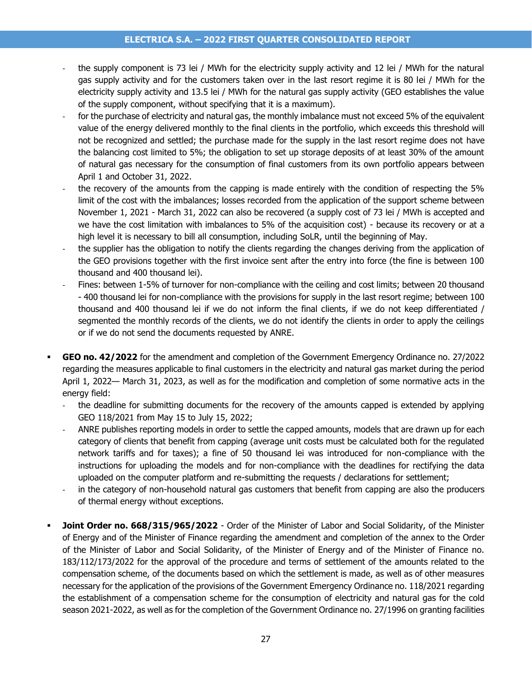- the supply component is 73 lei / MWh for the electricity supply activity and 12 lei / MWh for the natural gas supply activity and for the customers taken over in the last resort regime it is 80 lei / MWh for the electricity supply activity and 13.5 lei / MWh for the natural gas supply activity (GEO establishes the value of the supply component, without specifying that it is a maximum).
- for the purchase of electricity and natural gas, the monthly imbalance must not exceed 5% of the equivalent value of the energy delivered monthly to the final clients in the portfolio, which exceeds this threshold will not be recognized and settled; the purchase made for the supply in the last resort regime does not have the balancing cost limited to 5%; the obligation to set up storage deposits of at least 30% of the amount of natural gas necessary for the consumption of final customers from its own portfolio appears between April 1 and October 31, 2022.
- the recovery of the amounts from the capping is made entirely with the condition of respecting the 5% limit of the cost with the imbalances; losses recorded from the application of the support scheme between November 1, 2021 - March 31, 2022 can also be recovered (a supply cost of 73 lei / MWh is accepted and we have the cost limitation with imbalances to 5% of the acquisition cost) - because its recovery or at a high level it is necessary to bill all consumption, including SoLR, until the beginning of May.
- the supplier has the obligation to notify the clients regarding the changes deriving from the application of the GEO provisions together with the first invoice sent after the entry into force (the fine is between 100 thousand and 400 thousand lei).
- Fines: between 1-5% of turnover for non-compliance with the ceiling and cost limits; between 20 thousand - 400 thousand lei for non-compliance with the provisions for supply in the last resort regime; between 100 thousand and 400 thousand lei if we do not inform the final clients, if we do not keep differentiated / segmented the monthly records of the clients, we do not identify the clients in order to apply the ceilings or if we do not send the documents requested by ANRE.
- **GEO no. 42/2022** for the amendment and completion of the Government Emergency Ordinance no. 27/2022 regarding the measures applicable to final customers in the electricity and natural gas market during the period April 1, 2022— March 31, 2023, as well as for the modification and completion of some normative acts in the energy field:
	- the deadline for submitting documents for the recovery of the amounts capped is extended by applying GEO 118/2021 from May 15 to July 15, 2022;
	- ANRE publishes reporting models in order to settle the capped amounts, models that are drawn up for each category of clients that benefit from capping (average unit costs must be calculated both for the regulated network tariffs and for taxes); a fine of 50 thousand lei was introduced for non-compliance with the instructions for uploading the models and for non-compliance with the deadlines for rectifying the data uploaded on the computer platform and re-submitting the requests / declarations for settlement;
	- in the category of non-household natural gas customers that benefit from capping are also the producers of thermal energy without exceptions.
- Joint Order no. 668/315/965/2022 Order of the Minister of Labor and Social Solidarity, of the Minister of Energy and of the Minister of Finance regarding the amendment and completion of the annex to the Order of the Minister of Labor and Social Solidarity, of the Minister of Energy and of the Minister of Finance no. 183/112/173/2022 for the approval of the procedure and terms of settlement of the amounts related to the compensation scheme, of the documents based on which the settlement is made, as well as of other measures necessary for the application of the provisions of the Government Emergency Ordinance no. 118/2021 regarding the establishment of a compensation scheme for the consumption of electricity and natural gas for the cold season 2021-2022, as well as for the completion of the Government Ordinance no. 27/1996 on granting facilities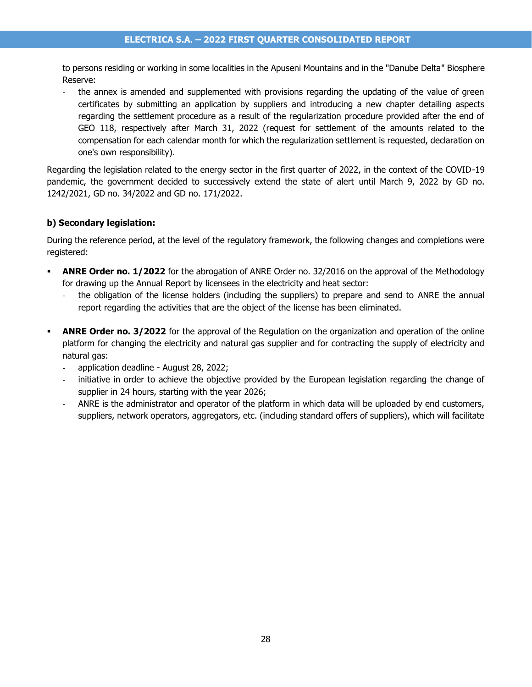to persons residing or working in some localities in the Apuseni Mountains and in the "Danube Delta" Biosphere Reserve:

the annex is amended and supplemented with provisions regarding the updating of the value of green certificates by submitting an application by suppliers and introducing a new chapter detailing aspects regarding the settlement procedure as a result of the regularization procedure provided after the end of GEO 118, respectively after March 31, 2022 (request for settlement of the amounts related to the compensation for each calendar month for which the regularization settlement is requested, declaration on one's own responsibility).

Regarding the legislation related to the energy sector in the first quarter of 2022, in the context of the COVID-19 pandemic, the government decided to successively extend the state of alert until March 9, 2022 by GD no. 1242/2021, GD no. 34/2022 and GD no. 171/2022.

#### **b) Secondary legislation:**

During the reference period, at the level of the regulatory framework, the following changes and completions were registered:

- **ANRE Order no. 1/2022** for the abrogation of ANRE Order no. 32/2016 on the approval of the Methodology for drawing up the Annual Report by licensees in the electricity and heat sector:
	- the obligation of the license holders (including the suppliers) to prepare and send to ANRE the annual report regarding the activities that are the object of the license has been eliminated.
- **ANRE Order no. 3/2022** for the approval of the Regulation on the organization and operation of the online platform for changing the electricity and natural gas supplier and for contracting the supply of electricity and natural gas:
	- application deadline August 28, 2022;
	- initiative in order to achieve the objective provided by the European legislation regarding the change of supplier in 24 hours, starting with the year 2026;
	- ANRE is the administrator and operator of the platform in which data will be uploaded by end customers, suppliers, network operators, aggregators, etc. (including standard offers of suppliers), which will facilitate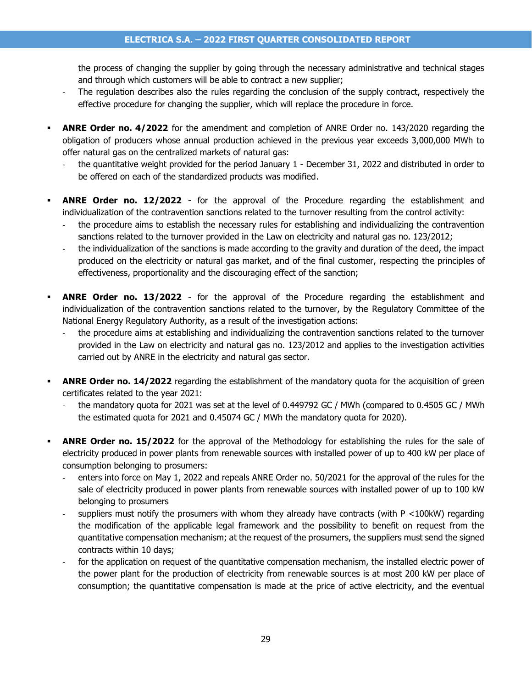the process of changing the supplier by going through the necessary administrative and technical stages and through which customers will be able to contract a new supplier;

- The regulation describes also the rules regarding the conclusion of the supply contract, respectively the effective procedure for changing the supplier, which will replace the procedure in force.
- **ANRE Order no. 4/2022** for the amendment and completion of ANRE Order no. 143/2020 regarding the obligation of producers whose annual production achieved in the previous year exceeds 3,000,000 MWh to offer natural gas on the centralized markets of natural gas:
	- the quantitative weight provided for the period January 1 December 31, 2022 and distributed in order to be offered on each of the standardized products was modified.
- ANRE Order no. 12/2022 for the approval of the Procedure regarding the establishment and individualization of the contravention sanctions related to the turnover resulting from the control activity:
	- the procedure aims to establish the necessary rules for establishing and individualizing the contravention sanctions related to the turnover provided in the Law on electricity and natural gas no. 123/2012;
	- the individualization of the sanctions is made according to the gravity and duration of the deed, the impact produced on the electricity or natural gas market, and of the final customer, respecting the principles of effectiveness, proportionality and the discouraging effect of the sanction;
- **ANRE Order no. 13/2022** for the approval of the Procedure regarding the establishment and individualization of the contravention sanctions related to the turnover, by the Regulatory Committee of the National Energy Regulatory Authority, as a result of the investigation actions:
	- the procedure aims at establishing and individualizing the contravention sanctions related to the turnover provided in the Law on electricity and natural gas no. 123/2012 and applies to the investigation activities carried out by ANRE in the electricity and natural gas sector.
- **ANRE Order no. 14/2022** regarding the establishment of the mandatory quota for the acquisition of green certificates related to the year 2021:
	- the mandatory quota for 2021 was set at the level of 0.449792 GC / MWh (compared to 0.4505 GC / MWh the estimated quota for 2021 and 0.45074 GC / MWh the mandatory quota for 2020).
- **ANRE Order no. 15/2022** for the approval of the Methodology for establishing the rules for the sale of electricity produced in power plants from renewable sources with installed power of up to 400 kW per place of consumption belonging to prosumers:
	- enters into force on May 1, 2022 and repeals ANRE Order no. 50/2021 for the approval of the rules for the sale of electricity produced in power plants from renewable sources with installed power of up to 100 kW belonging to prosumers
	- suppliers must notify the prosumers with whom they already have contracts (with  $P < 100kW$ ) regarding the modification of the applicable legal framework and the possibility to benefit on request from the quantitative compensation mechanism; at the request of the prosumers, the suppliers must send the signed contracts within 10 days;
	- for the application on request of the quantitative compensation mechanism, the installed electric power of the power plant for the production of electricity from renewable sources is at most 200 kW per place of consumption; the quantitative compensation is made at the price of active electricity, and the eventual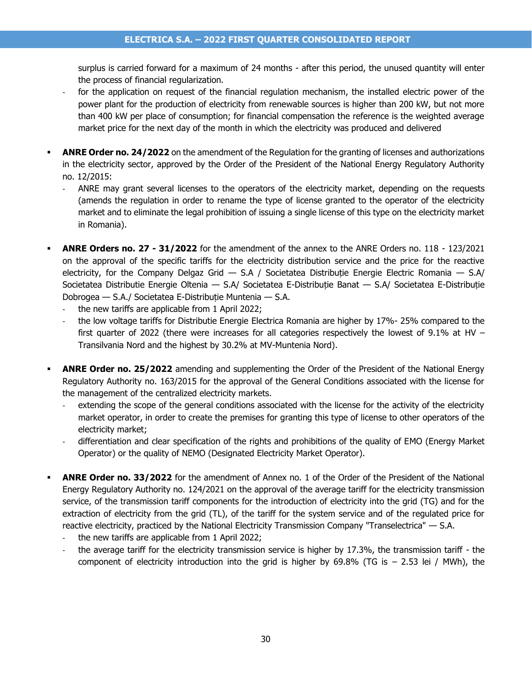surplus is carried forward for a maximum of 24 months - after this period, the unused quantity will enter the process of financial regularization.

- for the application on request of the financial regulation mechanism, the installed electric power of the power plant for the production of electricity from renewable sources is higher than 200 kW, but not more than 400 kW per place of consumption; for financial compensation the reference is the weighted average market price for the next day of the month in which the electricity was produced and delivered
- **ANRE Order no. 24/2022** on the amendment of the Regulation for the granting of licenses and authorizations in the electricity sector, approved by the Order of the President of the National Energy Regulatory Authority no. 12/2015:
	- ANRE may grant several licenses to the operators of the electricity market, depending on the requests (amends the regulation in order to rename the type of license granted to the operator of the electricity market and to eliminate the legal prohibition of issuing a single license of this type on the electricity market in Romania).
- **ANRE Orders no. 27 - 31/2022** for the amendment of the annex to the ANRE Orders no. 118 123/2021 on the approval of the specific tariffs for the electricity distribution service and the price for the reactive electricity, for the Company Delgaz Grid  $-$  S.A / Societatea Distribuție Energie Electric Romania  $-$  S.A/ Societatea Distributie Energie Oltenia — S.A/ Societatea E-Distribuție Banat — S.A/ Societatea E-Distribuție Dobrogea — S.A./ Societatea E-Distribuție Muntenia — S.A.
	- the new tariffs are applicable from 1 April 2022;
	- the low voltage tariffs for Distributie Energie Electrica Romania are higher by 17%- 25% compared to the first quarter of 2022 (there were increases for all categories respectively the lowest of 9.1% at HV  $-$ Transilvania Nord and the highest by 30.2% at MV-Muntenia Nord).
- **ANRE Order no. 25/2022** amending and supplementing the Order of the President of the National Energy Regulatory Authority no. 163/2015 for the approval of the General Conditions associated with the license for the management of the centralized electricity markets.
	- extending the scope of the general conditions associated with the license for the activity of the electricity market operator, in order to create the premises for granting this type of license to other operators of the electricity market;
	- differentiation and clear specification of the rights and prohibitions of the quality of EMO (Energy Market Operator) or the quality of NEMO (Designated Electricity Market Operator).
- **ANRE Order no. 33/2022** for the amendment of Annex no. 1 of the Order of the President of the National Energy Regulatory Authority no. 124/2021 on the approval of the average tariff for the electricity transmission service, of the transmission tariff components for the introduction of electricity into the grid (TG) and for the extraction of electricity from the grid (TL), of the tariff for the system service and of the regulated price for reactive electricity, practiced by the National Electricity Transmission Company "Transelectrica" — S.A.
	- the new tariffs are applicable from 1 April 2022;
	- the average tariff for the electricity transmission service is higher by 17.3%, the transmission tariff the component of electricity introduction into the grid is higher by  $69.8\%$  (TG is  $- 2.53$  lei / MWh), the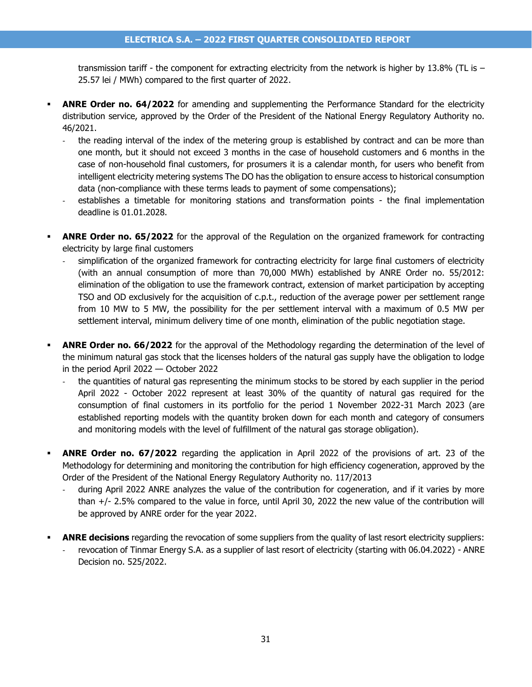transmission tariff - the component for extracting electricity from the network is higher by 13.8% (TL is – 25.57 lei / MWh) compared to the first quarter of 2022.

- **ANRE Order no. 64/2022** for amending and supplementing the Performance Standard for the electricity distribution service, approved by the Order of the President of the National Energy Regulatory Authority no. 46/2021.
	- the reading interval of the index of the metering group is established by contract and can be more than one month, but it should not exceed 3 months in the case of household customers and 6 months in the case of non-household final customers, for prosumers it is a calendar month, for users who benefit from intelligent electricity metering systems The DO has the obligation to ensure access to historical consumption data (non-compliance with these terms leads to payment of some compensations);
	- establishes a timetable for monitoring stations and transformation points the final implementation deadline is 01.01.2028.
- **ANRE Order no. 65/2022** for the approval of the Regulation on the organized framework for contracting electricity by large final customers
	- simplification of the organized framework for contracting electricity for large final customers of electricity (with an annual consumption of more than 70,000 MWh) established by ANRE Order no. 55/2012: elimination of the obligation to use the framework contract, extension of market participation by accepting TSO and OD exclusively for the acquisition of c.p.t., reduction of the average power per settlement range from 10 MW to 5 MW, the possibility for the per settlement interval with a maximum of 0.5 MW per settlement interval, minimum delivery time of one month, elimination of the public negotiation stage.
- **ANRE Order no. 66/2022** for the approval of the Methodology regarding the determination of the level of the minimum natural gas stock that the licenses holders of the natural gas supply have the obligation to lodge in the period April 2022 — October 2022
	- the quantities of natural gas representing the minimum stocks to be stored by each supplier in the period April 2022 - October 2022 represent at least 30% of the quantity of natural gas required for the consumption of final customers in its portfolio for the period 1 November 2022-31 March 2023 (are established reporting models with the quantity broken down for each month and category of consumers and monitoring models with the level of fulfillment of the natural gas storage obligation).
- **ANRE Order no. 67/2022** regarding the application in April 2022 of the provisions of art. 23 of the Methodology for determining and monitoring the contribution for high efficiency cogeneration, approved by the Order of the President of the National Energy Regulatory Authority no. 117/2013
	- during April 2022 ANRE analyzes the value of the contribution for cogeneration, and if it varies by more than +/- 2.5% compared to the value in force, until April 30, 2022 the new value of the contribution will be approved by ANRE order for the year 2022.
- **ANRE decisions** regarding the revocation of some suppliers from the quality of last resort electricity suppliers:
	- revocation of Tinmar Energy S.A. as a supplier of last resort of electricity (starting with 06.04.2022) ANRE Decision no. 525/2022.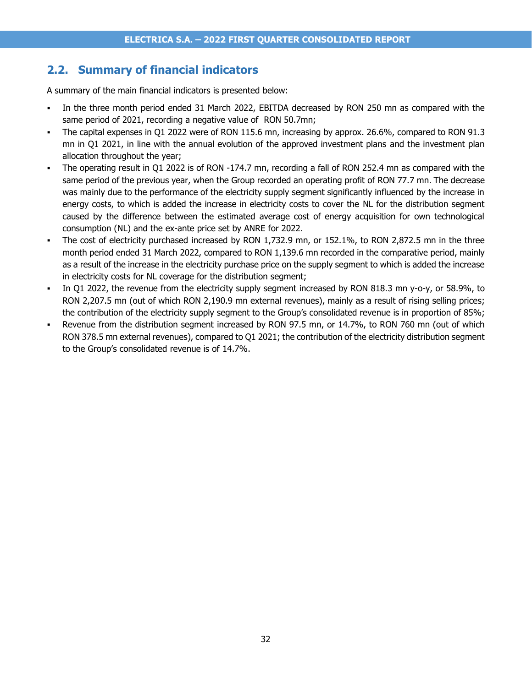### <span id="page-31-0"></span>**2.2. Summary of financial indicators**

A summary of the main financial indicators is presented below:

- In the three month period ended 31 March 2022, EBITDA decreased by RON 250 mn as compared with the same period of 2021, recording a negative value of RON 50.7mn;
- The capital expenses in Q1 2022 were of RON 115.6 mn, increasing by approx. 26.6%, compared to RON 91.3 mn in Q1 2021, in line with the annual evolution of the approved investment plans and the investment plan allocation throughout the year;
- The operating result in Q1 2022 is of RON -174.7 mn, recording a fall of RON 252.4 mn as compared with the same period of the previous year, when the Group recorded an operating profit of RON 77.7 mn. The decrease was mainly due to the performance of the electricity supply segment significantly influenced by the increase in energy costs, to which is added the increase in electricity costs to cover the NL for the distribution segment caused by the difference between the estimated average cost of energy acquisition for own technological consumption (NL) and the ex-ante price set by ANRE for 2022.
- The cost of electricity purchased increased by RON 1,732.9 mn, or 152.1%, to RON 2,872.5 mn in the three month period ended 31 March 2022, compared to RON 1,139.6 mn recorded in the comparative period, mainly as a result of the increase in the electricity purchase price on the supply segment to which is added the increase in electricity costs for NL coverage for the distribution segment;
- In Q1 2022, the revenue from the electricity supply segment increased by RON 818.3 mn y-o-y, or 58.9%, to RON 2,207.5 mn (out of which RON 2,190.9 mn external revenues), mainly as a result of rising selling prices; the contribution of the electricity supply segment to the Group's consolidated revenue is in proportion of 85%;
- Revenue from the distribution segment increased by RON 97.5 mn, or 14.7%, to RON 760 mn (out of which RON 378.5 mn external revenues), compared to Q1 2021; the contribution of the electricity distribution segment to the Group's consolidated revenue is of 14.7%.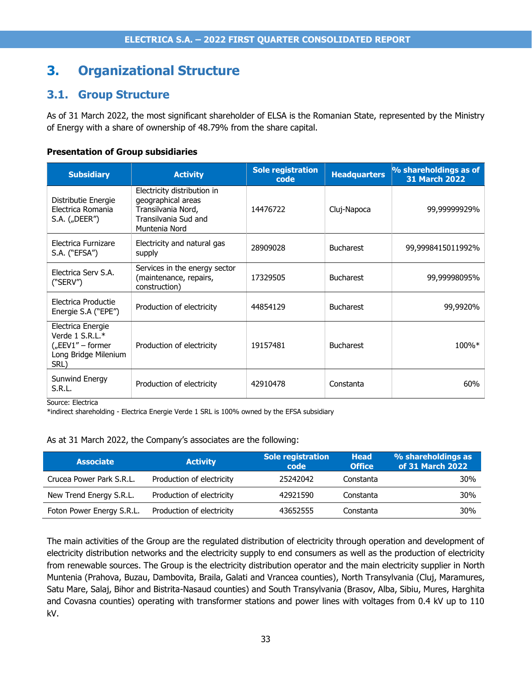# <span id="page-32-0"></span>**3. Organizational Structure**

### <span id="page-32-1"></span>**3.1. Group Structure**

As of 31 March 2022, the most significant shareholder of ELSA is the Romanian State, represented by the Ministry of Energy with a share of ownership of 48.79% from the share capital.

#### **Presentation of Group subsidiaries**

| <b>Subsidiary</b>                                                                           | <b>Activity</b>                                                                                                  | <b>Sole registration</b><br>code | <b>Headquarters</b> | % shareholdings as of<br><b>31 March 2022</b> |
|---------------------------------------------------------------------------------------------|------------------------------------------------------------------------------------------------------------------|----------------------------------|---------------------|-----------------------------------------------|
| Distributie Energie<br>Electrica Romania<br>S.A. $($ "DEER")                                | Electricity distribution in<br>geographical areas<br>Transilvania Nord,<br>Transilvania Sud and<br>Muntenia Nord | 14476722                         | Cluj-Napoca         | 99,99999929%                                  |
| Electrica Furnizare<br>S.A. ("EFSA")                                                        | Electricity and natural gas<br>supply                                                                            | 28909028                         | <b>Bucharest</b>    | 99,9998415011992%                             |
| Electrica Serv S.A.<br>("SERV")                                                             | Services in the energy sector<br>(maintenance, repairs,<br>construction)                                         | 17329505                         | <b>Bucharest</b>    | 99,99998095%                                  |
| Electrica Productie<br>Energie S.A ("EPE")                                                  | Production of electricity                                                                                        | 44854129                         | <b>Bucharest</b>    | 99,9920%                                      |
| Electrica Energie<br>Verde 1 S.R.L.*<br>$($ "EEV1" – former<br>Long Bridge Milenium<br>SRL) | Production of electricity                                                                                        | 19157481                         | <b>Bucharest</b>    | 100%*                                         |
| Sunwind Energy<br>S.R.L.                                                                    | Production of electricity                                                                                        | 42910478                         | Constanta           | 60%                                           |

Source: Electrica

\*indirect shareholding - Electrica Energie Verde 1 SRL is 100% owned by the EFSA subsidiary

#### As at 31 March 2022, the Company's associates are the following:

| <b>Associate</b>          | <b>Activity</b>           | <b>Sole registration</b><br>code | <b>Head</b><br><b>Office</b> | % shareholdings as<br>of 31 March 2022 |
|---------------------------|---------------------------|----------------------------------|------------------------------|----------------------------------------|
| Crucea Power Park S.R.L.  | Production of electricity | 25242042                         | Constanta                    | 30%                                    |
| New Trend Energy S.R.L.   | Production of electricity | 42921590                         | Constanta                    | 30%                                    |
| Foton Power Energy S.R.L. | Production of electricity | 43652555                         | Constanta                    | 30%                                    |

The main activities of the Group are the regulated distribution of electricity through operation and development of electricity distribution networks and the electricity supply to end consumers as well as the production of electricity from renewable sources. The Group is the electricity distribution operator and the main electricity supplier in North Muntenia (Prahova, Buzau, Dambovita, Braila, Galati and Vrancea counties), North Transylvania (Cluj, Maramures, Satu Mare, Salaj, Bihor and Bistrita-Nasaud counties) and South Transylvania (Brasov, Alba, Sibiu, Mures, Harghita and Covasna counties) operating with transformer stations and power lines with voltages from 0.4 kV up to 110 kV.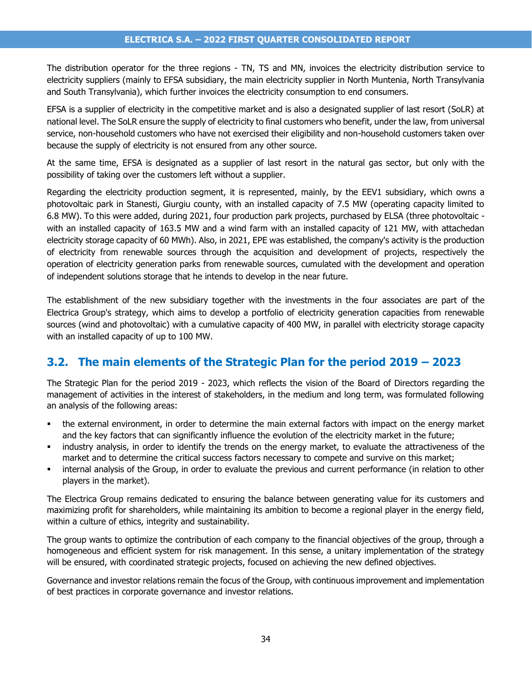The distribution operator for the three regions - TN, TS and MN, invoices the electricity distribution service to electricity suppliers (mainly to EFSA subsidiary, the main electricity supplier in North Muntenia, North Transylvania and South Transylvania), which further invoices the electricity consumption to end consumers.

EFSA is a supplier of electricity in the competitive market and is also a designated supplier of last resort (SoLR) at national level. The SoLR ensure the supply of electricity to final customers who benefit, under the law, from universal service, non-household customers who have not exercised their eligibility and non-household customers taken over because the supply of electricity is not ensured from any other source.

At the same time, EFSA is designated as a supplier of last resort in the natural gas sector, but only with the possibility of taking over the customers left without a supplier.

Regarding the electricity production segment, it is represented, mainly, by the EEV1 subsidiary, which owns a photovoltaic park in Stanesti, Giurgiu county, with an installed capacity of 7.5 MW (operating capacity limited to 6.8 MW). To this were added, during 2021, four production park projects, purchased by ELSA (three photovoltaic with an installed capacity of 163.5 MW and a wind farm with an installed capacity of 121 MW, with attachedan electricity storage capacity of 60 MWh). Also, in 2021, EPE was established, the company's activity is the production of electricity from renewable sources through the acquisition and development of projects, respectively the operation of electricity generation parks from renewable sources, cumulated with the development and operation of independent solutions storage that he intends to develop in the near future.

The establishment of the new subsidiary together with the investments in the four associates are part of the Electrica Group's strategy, which aims to develop a portfolio of electricity generation capacities from renewable sources (wind and photovoltaic) with a cumulative capacity of 400 MW, in parallel with electricity storage capacity with an installed capacity of up to 100 MW.

### <span id="page-33-0"></span>**3.2. The main elements of the Strategic Plan for the period 2019 – 2023**

The Strategic Plan for the period 2019 - 2023, which reflects the vision of the Board of Directors regarding the management of activities in the interest of stakeholders, in the medium and long term, was formulated following an analysis of the following areas:

- the external environment, in order to determine the main external factors with impact on the energy market and the key factors that can significantly influence the evolution of the electricity market in the future;
- industry analysis, in order to identify the trends on the energy market, to evaluate the attractiveness of the market and to determine the critical success factors necessary to compete and survive on this market;
- **•** internal analysis of the Group, in order to evaluate the previous and current performance (in relation to other players in the market).

The Electrica Group remains dedicated to ensuring the balance between generating value for its customers and maximizing profit for shareholders, while maintaining its ambition to become a regional player in the energy field, within a culture of ethics, integrity and sustainability.

The group wants to optimize the contribution of each company to the financial objectives of the group, through a homogeneous and efficient system for risk management. In this sense, a unitary implementation of the strategy will be ensured, with coordinated strategic projects, focused on achieving the new defined objectives.

Governance and investor relations remain the focus of the Group, with continuous improvement and implementation of best practices in corporate governance and investor relations.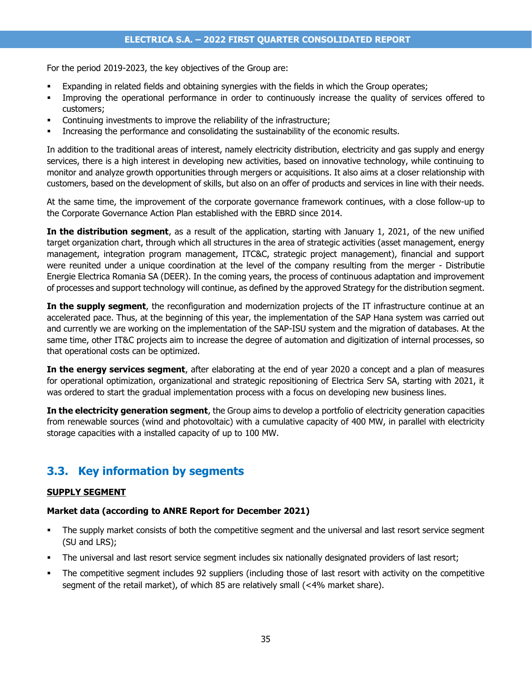For the period 2019-2023, the key objectives of the Group are:

- Expanding in related fields and obtaining synergies with the fields in which the Group operates;
- Improving the operational performance in order to continuously increase the quality of services offered to customers;
- Continuing investments to improve the reliability of the infrastructure;
- Increasing the performance and consolidating the sustainability of the economic results.

In addition to the traditional areas of interest, namely electricity distribution, electricity and gas supply and energy services, there is a high interest in developing new activities, based on innovative technology, while continuing to monitor and analyze growth opportunities through mergers or acquisitions. It also aims at a closer relationship with customers, based on the development of skills, but also on an offer of products and services in line with their needs.

At the same time, the improvement of the corporate governance framework continues, with a close follow-up to the Corporate Governance Action Plan established with the EBRD since 2014.

**In the distribution segment**, as a result of the application, starting with January 1, 2021, of the new unified target organization chart, through which all structures in the area of strategic activities (asset management, energy management, integration program management, ITC&C, strategic project management), financial and support were reunited under a unique coordination at the level of the company resulting from the merger - Distributie Energie Electrica Romania SA (DEER). In the coming years, the process of continuous adaptation and improvement of processes and support technology will continue, as defined by the approved Strategy for the distribution segment.

**In the supply segment**, the reconfiguration and modernization projects of the IT infrastructure continue at an accelerated pace. Thus, at the beginning of this year, the implementation of the SAP Hana system was carried out and currently we are working on the implementation of the SAP-ISU system and the migration of databases. At the same time, other IT&C projects aim to increase the degree of automation and digitization of internal processes, so that operational costs can be optimized.

**In the energy services segment**, after elaborating at the end of year 2020 a concept and a plan of measures for operational optimization, organizational and strategic repositioning of Electrica Serv SA, starting with 2021, it was ordered to start the gradual implementation process with a focus on developing new business lines.

**In the electricity generation segment**, the Group aims to develop a portfolio of electricity generation capacities from renewable sources (wind and photovoltaic) with a cumulative capacity of 400 MW, in parallel with electricity storage capacities with a installed capacity of up to 100 MW.

## <span id="page-34-0"></span>**3.3. Key information by segments**

#### **SUPPLY SEGMENT**

#### **Market data (according to ANRE Report for December 2021)**

- The supply market consists of both the competitive segment and the universal and last resort service segment (SU and LRS);
- The universal and last resort service segment includes six nationally designated providers of last resort;
- The competitive segment includes 92 suppliers (including those of last resort with activity on the competitive segment of the retail market), of which 85 are relatively small (<4% market share).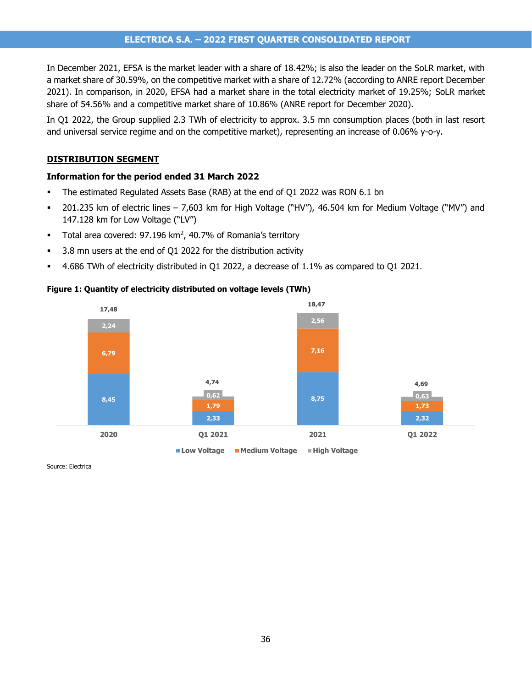#### **ELECTRICA S.A. – 2022 FIRST QUARTER CONSOLIDATED REPORT**

In December 2021, EFSA is the market leader with a share of 18.42%; is also the leader on the SoLR market, with a market share of 30.59%, on the competitive market with a share of 12.72% (according to ANRE report December 2021). In comparison, in 2020, EFSA had a market share in the total electricity market of 19.25%; SoLR market share of 54.56% and a competitive market share of 10.86% (ANRE report for December 2020).

In Q1 2022, the Group supplied 2.3 TWh of electricity to approx. 3.5 mn consumption places (both in last resort and universal service regime and on the competitive market), representing an increase of 0.06% y-o-y.

#### **DISTRIBUTION SEGMENT**

#### **Information for the period ended 31 March 2022**

- The estimated Regulated Assets Base (RAB) at the end of Q1 2022 was RON 6.1 bn
- 201.235 km of electric lines 7,603 km for High Voltage ("HV"), 46.504 km for Medium Voltage ("MV") and 147.128 km for Low Voltage ("LV")
- **Total area covered: 97.196 km<sup>2</sup>, 40.7% of Romania's territory**
- 3.8 mn users at the end of Q1 2022 for the distribution activity
- 4.686 TWh of electricity distributed in Q1 2022, a decrease of 1.1% as compared to Q1 2021.



#### **Figure 1: Quantity of electricity distributed on voltage levels (TWh)**

Source: Electrica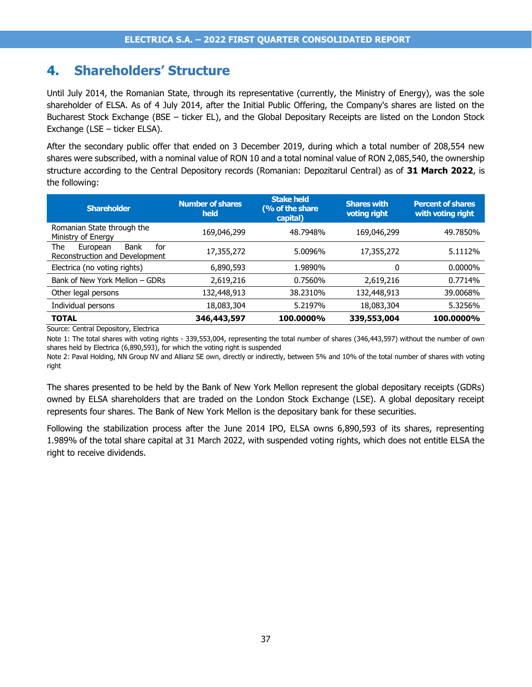# **4. Shareholders' Structure**

Until July 2014, the Romanian State, through its representative (currently, the Ministry of Energy), was the sole shareholder of ELSA. As of 4 July 2014, after the Initial Public Offering, the Company's shares are listed on the Bucharest Stock Exchange (BSE – ticker EL), and the Global Depositary Receipts are listed on the London Stock Exchange (LSE – ticker ELSA).

After the secondary public offer that ended on 3 December 2019, during which a total number of 208,554 new shares were subscribed, with a nominal value of RON 10 and a total nominal value of RON 2,085,540, the ownership structure according to the Central Depository records (Romanian: Depozitarul Central) as of **31 March 2022**, is the following:

| <b>Shareholder</b>                                                      | <b>Number of shares</b><br>held | <b>Stake held</b><br>(% of the share<br>capital) | <b>Shares with</b><br>voting right | <b>Percent of shares</b><br>with voting right |
|-------------------------------------------------------------------------|---------------------------------|--------------------------------------------------|------------------------------------|-----------------------------------------------|
| Romanian State through the<br>Ministry of Energy                        | 169,046,299                     | 48.7948%                                         | 169,046,299                        | 49.7850%                                      |
| The<br>for<br><b>Bank</b><br>European<br>Reconstruction and Development | 17,355,272                      | 5.0096%                                          | 17,355,272                         | 5.1112%                                       |
| Electrica (no voting rights)                                            | 6,890,593                       | 1.9890%                                          | 0                                  | $0.0000\%$                                    |
| Bank of New York Mellon - GDRs                                          | 2,619,216                       | 0.7560%                                          | 2,619,216                          | 0.7714%                                       |
| Other legal persons                                                     | 132,448,913                     | 38.2310%                                         | 132,448,913                        | 39.0068%                                      |
| Individual persons                                                      | 18,083,304                      | 5.2197%                                          | 18,083,304                         | 5.3256%                                       |
| <b>TOTAL</b>                                                            | 346,443,597                     | 100.0000%                                        | 339,553,004                        | 100.0000%                                     |

Source: Central Depository, Electrica

Note 1: The total shares with voting rights - 339,553,004, representing the total number of shares (346,443,597) without the number of own shares held by Electrica (6,890,593), for which the voting right is suspended

Note 2: Paval Holding, NN Group NV and Allianz SE own, directly or indirectly, between 5% and 10% of the total number of shares with voting right

The shares presented to be held by the Bank of New York Mellon represent the global depositary receipts (GDRs) owned by ELSA shareholders that are traded on the London Stock Exchange (LSE). A global depositary receipt represents four shares. The Bank of New York Mellon is the depositary bank for these securities.

Following the stabilization process after the June 2014 IPO, ELSA owns 6,890,593 of its shares, representing 1.989% of the total share capital at 31 March 2022, with suspended voting rights, which does not entitle ELSA the right to receive dividends.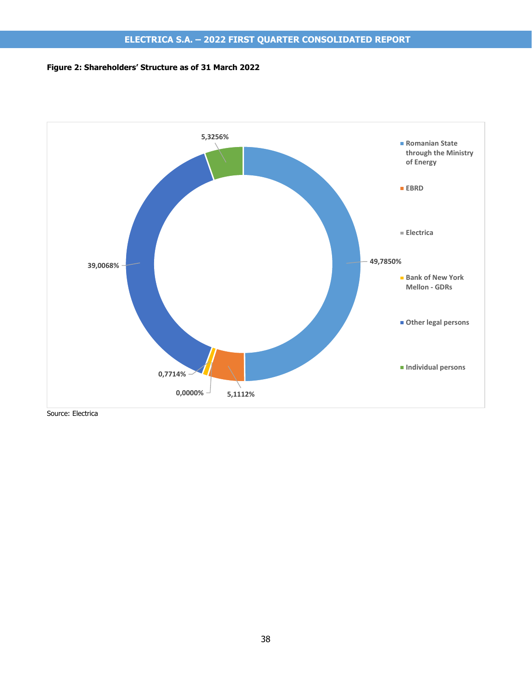### **Figure 2: Shareholders' Structure as of 31 March 2022**



Source: Electrica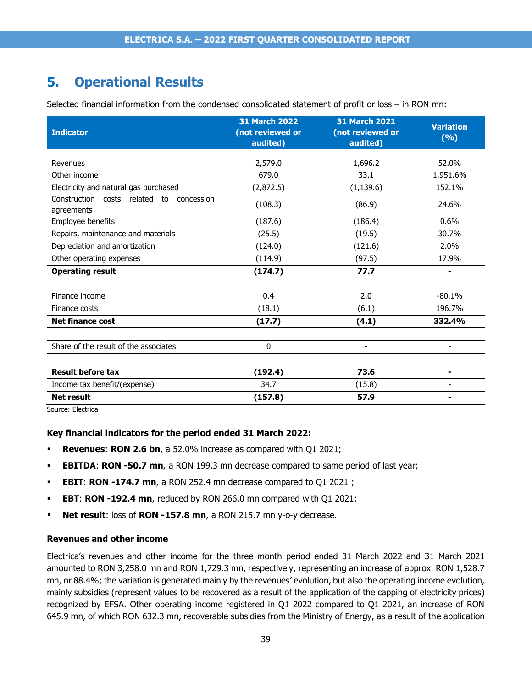# **5. Operational Results**

Selected financial information from the condensed consolidated statement of profit or loss – in RON mn:

| <b>Indicator</b>                                       | <b>31 March 2022</b><br>(not reviewed or<br>audited) | <b>31 March 2021</b><br>(not reviewed or<br>audited) | <b>Variation</b><br>(%) |
|--------------------------------------------------------|------------------------------------------------------|------------------------------------------------------|-------------------------|
| Revenues                                               | 2,579.0                                              | 1,696.2                                              | 52.0%                   |
| Other income                                           | 679.0                                                | 33.1                                                 | 1,951.6%                |
| Electricity and natural gas purchased                  | (2,872.5)                                            | (1, 139.6)                                           | 152.1%                  |
| Construction costs related to concession<br>agreements | (108.3)                                              | (86.9)                                               | 24.6%                   |
| Employee benefits                                      | (187.6)                                              | (186.4)                                              | 0.6%                    |
| Repairs, maintenance and materials                     | (25.5)                                               | (19.5)                                               | 30.7%                   |
| Depreciation and amortization                          | (124.0)                                              | (121.6)                                              | 2.0%                    |
| Other operating expenses                               | (114.9)                                              | (97.5)                                               | 17.9%                   |
| <b>Operating result</b>                                | (174.7)                                              | 77.7                                                 | ۰                       |
|                                                        |                                                      |                                                      |                         |
| Finance income                                         | 0.4                                                  | 2.0                                                  | $-80.1%$                |
| Finance costs                                          | (18.1)                                               | (6.1)                                                | 196.7%                  |
| <b>Net finance cost</b>                                | (17.7)                                               | (4.1)                                                | 332.4%                  |
|                                                        |                                                      |                                                      |                         |
| Share of the result of the associates                  | 0                                                    |                                                      |                         |
|                                                        |                                                      |                                                      |                         |
| <b>Result before tax</b>                               | (192.4)                                              | 73.6                                                 | ۰.                      |
| Income tax benefit/(expense)                           | 34.7                                                 | (15.8)                                               |                         |
| <b>Net result</b>                                      | (157.8)                                              | 57.9                                                 | $\blacksquare$          |

Source: Electrica

#### **Key financial indicators for the period ended 31 March 2022:**

- **Revenues: RON 2.6 bn, a 52.0% increase as compared with Q1 2021;**
- **EBITDA: RON -50.7 mn, a RON 199.3 mn decrease compared to same period of last year;**
- **EBIT**: **RON -174.7 mn**, a RON 252.4 mn decrease compared to Q1 2021 ;
- **EBT**: **RON -192.4 mn**, reduced by RON 266.0 mn compared with Q1 2021;
- **Net result**: loss of **RON -157.8 mn**, a RON 215.7 mn y-o-y decrease.

#### **Revenues and other income**

Electrica's revenues and other income for the three month period ended 31 March 2022 and 31 March 2021 amounted to RON 3,258.0 mn and RON 1,729.3 mn, respectively, representing an increase of approx. RON 1,528.7 mn, or 88.4%; the variation is generated mainly by the revenues' evolution, but also the operating income evolution, mainly subsidies (represent values to be recovered as a result of the application of the capping of electricity prices) recognized by EFSA. Other operating income registered in Q1 2022 compared to Q1 2021, an increase of RON 645.9 mn, of which RON 632.3 mn, recoverable subsidies from the Ministry of Energy, as a result of the application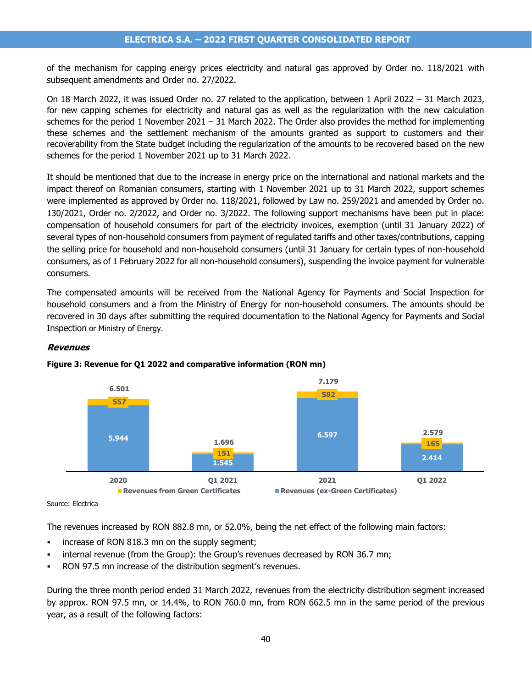of the mechanism for capping energy prices electricity and natural gas approved by Order no. 118/2021 with subsequent amendments and Order no. 27/2022.

On 18 March 2022, it was issued Order no. 27 related to the application, between 1 April 2022 – 31 March 2023, for new capping schemes for electricity and natural gas as well as the regularization with the new calculation schemes for the period 1 November 2021 – 31 March 2022. The Order also provides the method for implementing these schemes and the settlement mechanism of the amounts granted as support to customers and their recoverability from the State budget including the regularization of the amounts to be recovered based on the new schemes for the period 1 November 2021 up to 31 March 2022.

It should be mentioned that due to the increase in energy price on the international and national markets and the impact thereof on Romanian consumers, starting with 1 November 2021 up to 31 March 2022, support schemes were implemented as approved by Order no. 118/2021, followed by Law no. 259/2021 and amended by Order no. 130/2021, Order no. 2/2022, and Order no. 3/2022. The following support mechanisms have been put in place: compensation of household consumers for part of the electricity invoices, exemption (until 31 January 2022) of several types of non-household consumers from payment of regulated tariffs and other taxes/contributions, capping the selling price for household and non-household consumers (until 31 January for certain types of non-household consumers, as of 1 February 2022 for all non-household consumers), suspending the invoice payment for vulnerable consumers.

The compensated amounts will be received from the National Agency for Payments and Social Inspection for household consumers and a from the Ministry of Energy for non-household consumers. The amounts should be recovered in 30 days after submitting the required documentation to the National Agency for Payments and Social Inspection or Ministry of Energy.



### **Revenues**



The revenues increased by RON 882.8 mn, or 52.0%, being the net effect of the following main factors:

- increase of RON 818.3 mn on the supply segment;
- internal revenue (from the Group): the Group's revenues decreased by RON 36.7 mn;
- RON 97.5 mn increase of the distribution segment's revenues.

During the three month period ended 31 March 2022, revenues from the electricity distribution segment increased by approx. RON 97.5 mn, or 14.4%, to RON 760.0 mn, from RON 662.5 mn in the same period of the previous year, as a result of the following factors:

Source: Electrica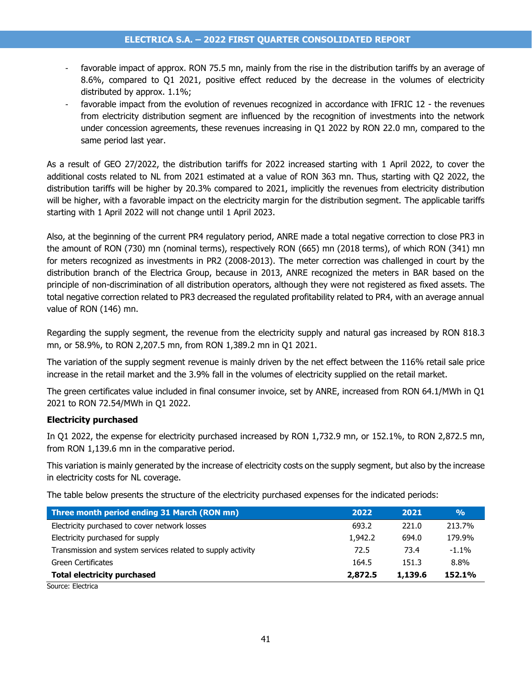- favorable impact of approx. RON 75.5 mn, mainly from the rise in the distribution tariffs by an average of 8.6%, compared to Q1 2021, positive effect reduced by the decrease in the volumes of electricity distributed by approx. 1.1%;
- favorable impact from the evolution of revenues recognized in accordance with IFRIC 12 the revenues from electricity distribution segment are influenced by the recognition of investments into the network under concession agreements, these revenues increasing in Q1 2022 by RON 22.0 mn, compared to the same period last year.

As a result of GEO 27/2022, the distribution tariffs for 2022 increased starting with 1 April 2022, to cover the additional costs related to NL from 2021 estimated at a value of RON 363 mn. Thus, starting with Q2 2022, the distribution tariffs will be higher by 20.3% compared to 2021, implicitly the revenues from electricity distribution will be higher, with a favorable impact on the electricity margin for the distribution segment. The applicable tariffs starting with 1 April 2022 will not change until 1 April 2023.

Also, at the beginning of the current PR4 regulatory period, ANRE made a total negative correction to close PR3 in the amount of RON (730) mn (nominal terms), respectively RON (665) mn (2018 terms), of which RON (341) mn for meters recognized as investments in PR2 (2008-2013). The meter correction was challenged in court by the distribution branch of the Electrica Group, because in 2013, ANRE recognized the meters in BAR based on the principle of non-discrimination of all distribution operators, although they were not registered as fixed assets. The total negative correction related to PR3 decreased the regulated profitability related to PR4, with an average annual value of RON (146) mn.

Regarding the supply segment, the revenue from the electricity supply and natural gas increased by RON 818.3 mn, or 58.9%, to RON 2,207.5 mn, from RON 1,389.2 mn in Q1 2021.

The variation of the supply segment revenue is mainly driven by the net effect between the 116% retail sale price increase in the retail market and the 3.9% fall in the volumes of electricity supplied on the retail market.

The green certificates value included in final consumer invoice, set by ANRE, increased from RON 64.1/MWh in Q1 2021 to RON 72.54/MWh in Q1 2022.

### **Electricity purchased**

In Q1 2022, the expense for electricity purchased increased by RON 1,732.9 mn, or 152.1%, to RON 2,872.5 mn, from RON 1,139.6 mn in the comparative period.

This variation is mainly generated by the increase of electricity costs on the supply segment, but also by the increase in electricity costs for NL coverage.

The table below presents the structure of the electricity purchased expenses for the indicated periods:

| Three month period ending 31 March (RON mn)                 | 2022    | 2021    | $\frac{0}{0}$ |
|-------------------------------------------------------------|---------|---------|---------------|
| Electricity purchased to cover network losses               | 693.2   | 221.0   | 213.7%        |
| Electricity purchased for supply                            | 1,942.2 | 694.0   | 179.9%        |
| Transmission and system services related to supply activity | 72.5    | 73.4    | $-1.1%$       |
| Green Certificates                                          | 164.5   | 151.3   | 8.8%          |
| <b>Total electricity purchased</b>                          | 2,872.5 | 1,139.6 | 152.1%        |
| Courseu Electrica                                           |         |         |               |

Source: Electrica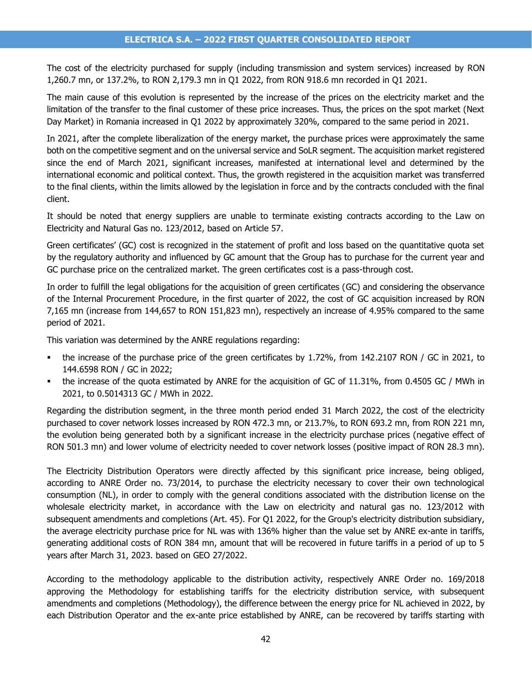The cost of the electricity purchased for supply (including transmission and system services) increased by RON 1,260.7 mn, or 137.2%, to RON 2,179.3 mn in Q1 2022, from RON 918.6 mn recorded in Q1 2021.

The main cause of this evolution is represented by the increase of the prices on the electricity market and the limitation of the transfer to the final customer of these price increases. Thus, the prices on the spot market (Next Day Market) in Romania increased in Q1 2022 by approximately 320%, compared to the same period in 2021.

In 2021, after the complete liberalization of the energy market, the purchase prices were approximately the same both on the competitive segment and on the universal service and SoLR segment. The acquisition market registered since the end of March 2021, significant increases, manifested at international level and determined by the international economic and political context. Thus, the growth registered in the acquisition market was transferred to the final clients, within the limits allowed by the legislation in force and by the contracts concluded with the final client.

It should be noted that energy suppliers are unable to terminate existing contracts according to the Law on Electricity and Natural Gas no. 123/2012, based on Article 57.

Green certificates' (GC) cost is recognized in the statement of profit and loss based on the quantitative quota set by the regulatory authority and influenced by GC amount that the Group has to purchase for the current year and GC purchase price on the centralized market. The green certificates cost is a pass-through cost.

In order to fulfill the legal obligations for the acquisition of green certificates (GC) and considering the observance of the Internal Procurement Procedure, in the first quarter of 2022, the cost of GC acquisition increased by RON 7,165 mn (increase from 144,657 to RON 151,823 mn), respectively an increase of 4.95% compared to the same period of 2021.

This variation was determined by the ANRE regulations regarding:

- the increase of the purchase price of the green certificates by 1.72%, from 142.2107 RON / GC in 2021, to 144.6598 RON / GC in 2022;
- the increase of the quota estimated by ANRE for the acquisition of GC of 11.31%, from 0.4505 GC / MWh in 2021, to 0.5014313 GC / MWh in 2022.

Regarding the distribution segment, in the three month period ended 31 March 2022, the cost of the electricity purchased to cover network losses increased by RON 472.3 mn, or 213.7%, to RON 693.2 mn, from RON 221 mn, the evolution being generated both by a significant increase in the electricity purchase prices (negative effect of RON 501.3 mn) and lower volume of electricity needed to cover network losses (positive impact of RON 28.3 mn).

The Electricity Distribution Operators were directly affected by this significant price increase, being obliged, according to ANRE Order no. 73/2014, to purchase the electricity necessary to cover their own technological consumption (NL), in order to comply with the general conditions associated with the distribution license on the wholesale electricity market, in accordance with the Law on electricity and natural gas no. 123/2012 with subsequent amendments and completions (Art. 45). For Q1 2022, for the Group's electricity distribution subsidiary, the average electricity purchase price for NL was with 136% higher than the value set by ANRE ex-ante in tariffs, generating additional costs of RON 384 mn, amount that will be recovered in future tariffs in a period of up to 5 years after March 31, 2023. based on GEO 27/2022.

According to the methodology applicable to the distribution activity, respectively ANRE Order no. 169/2018 approving the Methodology for establishing tariffs for the electricity distribution service, with subsequent amendments and completions (Methodology), the difference between the energy price for NL achieved in 2022, by each Distribution Operator and the ex-ante price established by ANRE, can be recovered by tariffs starting with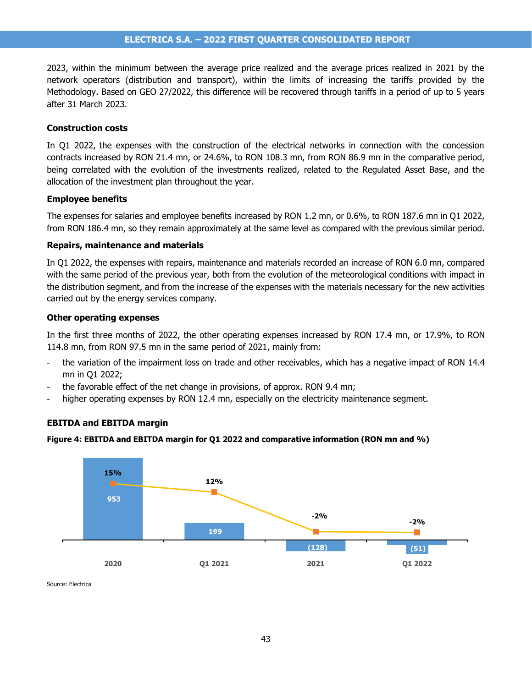2023, within the minimum between the average price realized and the average prices realized in 2021 by the network operators (distribution and transport), within the limits of increasing the tariffs provided by the Methodology. Based on GEO 27/2022, this difference will be recovered through tariffs in a period of up to 5 years after 31 March 2023.

#### **Construction costs**

In Q1 2022, the expenses with the construction of the electrical networks in connection with the concession contracts increased by RON 21.4 mn, or 24.6%, to RON 108.3 mn, from RON 86.9 mn in the comparative period, being correlated with the evolution of the investments realized, related to the Regulated Asset Base, and the allocation of the investment plan throughout the year.

#### **Employee benefits**

The expenses for salaries and employee benefits increased by RON 1.2 mn, or 0.6%, to RON 187.6 mn in Q1 2022, from RON 186.4 mn, so they remain approximately at the same level as compared with the previous similar period.

#### **Repairs, maintenance and materials**

In Q1 2022, the expenses with repairs, maintenance and materials recorded an increase of RON 6.0 mn, compared with the same period of the previous year, both from the evolution of the meteorological conditions with impact in the distribution segment, and from the increase of the expenses with the materials necessary for the new activities carried out by the energy services company.

#### **Other operating expenses**

In the first three months of 2022, the other operating expenses increased by RON 17.4 mn, or 17.9%, to RON 114.8 mn, from RON 97.5 mn in the same period of 2021, mainly from:

- the variation of the impairment loss on trade and other receivables, which has a negative impact of RON 14.4 mn in Q1 2022;
- the favorable effect of the net change in provisions, of approx. RON 9.4 mn;
- higher operating expenses by RON 12.4 mn, especially on the electricity maintenance segment.

#### **EBITDA and EBITDA margin**

#### **Figure 4: EBITDA and EBITDA margin for Q1 2022 and comparative information (RON mn and %)**



Source: Electrica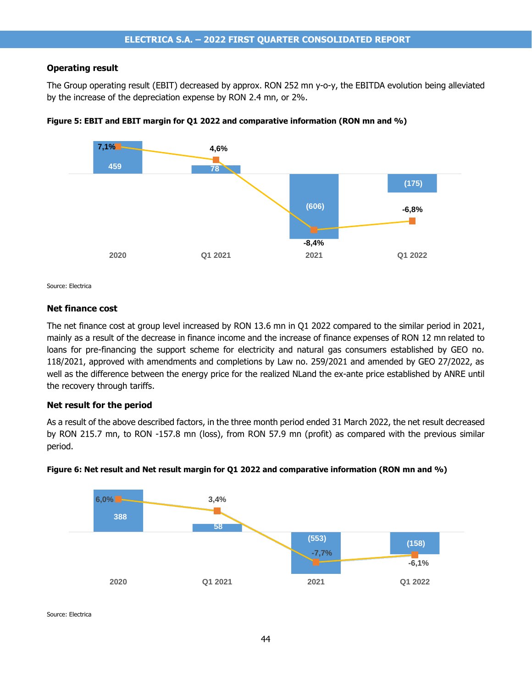#### **Operating result**

The Group operating result (EBIT) decreased by approx. RON 252 mn y-o-y, the EBITDA evolution being alleviated by the increase of the depreciation expense by RON 2.4 mn, or 2%.





Source: Electrica

#### **Net finance cost**

The net finance cost at group level increased by RON 13.6 mn in Q1 2022 compared to the similar period in 2021, mainly as a result of the decrease in finance income and the increase of finance expenses of RON 12 mn related to loans for pre-financing the support scheme for electricity and natural gas consumers established by GEO no. 118/2021, approved with amendments and completions by Law no. 259/2021 and amended by GEO 27/2022, as well as the difference between the energy price for the realized NLand the ex-ante price established by ANRE until the recovery through tariffs.

#### **Net result for the period**

As a result of the above described factors, in the three month period ended 31 March 2022, the net result decreased by RON 215.7 mn, to RON -157.8 mn (loss), from RON 57.9 mn (profit) as compared with the previous similar period.



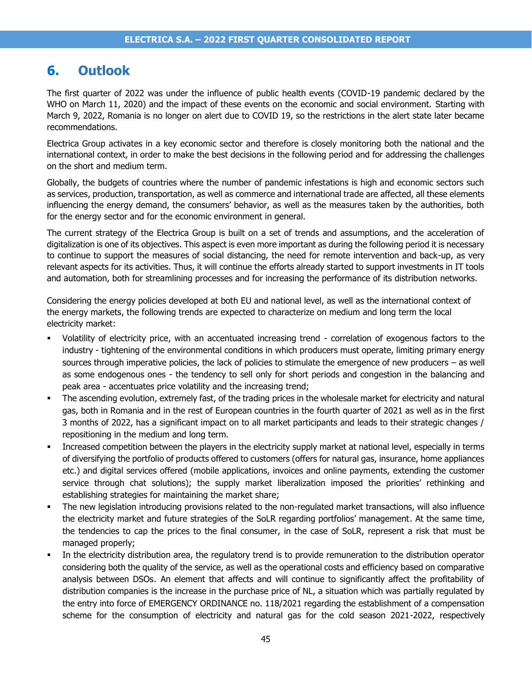# **6. Outlook**

The first quarter of 2022 was under the influence of public health events (COVID-19 pandemic declared by the WHO on March 11, 2020) and the impact of these events on the economic and social environment. Starting with March 9, 2022, Romania is no longer on alert due to COVID 19, so the restrictions in the alert state later became recommendations.

Electrica Group activates in a key economic sector and therefore is closely monitoring both the national and the international context, in order to make the best decisions in the following period and for addressing the challenges on the short and medium term.

Globally, the budgets of countries where the number of pandemic infestations is high and economic sectors such as services, production, transportation, as well as commerce and international trade are affected, all these elements influencing the energy demand, the consumers' behavior, as well as the measures taken by the authorities, both for the energy sector and for the economic environment in general.

The current strategy of the Electrica Group is built on a set of trends and assumptions, and the acceleration of digitalization is one of its objectives. This aspect is even more important as during the following period it is necessary to continue to support the measures of social distancing, the need for remote intervention and back-up, as very relevant aspects for its activities. Thus, it will continue the efforts already started to support investments in IT tools and automation, both for streamlining processes and for increasing the performance of its distribution networks.

Considering the energy policies developed at both EU and national level, as well as the international context of the energy markets, the following trends are expected to characterize on medium and long term the local electricity market:

- Volatility of electricity price, with an accentuated increasing trend correlation of exogenous factors to the industry - tightening of the environmental conditions in which producers must operate, limiting primary energy sources through imperative policies, the lack of policies to stimulate the emergence of new producers – as well as some endogenous ones - the tendency to sell only for short periods and congestion in the balancing and peak area - accentuates price volatility and the increasing trend;
- The ascending evolution, extremely fast, of the trading prices in the wholesale market for electricity and natural gas, both in Romania and in the rest of European countries in the fourth quarter of 2021 as well as in the first 3 months of 2022, has a significant impact on to all market participants and leads to their strategic changes / repositioning in the medium and long term.
- **•** Increased competition between the players in the electricity supply market at national level, especially in terms of diversifying the portfolio of products offered to customers (offers for natural gas, insurance, home appliances etc.) and digital services offered (mobile applications, invoices and online payments, extending the customer service through chat solutions); the supply market liberalization imposed the priorities' rethinking and establishing strategies for maintaining the market share;
- The new legislation introducing provisions related to the non-regulated market transactions, will also influence the electricity market and future strategies of the SoLR regarding portfolios' management. At the same time, the tendencies to cap the prices to the final consumer, in the case of SoLR, represent a risk that must be managed properly;
- In the electricity distribution area, the regulatory trend is to provide remuneration to the distribution operator considering both the quality of the service, as well as the operational costs and efficiency based on comparative analysis between DSOs. An element that affects and will continue to significantly affect the profitability of distribution companies is the increase in the purchase price of NL, a situation which was partially regulated by the entry into force of EMERGENCY ORDINANCE no. 118/2021 regarding the establishment of a compensation scheme for the consumption of electricity and natural gas for the cold season 2021-2022, respectively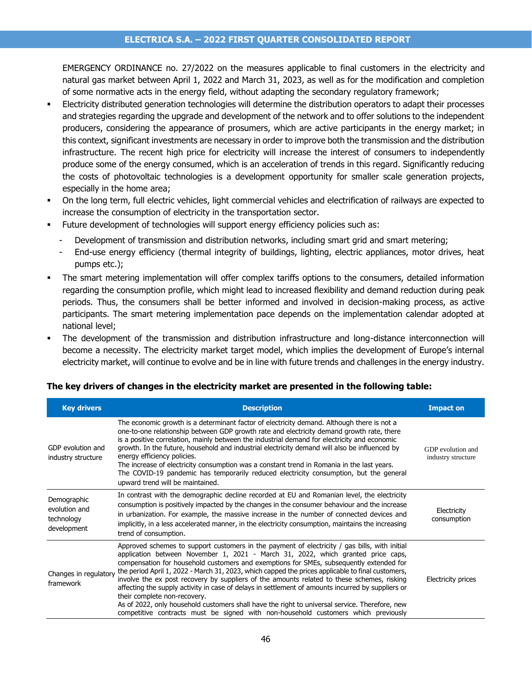### **ELECTRICA S.A. – 2022 FIRST QUARTER CONSOLIDATED REPORT**

EMERGENCY ORDINANCE no. 27/2022 on the measures applicable to final customers in the electricity and natural gas market between April 1, 2022 and March 31, 2023, as well as for the modification and completion of some normative acts in the energy field, without adapting the secondary regulatory framework;

- Electricity distributed generation technologies will determine the distribution operators to adapt their processes and strategies regarding the upgrade and development of the network and to offer solutions to the independent producers, considering the appearance of prosumers, which are active participants in the energy market; in this context, significant investments are necessary in order to improve both the transmission and the distribution infrastructure. The recent high price for electricity will increase the interest of consumers to independently produce some of the energy consumed, which is an acceleration of trends in this regard. Significantly reducing the costs of photovoltaic technologies is a development opportunity for smaller scale generation projects, especially in the home area;
- On the long term, full electric vehicles, light commercial vehicles and electrification of railways are expected to increase the consumption of electricity in the transportation sector.
- Future development of technologies will support energy efficiency policies such as:
	- Development of transmission and distribution networks, including smart grid and smart metering;
	- End-use energy efficiency (thermal integrity of buildings, lighting, electric appliances, motor drives, heat pumps etc.);
- The smart metering implementation will offer complex tariffs options to the consumers, detailed information regarding the consumption profile, which might lead to increased flexibility and demand reduction during peak periods. Thus, the consumers shall be better informed and involved in decision-making process, as active participants. The smart metering implementation pace depends on the implementation calendar adopted at national level;
- The development of the transmission and distribution infrastructure and long-distance interconnection will become a necessity. The electricity market target model, which implies the development of Europe's internal electricity market, will continue to evolve and be in line with future trends and challenges in the energy industry.

#### **Key drivers Description Impact on** GDP evolution and industry structure The economic growth is a determinant factor of electricity demand. Although there is not a one-to-one relationship between GDP growth rate and electricity demand growth rate, there is a positive correlation, mainly between the industrial demand for electricity and economic growth. In the future, household and industrial electricity demand will also be influenced by energy efficiency policies. The increase of electricity consumption was a constant trend in Romania in the last years. The COVID-19 pandemic has temporarily reduced electricity consumption, but the general upward trend will be maintained. GDP evolution and industry structure Demographic evolution and technology development In contrast with the demographic decline recorded at EU and Romanian level, the electricity consumption is positively impacted by the changes in the consumer behaviour and the increase in urbanization. For example, the massive increase in the number of connected devices and implicitly, in a less accelerated manner, in the electricity consumption, maintains the increasing trend of consumption. **Electricity** consumption Changes in regulatory the period April 1, 2022 - March 31, 2023, which capped the prices applicable to final customers, framework Approved schemes to support customers in the payment of electricity / gas bills, with initial application between November 1, 2021 - March 31, 2022, which granted price caps, compensation for household customers and exemptions for SMEs, subsequently extended for involve the ex post recovery by suppliers of the amounts related to these schemes, risking affecting the supply activity in case of delays in settlement of amounts incurred by suppliers or their complete non-recovery. As of 2022, only household customers shall have the right to universal service. Therefore, new competitive contracts must be signed with non-household customers which previously Electricity prices

# **The key drivers of changes in the electricity market are presented in the following table:**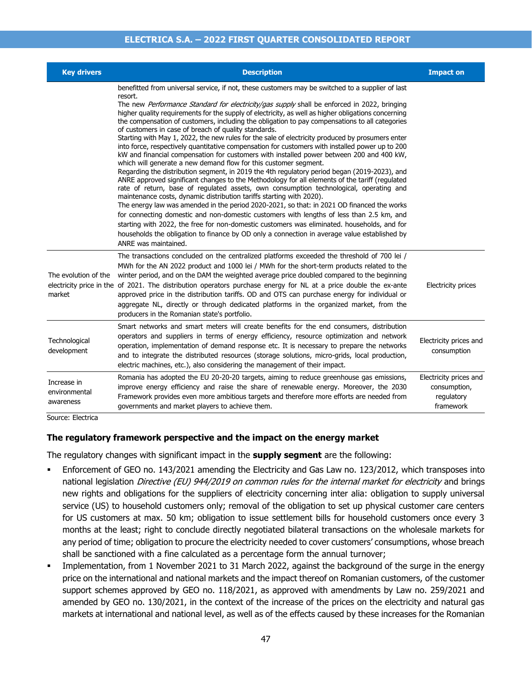### **ELECTRICA S.A. – 2022 FIRST QUARTER CONSOLIDATED REPORT**

| <b>Key drivers</b>                                            | <b>Description</b>                                                                                                                                                                                                                                                                                                                                                                                                                                                                                                                                                                                                                                                                                                                                                                                                                                                                                                                                                                                                                                                                                                                                                                                                                                                                                                                                                                                                                                                                                                                                                                                                                             | <b>Impact on</b>                                                  |
|---------------------------------------------------------------|------------------------------------------------------------------------------------------------------------------------------------------------------------------------------------------------------------------------------------------------------------------------------------------------------------------------------------------------------------------------------------------------------------------------------------------------------------------------------------------------------------------------------------------------------------------------------------------------------------------------------------------------------------------------------------------------------------------------------------------------------------------------------------------------------------------------------------------------------------------------------------------------------------------------------------------------------------------------------------------------------------------------------------------------------------------------------------------------------------------------------------------------------------------------------------------------------------------------------------------------------------------------------------------------------------------------------------------------------------------------------------------------------------------------------------------------------------------------------------------------------------------------------------------------------------------------------------------------------------------------------------------------|-------------------------------------------------------------------|
|                                                               | benefitted from universal service, if not, these customers may be switched to a supplier of last<br>resort.<br>The new <i>Performance Standard for electricity/gas supply</i> shall be enforced in 2022, bringing<br>higher quality requirements for the supply of electricity, as well as higher obligations concerning<br>the compensation of customers, including the obligation to pay compensations to all categories<br>of customers in case of breach of quality standards.<br>Starting with May 1, 2022, the new rules for the sale of electricity produced by prosumers enter<br>into force, respectively quantitative compensation for customers with installed power up to 200<br>kW and financial compensation for customers with installed power between 200 and 400 kW,<br>which will generate a new demand flow for this customer segment.<br>Regarding the distribution segment, in 2019 the 4th regulatory period began (2019-2023), and<br>ANRE approved significant changes to the Methodology for all elements of the tariff (regulated<br>rate of return, base of regulated assets, own consumption technological, operating and<br>maintenance costs, dynamic distribution tariffs starting with 2020).<br>The energy law was amended in the period 2020-2021, so that: in 2021 OD financed the works<br>for connecting domestic and non-domestic customers with lengths of less than 2.5 km, and<br>starting with 2022, the free for non-domestic customers was eliminated. households, and for<br>households the obligation to finance by OD only a connection in average value established by<br>ANRE was maintained. |                                                                   |
| The evolution of the<br>market                                | The transactions concluded on the centralized platforms exceeded the threshold of 700 lei /<br>MWh for the AN 2022 product and 1000 lei / MWh for the short-term products related to the<br>winter period, and on the DAM the weighted average price doubled compared to the beginning<br>electricity price in the of 2021. The distribution operators purchase energy for NL at a price double the ex-ante<br>approved price in the distribution tariffs. OD and OTS can purchase energy for individual or<br>aggregate NL, directly or through dedicated platforms in the organized market, from the<br>producers in the Romanian state's portfolio.                                                                                                                                                                                                                                                                                                                                                                                                                                                                                                                                                                                                                                                                                                                                                                                                                                                                                                                                                                                         | <b>Electricity prices</b>                                         |
| Technological<br>development                                  | Smart networks and smart meters will create benefits for the end consumers, distribution<br>operators and suppliers in terms of energy efficiency, resource optimization and network<br>operation, implementation of demand response etc. It is necessary to prepare the networks<br>and to integrate the distributed resources (storage solutions, micro-grids, local production,<br>electric machines, etc.), also considering the management of their impact.                                                                                                                                                                                                                                                                                                                                                                                                                                                                                                                                                                                                                                                                                                                                                                                                                                                                                                                                                                                                                                                                                                                                                                               | Electricity prices and<br>consumption                             |
| Increase in<br>environmental<br>awareness<br>Courseu Flochica | Romania has adopted the EU 20-20-20 targets, aiming to reduce greenhouse gas emissions,<br>improve energy efficiency and raise the share of renewable energy. Moreover, the 2030<br>Framework provides even more ambitious targets and therefore more efforts are needed from<br>governments and market players to achieve them.                                                                                                                                                                                                                                                                                                                                                                                                                                                                                                                                                                                                                                                                                                                                                                                                                                                                                                                                                                                                                                                                                                                                                                                                                                                                                                               | Electricity prices and<br>consumption,<br>regulatory<br>framework |

Source: Electrica

#### **The regulatory framework perspective and the impact on the energy market**

The regulatory changes with significant impact in the **supply segment** are the following:

- Enforcement of GEO no. 143/2021 amending the Electricity and Gas Law no. 123/2012, which transposes into national legislation Directive (EU) 944/2019 on common rules for the internal market for electricity and brings new rights and obligations for the suppliers of electricity concerning inter alia: obligation to supply universal service (US) to household customers only; removal of the obligation to set up physical customer care centers for US customers at max. 50 km; obligation to issue settlement bills for household customers once every 3 months at the least; right to conclude directly negotiated bilateral transactions on the wholesale markets for any period of time; obligation to procure the electricity needed to cover customers' consumptions, whose breach shall be sanctioned with a fine calculated as a percentage form the annual turnover;
- Implementation, from 1 November 2021 to 31 March 2022, against the background of the surge in the energy price on the international and national markets and the impact thereof on Romanian customers, of the customer support schemes approved by GEO no. 118/2021, as approved with amendments by Law no. 259/2021 and amended by GEO no. 130/2021, in the context of the increase of the prices on the electricity and natural gas markets at international and national level, as well as of the effects caused by these increases for the Romanian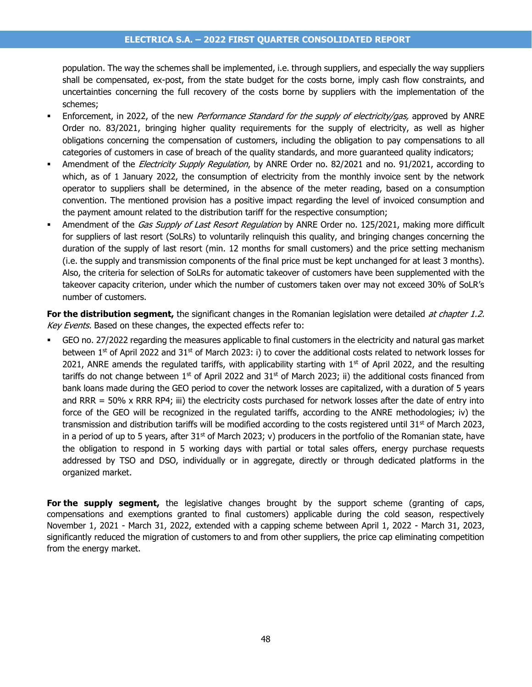population. The way the schemes shall be implemented, i.e. through suppliers, and especially the way suppliers shall be compensated, ex-post, from the state budget for the costs borne, imply cash flow constraints, and uncertainties concerning the full recovery of the costs borne by suppliers with the implementation of the schemes;

- Enforcement, in 2022, of the new *Performance Standard for the supply of electricity/gas*, approved by ANRE Order no. 83/2021, bringing higher quality requirements for the supply of electricity, as well as higher obligations concerning the compensation of customers, including the obligation to pay compensations to all categories of customers in case of breach of the quality standards, and more guaranteed quality indicators;
- Amendment of the *Electricity Supply Regulation*, by ANRE Order no. 82/2021 and no. 91/2021, according to which, as of 1 January 2022, the consumption of electricity from the monthly invoice sent by the network operator to suppliers shall be determined, in the absence of the meter reading, based on a consumption convention. The mentioned provision has a positive impact regarding the level of invoiced consumption and the payment amount related to the distribution tariff for the respective consumption;
- Amendment of the Gas Supply of Last Resort Regulation by ANRE Order no. 125/2021, making more difficult for suppliers of last resort (SoLRs) to voluntarily relinquish this quality, and bringing changes concerning the duration of the supply of last resort (min. 12 months for small customers) and the price setting mechanism (i.e. the supply and transmission components of the final price must be kept unchanged for at least 3 months). Also, the criteria for selection of SoLRs for automatic takeover of customers have been supplemented with the takeover capacity criterion, under which the number of customers taken over may not exceed 30% of SoLR's number of customers.

**For the distribution segment,** the significant changes in the Romanian legislation were detailed *at chapter 1.2.* Key Events. Based on these changes, the expected effects refer to:

GEO no. 27/2022 regarding the measures applicable to final customers in the electricity and natural gas market between 1<sup>st</sup> of April 2022 and 31<sup>st</sup> of March 2023: i) to cover the additional costs related to network losses for 2021, ANRE amends the regulated tariffs, with applicability starting with  $1<sup>st</sup>$  of April 2022, and the resulting tariffs do not change between  $1<sup>st</sup>$  of April 2022 and  $31<sup>st</sup>$  of March 2023; ii) the additional costs financed from bank loans made during the GEO period to cover the network losses are capitalized, with a duration of 5 years and RRR = 50% x RRR RP4; iii) the electricity costs purchased for network losses after the date of entry into force of the GEO will be recognized in the regulated tariffs, according to the ANRE methodologies; iv) the transmission and distribution tariffs will be modified according to the costs registered until  $31^{st}$  of March 2023, in a period of up to 5 years, after  $31<sup>st</sup>$  of March 2023; v) producers in the portfolio of the Romanian state, have the obligation to respond in 5 working days with partial or total sales offers, energy purchase requests addressed by TSO and DSO, individually or in aggregate, directly or through dedicated platforms in the organized market.

**For the supply segment,** the legislative changes brought by the support scheme (granting of caps, compensations and exemptions granted to final customers) applicable during the cold season, respectively November 1, 2021 - March 31, 2022, extended with a capping scheme between April 1, 2022 - March 31, 2023, significantly reduced the migration of customers to and from other suppliers, the price cap eliminating competition from the energy market.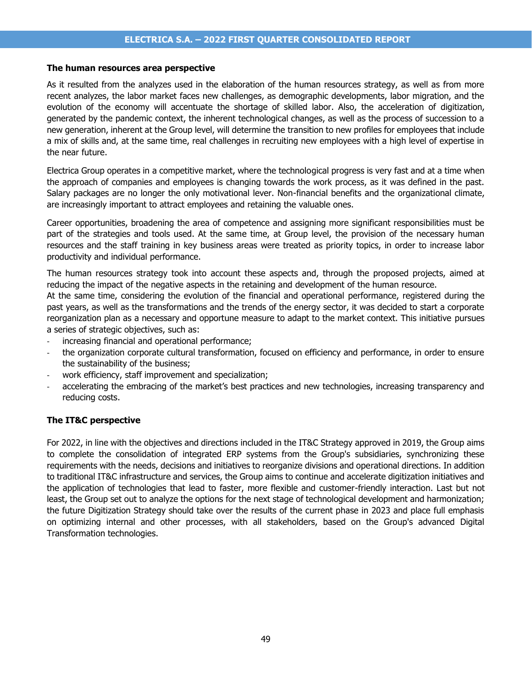#### **The human resources area perspective**

As it resulted from the analyzes used in the elaboration of the human resources strategy, as well as from more recent analyzes, the labor market faces new challenges, as demographic developments, labor migration, and the evolution of the economy will accentuate the shortage of skilled labor. Also, the acceleration of digitization, generated by the pandemic context, the inherent technological changes, as well as the process of succession to a new generation, inherent at the Group level, will determine the transition to new profiles for employees that include a mix of skills and, at the same time, real challenges in recruiting new employees with a high level of expertise in the near future.

Electrica Group operates in a competitive market, where the technological progress is very fast and at a time when the approach of companies and employees is changing towards the work process, as it was defined in the past. Salary packages are no longer the only motivational lever. Non-financial benefits and the organizational climate, are increasingly important to attract employees and retaining the valuable ones.

Career opportunities, broadening the area of competence and assigning more significant responsibilities must be part of the strategies and tools used. At the same time, at Group level, the provision of the necessary human resources and the staff training in key business areas were treated as priority topics, in order to increase labor productivity and individual performance.

The human resources strategy took into account these aspects and, through the proposed projects, aimed at reducing the impact of the negative aspects in the retaining and development of the human resource.

At the same time, considering the evolution of the financial and operational performance, registered during the past years, as well as the transformations and the trends of the energy sector, it was decided to start a corporate reorganization plan as a necessary and opportune measure to adapt to the market context. This initiative pursues a series of strategic objectives, such as:

- increasing financial and operational performance;
- the organization corporate cultural transformation, focused on efficiency and performance, in order to ensure the sustainability of the business;
- work efficiency, staff improvement and specialization;
- accelerating the embracing of the market's best practices and new technologies, increasing transparency and reducing costs.

#### **The IT&C perspective**

For 2022, in line with the objectives and directions included in the IT&C Strategy approved in 2019, the Group aims to complete the consolidation of integrated ERP systems from the Group's subsidiaries, synchronizing these requirements with the needs, decisions and initiatives to reorganize divisions and operational directions. In addition to traditional IT&C infrastructure and services, the Group aims to continue and accelerate digitization initiatives and the application of technologies that lead to faster, more flexible and customer-friendly interaction. Last but not least, the Group set out to analyze the options for the next stage of technological development and harmonization; the future Digitization Strategy should take over the results of the current phase in 2023 and place full emphasis on optimizing internal and other processes, with all stakeholders, based on the Group's advanced Digital Transformation technologies.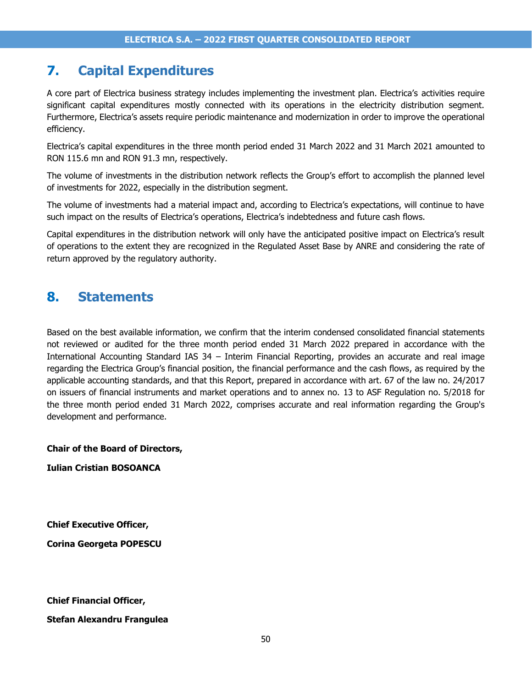# **7. Capital Expenditures**

A core part of Electrica business strategy includes implementing the investment plan. Electrica's activities require significant capital expenditures mostly connected with its operations in the electricity distribution segment. Furthermore, Electrica's assets require periodic maintenance and modernization in order to improve the operational efficiency.

Electrica's capital expenditures in the three month period ended 31 March 2022 and 31 March 2021 amounted to RON 115.6 mn and RON 91.3 mn, respectively.

The volume of investments in the distribution network reflects the Group's effort to accomplish the planned level of investments for 2022, especially in the distribution segment.

The volume of investments had a material impact and, according to Electrica's expectations, will continue to have such impact on the results of Electrica's operations, Electrica's indebtedness and future cash flows.

Capital expenditures in the distribution network will only have the anticipated positive impact on Electrica's result of operations to the extent they are recognized in the Regulated Asset Base by ANRE and considering the rate of return approved by the regulatory authority.

# **8. Statements**

Based on the best available information, we confirm that the interim condensed consolidated financial statements not reviewed or audited for the three month period ended 31 March 2022 prepared in accordance with the International Accounting Standard IAS 34 – Interim Financial Reporting, provides an accurate and real image regarding the Electrica Group's financial position, the financial performance and the cash flows, as required by the applicable accounting standards, and that this Report, prepared in accordance with art. 67 of the law no. 24/2017 on issuers of financial instruments and market operations and to annex no. 13 to ASF Regulation no. 5/2018 for the three month period ended 31 March 2022, comprises accurate and real information regarding the Group's development and performance.

**Chair of the Board of Directors,**

**Iulian Cristian BOSOANCA** 

**Chief Executive Officer,**

**Corina Georgeta POPESCU**

**Chief Financial Officer,**

**Stefan Alexandru Frangulea**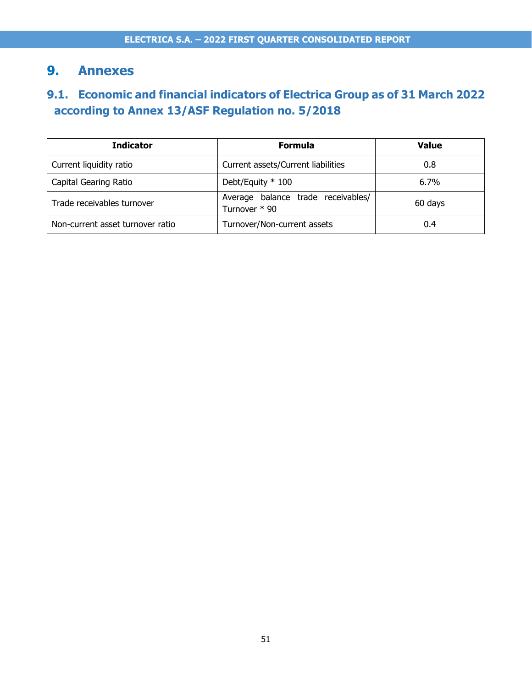# **9. Annexes**

# **9.1. Economic and financial indicators of Electrica Group as of 31 March 2022 according to Annex 13/ASF Regulation no. 5/2018**

| <b>Indicator</b>                 | <b>Formula</b>                                      | <b>Value</b> |
|----------------------------------|-----------------------------------------------------|--------------|
| Current liquidity ratio          | Current assets/Current liabilities                  | 0.8          |
| Capital Gearing Ratio            | Debt/Equity * 100                                   | $6.7\%$      |
| Trade receivables turnover       | Average balance trade receivables/<br>Turnover * 90 | 60 days      |
| Non-current asset turnover ratio | Turnover/Non-current assets                         | 0.4          |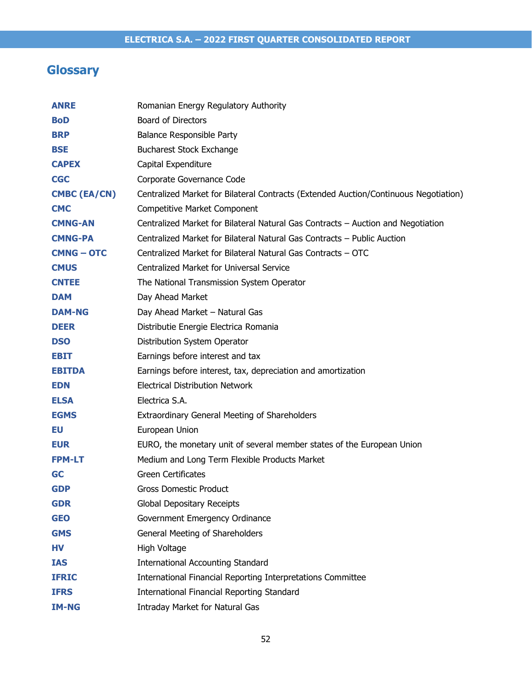# **Glossary**

| <b>ANRE</b>         | Romanian Energy Regulatory Authority                                                 |
|---------------------|--------------------------------------------------------------------------------------|
| <b>BoD</b>          | <b>Board of Directors</b>                                                            |
| <b>BRP</b>          | Balance Responsible Party                                                            |
| <b>BSE</b>          | <b>Bucharest Stock Exchange</b>                                                      |
| <b>CAPEX</b>        | Capital Expenditure                                                                  |
| <b>CGC</b>          | Corporate Governance Code                                                            |
| <b>CMBC (EA/CN)</b> | Centralized Market for Bilateral Contracts (Extended Auction/Continuous Negotiation) |
| <b>CMC</b>          | Competitive Market Component                                                         |
| <b>CMNG-AN</b>      | Centralized Market for Bilateral Natural Gas Contracts - Auction and Negotiation     |
| <b>CMNG-PA</b>      | Centralized Market for Bilateral Natural Gas Contracts - Public Auction              |
| <b>CMNG – OTC</b>   | Centralized Market for Bilateral Natural Gas Contracts - OTC                         |
| <b>CMUS</b>         | Centralized Market for Universal Service                                             |
| <b>CNTEE</b>        | The National Transmission System Operator                                            |
| <b>DAM</b>          | Day Ahead Market                                                                     |
| <b>DAM-NG</b>       | Day Ahead Market - Natural Gas                                                       |
| <b>DEER</b>         | Distributie Energie Electrica Romania                                                |
| <b>DSO</b>          | Distribution System Operator                                                         |
| EBIT                | Earnings before interest and tax                                                     |
| <b>EBITDA</b>       | Earnings before interest, tax, depreciation and amortization                         |
| <b>EDN</b>          | <b>Electrical Distribution Network</b>                                               |
| <b>ELSA</b>         | Electrica S.A.                                                                       |
| <b>EGMS</b>         | <b>Extraordinary General Meeting of Shareholders</b>                                 |
| EU                  | European Union                                                                       |
| <b>EUR</b>          | EURO, the monetary unit of several member states of the European Union               |
| <b>FPM-LT</b>       | Medium and Long Term Flexible Products Market                                        |
| <b>GC</b>           | <b>Green Certificates</b>                                                            |
| <b>GDP</b>          | Gross Domestic Product                                                               |
| <b>GDR</b>          | <b>Global Depositary Receipts</b>                                                    |
| <b>GEO</b>          | Government Emergency Ordinance                                                       |
| <b>GMS</b>          | General Meeting of Shareholders                                                      |
| HV                  | High Voltage                                                                         |
| <b>IAS</b>          | <b>International Accounting Standard</b>                                             |
| <b>IFRIC</b>        | International Financial Reporting Interpretations Committee                          |
| <b>IFRS</b>         | <b>International Financial Reporting Standard</b>                                    |
| <b>IM-NG</b>        | Intraday Market for Natural Gas                                                      |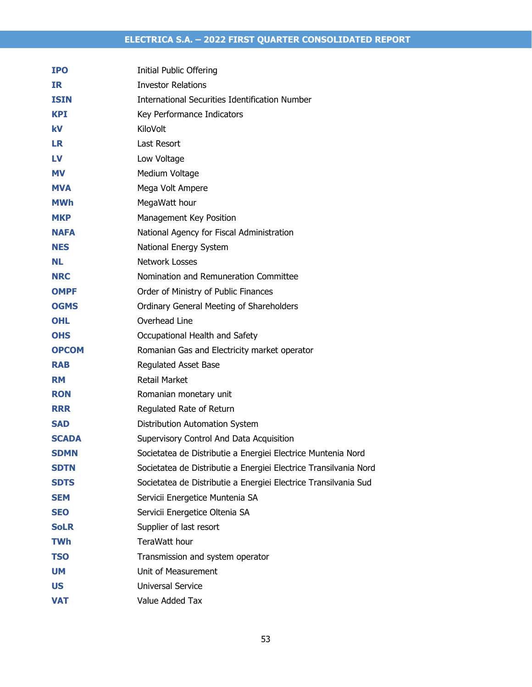| <b>IPO</b>   | <b>Initial Public Offering</b>                                   |
|--------------|------------------------------------------------------------------|
| <b>IR</b>    | <b>Investor Relations</b>                                        |
| <b>ISIN</b>  | International Securities Identification Number                   |
| <b>KPI</b>   | Key Performance Indicators                                       |
| kV           | KiloVolt                                                         |
| <b>LR</b>    | Last Resort                                                      |
| LV           | Low Voltage                                                      |
| <b>MV</b>    | Medium Voltage                                                   |
| <b>MVA</b>   | Mega Volt Ampere                                                 |
| <b>MWh</b>   | MegaWatt hour                                                    |
| <b>MKP</b>   | Management Key Position                                          |
| <b>NAFA</b>  | National Agency for Fiscal Administration                        |
| <b>NES</b>   | National Energy System                                           |
| NL.          | <b>Network Losses</b>                                            |
| <b>NRC</b>   | Nomination and Remuneration Committee                            |
| <b>OMPF</b>  | Order of Ministry of Public Finances                             |
| <b>OGMS</b>  | Ordinary General Meeting of Shareholders                         |
| <b>OHL</b>   | Overhead Line                                                    |
| <b>OHS</b>   | Occupational Health and Safety                                   |
| <b>OPCOM</b> | Romanian Gas and Electricity market operator                     |
| <b>RAB</b>   | Regulated Asset Base                                             |
| <b>RM</b>    | <b>Retail Market</b>                                             |
| <b>RON</b>   | Romanian monetary unit                                           |
| <b>RRR</b>   | Regulated Rate of Return                                         |
| <b>SAD</b>   | Distribution Automation System                                   |
| <b>SCADA</b> | Supervisory Control And Data Acquisition                         |
| <b>SDMN</b>  | Societatea de Distributie a Energiei Electrice Muntenia Nord     |
| <b>SDTN</b>  | Societatea de Distributie a Energiei Electrice Transilvania Nord |
| <b>SDTS</b>  | Societatea de Distributie a Energiei Electrice Transilvania Sud  |
| <b>SEM</b>   | Servicii Energetice Muntenia SA                                  |
| <b>SEO</b>   | Servicii Energetice Oltenia SA                                   |
| <b>SoLR</b>  | Supplier of last resort                                          |
| <b>TWh</b>   | TeraWatt hour                                                    |
| <b>TSO</b>   | Transmission and system operator                                 |
| <b>UM</b>    | Unit of Measurement                                              |
| <b>US</b>    | Universal Service                                                |
| <b>VAT</b>   | Value Added Tax                                                  |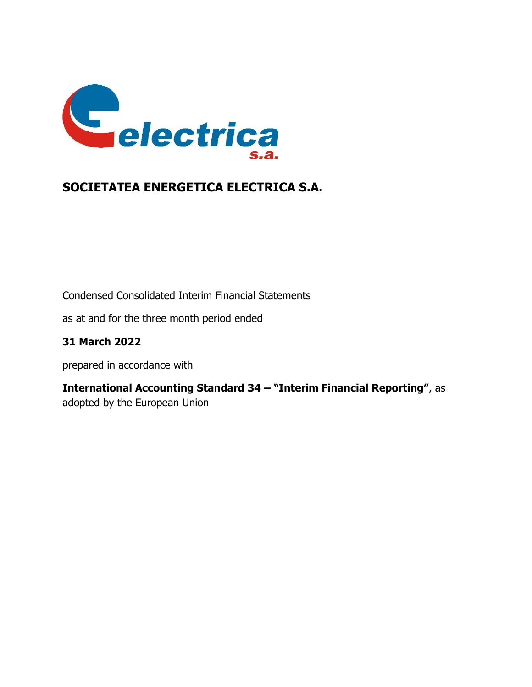

Condensed Consolidated Interim Financial Statements

as at and for the three month period ended

# **31 March 2022**

prepared in accordance with

**International Accounting Standard 34 – "Interim Financial Reporting"**, as adopted by the European Union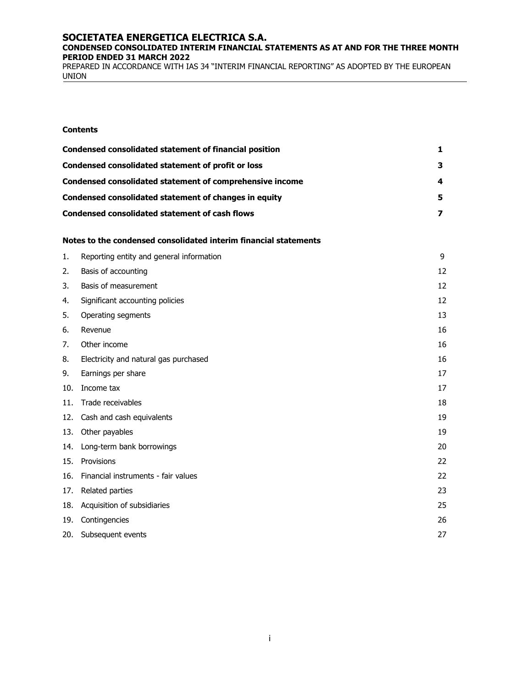#### **CONDENSED CONSOLIDATED INTERIM FINANCIAL STATEMENTS AS AT AND FOR THE THREE MONTH PERIOD ENDED 31 MARCH 2022**

PREPARED IN ACCORDANCE WITH IAS 34 "INTERIM FINANCIAL REPORTING" AS ADOPTED BY THE EUROPEAN UNION

#### **Contents**

| Condensed consolidated statement of financial position          |    |
|-----------------------------------------------------------------|----|
| Condensed consolidated statement of profit or loss              | 3  |
| <b>Condensed consolidated statement of comprehensive income</b> | 4  |
| Condensed consolidated statement of changes in equity           | 5. |
| <b>Condensed consolidated statement of cash flows</b>           |    |

#### **Notes to the condensed consolidated interim financial statements**

| 1.  | Reporting entity and general information | 9  |
|-----|------------------------------------------|----|
| 2.  | Basis of accounting                      | 12 |
| 3.  | Basis of measurement                     | 12 |
| 4.  | Significant accounting policies          | 12 |
| 5.  | Operating segments                       | 13 |
| 6.  | Revenue                                  | 16 |
| 7.  | Other income                             | 16 |
| 8.  | Electricity and natural gas purchased    | 16 |
| 9.  | Earnings per share                       | 17 |
| 10. | Income tax                               | 17 |
| 11. | Trade receivables                        | 18 |
| 12. | Cash and cash equivalents                | 19 |
| 13. | Other payables                           | 19 |
| 14. | Long-term bank borrowings                | 20 |
| 15. | Provisions                               | 22 |
| 16. | Financial instruments - fair values      | 22 |
| 17. | Related parties                          | 23 |
| 18. | Acquisition of subsidiaries              | 25 |
| 19. | Contingencies                            | 26 |
| 20. | Subsequent events                        | 27 |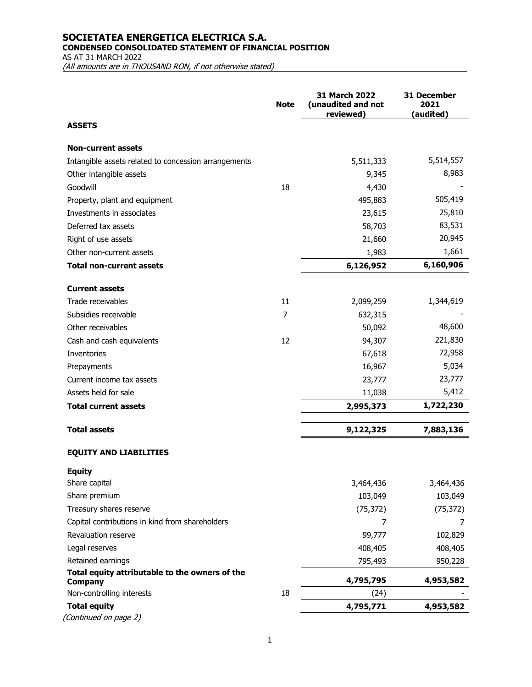**CONDENSED CONSOLIDATED STATEMENT OF FINANCIAL POSITION**

AS AT 31 MARCH 2022

(All amounts are in THOUSAND RON, if not otherwise stated)

|                                                                  | <b>Note</b> | 31 March 2022<br>(unaudited and not<br>reviewed) | 31 December<br>2021<br>(audited) |
|------------------------------------------------------------------|-------------|--------------------------------------------------|----------------------------------|
| <b>ASSETS</b>                                                    |             |                                                  |                                  |
| <b>Non-current assets</b>                                        |             |                                                  |                                  |
| Intangible assets related to concession arrangements             |             | 5,511,333                                        | 5,514,557                        |
| Other intangible assets                                          |             | 9,345                                            | 8,983                            |
| Goodwill                                                         | 18          | 4,430                                            |                                  |
| Property, plant and equipment                                    |             | 495,883                                          | 505,419                          |
| Investments in associates                                        |             | 23,615                                           | 25,810                           |
| Deferred tax assets                                              |             | 58,703                                           | 83,531                           |
| Right of use assets                                              |             | 21,660                                           | 20,945                           |
| Other non-current assets                                         |             | 1,983                                            | 1,661                            |
| <b>Total non-current assets</b>                                  |             | 6,126,952                                        | 6,160,906                        |
| <b>Current assets</b>                                            |             |                                                  |                                  |
| Trade receivables                                                | 11          | 2,099,259                                        | 1,344,619                        |
| Subsidies receivable                                             | 7           | 632,315                                          |                                  |
| Other receivables                                                |             | 50,092                                           | 48,600                           |
| Cash and cash equivalents                                        | 12          | 94,307                                           | 221,830                          |
| Inventories                                                      |             | 67,618                                           | 72,958                           |
| Prepayments                                                      |             | 16,967                                           | 5,034                            |
| Current income tax assets                                        |             | 23,777                                           | 23,777                           |
| Assets held for sale                                             |             | 11,038                                           | 5,412                            |
| <b>Total current assets</b>                                      |             | 2,995,373                                        | 1,722,230                        |
| <b>Total assets</b>                                              |             | 9,122,325                                        | 7,883,136                        |
| <b>EQUITY AND LIABILITIES</b>                                    |             |                                                  |                                  |
| <b>Equity</b>                                                    |             |                                                  |                                  |
| Share capital                                                    |             | 3,464,436                                        | 3,464,436                        |
| Share premium                                                    |             | 103,049                                          | 103,049                          |
| Treasury shares reserve                                          |             | (75, 372)                                        | (75, 372)                        |
| Capital contributions in kind from shareholders                  |             | 7                                                | 7                                |
| Revaluation reserve                                              |             | 99,777                                           | 102,829                          |
| Legal reserves                                                   |             | 408,405                                          | 408,405                          |
| Retained earnings                                                |             | 795,493                                          | 950,228                          |
| Total equity attributable to the owners of the<br><b>Company</b> |             | 4,795,795                                        | 4,953,582                        |
| Non-controlling interests                                        | 18          | (24)                                             |                                  |
| <b>Total equity</b>                                              |             | 4,795,771                                        | 4,953,582                        |
| (Continued on page 2)                                            |             |                                                  |                                  |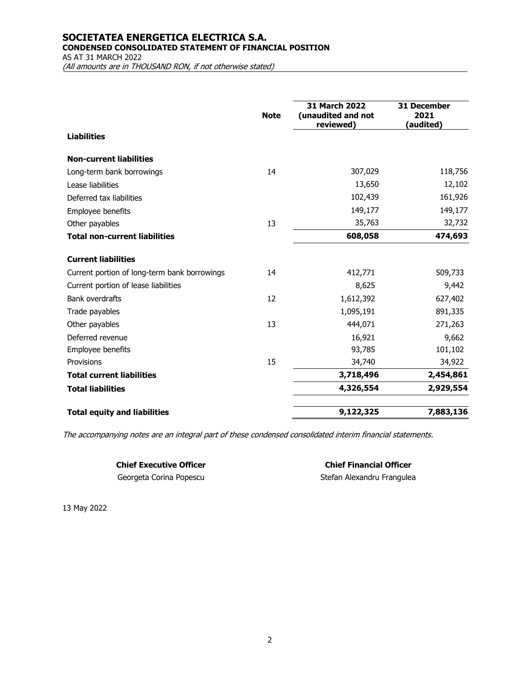### **SOCIETATEA ENERGETICA ELECTRICA S.A. CONDENSED CONSOLIDATED STATEMENT OF FINANCIAL POSITION**

AS AT 31 MARCH 2022

(All amounts are in THOUSAND RON, if not otherwise stated)

|                                              | <b>Note</b> | <b>31 March 2022</b><br>(unaudited and not<br>reviewed) | <b>31 December</b><br>2021<br>(audited) |
|----------------------------------------------|-------------|---------------------------------------------------------|-----------------------------------------|
| <b>Liabilities</b>                           |             |                                                         |                                         |
| <b>Non-current liabilities</b>               |             |                                                         |                                         |
| Long-term bank borrowings                    | 14          | 307,029                                                 | 118,756                                 |
| Lease liabilities                            |             | 13,650                                                  | 12,102                                  |
| Deferred tax liabilities                     |             | 102,439                                                 | 161,926                                 |
| Employee benefits                            |             | 149,177                                                 | 149,177                                 |
| Other payables                               | 13          | 35,763                                                  | 32,732                                  |
| <b>Total non-current liabilities</b>         |             | 608,058                                                 | 474,693                                 |
| <b>Current liabilities</b>                   |             |                                                         |                                         |
| Current portion of long-term bank borrowings | 14          | 412,771                                                 | 509,733                                 |
| Current portion of lease liabilities         |             | 8,625                                                   | 9,442                                   |
| <b>Bank overdrafts</b>                       | 12          | 1,612,392                                               | 627,402                                 |
| Trade payables                               |             | 1,095,191                                               | 891,335                                 |
| Other payables                               | 13          | 444,071                                                 | 271,263                                 |
| Deferred revenue                             |             | 16,921                                                  | 9,662                                   |
| Employee benefits                            |             | 93,785                                                  | 101,102                                 |
| Provisions                                   | 15          | 34,740                                                  | 34,922                                  |
| <b>Total current liabilities</b>             |             | 3,718,496                                               | 2,454,861                               |
| <b>Total liabilities</b>                     |             | 4,326,554                                               | 2,929,554                               |
| <b>Total equity and liabilities</b>          |             | 9,122,325                                               | 7,883,136                               |

The accompanying notes are an integral part of these condensed consolidated interim financial statements.

Georgeta Corina Popescu and Stefan Alexandru Frangulea

**Chief Executive Officer Chief Financial Officer**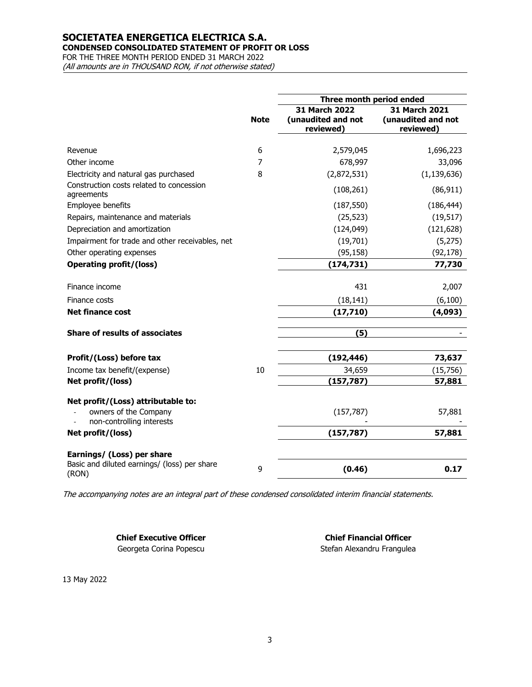### **CONDENSED CONSOLIDATED STATEMENT OF PROFIT OR LOSS**

FOR THE THREE MONTH PERIOD ENDED 31 MARCH 2022

(All amounts are in THOUSAND RON, if not otherwise stated)

|                                                                                          |             | Three month period ended                         |                                                  |
|------------------------------------------------------------------------------------------|-------------|--------------------------------------------------|--------------------------------------------------|
|                                                                                          | <b>Note</b> | 31 March 2022<br>(unaudited and not<br>reviewed) | 31 March 2021<br>(unaudited and not<br>reviewed) |
| Revenue                                                                                  | 6           | 2,579,045                                        | 1,696,223                                        |
| Other income                                                                             | 7           | 678,997                                          | 33,096                                           |
| Electricity and natural gas purchased                                                    | 8           | (2,872,531)                                      | (1, 139, 636)                                    |
| Construction costs related to concession<br>agreements                                   |             | (108, 261)                                       | (86, 911)                                        |
| Employee benefits                                                                        |             | (187, 550)                                       | (186, 444)                                       |
| Repairs, maintenance and materials                                                       |             | (25, 523)                                        | (19, 517)                                        |
| Depreciation and amortization                                                            |             | (124, 049)                                       | (121, 628)                                       |
| Impairment for trade and other receivables, net                                          |             | (19,701)                                         | (5,275)                                          |
| Other operating expenses                                                                 |             | (95, 158)                                        | (92, 178)                                        |
| <b>Operating profit/(loss)</b>                                                           |             | (174, 731)                                       | 77,730                                           |
|                                                                                          |             |                                                  |                                                  |
| Finance income                                                                           |             | 431                                              | 2,007                                            |
| Finance costs                                                                            |             | (18, 141)                                        | (6, 100)                                         |
| <b>Net finance cost</b>                                                                  |             | (17, 710)                                        | (4,093)                                          |
| <b>Share of results of associates</b>                                                    |             | (5)                                              |                                                  |
| Profit/(Loss) before tax                                                                 |             | (192, 446)                                       | 73,637                                           |
| Income tax benefit/(expense)                                                             | 10          | 34,659                                           | (15, 756)                                        |
| Net profit/(loss)                                                                        |             | (157, 787)                                       | 57,881                                           |
| Net profit/(Loss) attributable to:<br>owners of the Company<br>non-controlling interests |             | (157, 787)                                       | 57,881                                           |
| Net profit/(loss)                                                                        |             | (157, 787)                                       | 57,881                                           |
| Earnings/ (Loss) per share                                                               |             |                                                  |                                                  |
| Basic and diluted earnings/ (loss) per share<br>(RON)                                    | 9           | (0.46)                                           | 0.17                                             |

The accompanying notes are an integral part of these condensed consolidated interim financial statements.

**Chief Executive Officer Chief Financial Officer**

Georgeta Corina Popescu and Stefan Alexandru Frangulea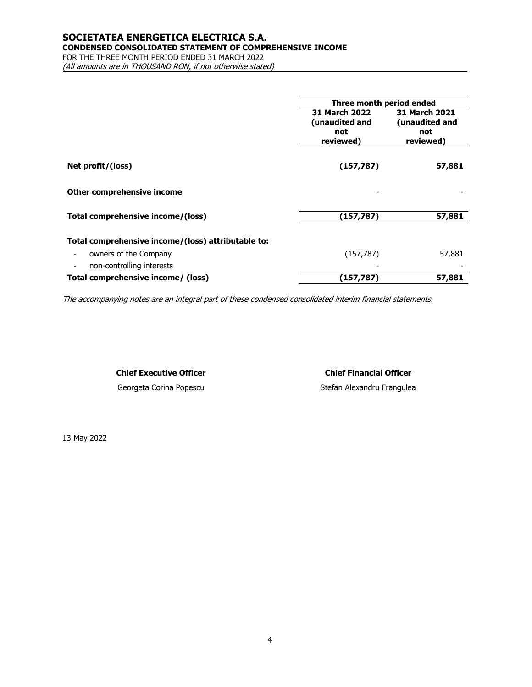### **SOCIETATEA ENERGETICA ELECTRICA S.A. CONDENSED CONSOLIDATED STATEMENT OF COMPREHENSIVE INCOME**

FOR THE THREE MONTH PERIOD ENDED 31 MARCH 2022 (All amounts are in THOUSAND RON, if not otherwise stated)

|                                                    | Three month period ended |                      |
|----------------------------------------------------|--------------------------|----------------------|
|                                                    | <b>31 March 2022</b>     | <b>31 March 2021</b> |
|                                                    | (unaudited and           | (unaudited and       |
|                                                    | not                      | not                  |
|                                                    | reviewed)                | reviewed)            |
|                                                    |                          |                      |
| Net profit/(loss)                                  | (157, 787)               | 57,881               |
|                                                    |                          |                      |
| Other comprehensive income                         |                          |                      |
| Total comprehensive income/(loss)                  | (157, 787)               | 57,881               |
|                                                    |                          |                      |
| Total comprehensive income/(loss) attributable to: |                          |                      |
| owners of the Company                              | (157, 787)               | 57,881               |
| non-controlling interests                          |                          |                      |
| Total comprehensive income/ (loss)                 | (157, 787)               | 57,881               |

The accompanying notes are an integral part of these condensed consolidated interim financial statements.

#### **Chief Executive Officer Chief Financial Officer**

Georgeta Corina Popescu and Stefan Alexandru Frangulea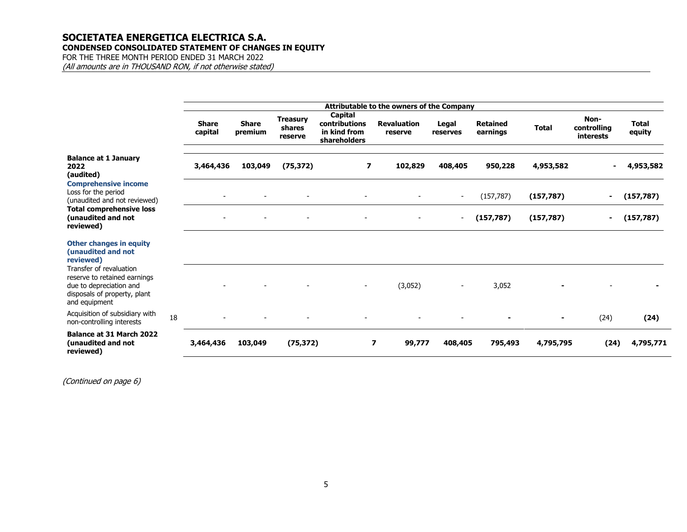### **SOCIETATEA ENERGETICA ELECTRICA S.A. CONDENSED CONSOLIDATED STATEMENT OF CHANGES IN EQUITY**

FOR THE THREE MONTH PERIOD ENDED 31 MARCH 2022 (All amounts are in THOUSAND RON, if not otherwise stated)

|                                                                                                                                     |    |                         |                          |                                      |                                                                 | <b>Attributable to the owners of the Company</b> |                          |                             |                |                                  |                        |
|-------------------------------------------------------------------------------------------------------------------------------------|----|-------------------------|--------------------------|--------------------------------------|-----------------------------------------------------------------|--------------------------------------------------|--------------------------|-----------------------------|----------------|----------------------------------|------------------------|
|                                                                                                                                     |    | <b>Share</b><br>capital | <b>Share</b><br>premium  | <b>Treasury</b><br>shares<br>reserve | <b>Capital</b><br>contributions<br>in kind from<br>shareholders | <b>Revaluation</b><br>reserve                    | Legal<br>reserves        | <b>Retained</b><br>earnings | <b>Total</b>   | Non-<br>controlling<br>interests | <b>Total</b><br>equity |
| <b>Balance at 1 January</b><br>2022<br>(audited)                                                                                    |    | 3,464,436               | 103,049                  | (75, 372)                            | $\overline{\phantom{a}}$                                        | 102,829                                          | 408,405                  | 950,228                     | 4,953,582      |                                  | 4,953,582              |
| <b>Comprehensive income</b><br>Loss for the period<br>(unaudited and not reviewed)                                                  |    |                         |                          |                                      |                                                                 |                                                  | $\overline{\phantom{a}}$ | (157, 787)                  | (157, 787)     | $\blacksquare$                   | (157, 787)             |
| <b>Total comprehensive loss</b><br>(unaudited and not<br>reviewed)                                                                  |    |                         | $\overline{\phantom{a}}$ |                                      | $\overline{\phantom{a}}$                                        |                                                  | $\overline{\phantom{a}}$ | (157, 787)                  | (157, 787)     | $\blacksquare$                   | (157, 787)             |
| <b>Other changes in equity</b><br>(unaudited and not<br>reviewed)                                                                   |    |                         |                          |                                      |                                                                 |                                                  |                          |                             |                |                                  |                        |
| Transfer of revaluation<br>reserve to retained earnings<br>due to depreciation and<br>disposals of property, plant<br>and equipment |    |                         |                          |                                      |                                                                 | (3,052)                                          |                          | 3,052                       |                |                                  |                        |
| Acquisition of subsidiary with<br>non-controlling interests                                                                         | 18 |                         |                          |                                      |                                                                 |                                                  |                          |                             | $\blacksquare$ | (24)                             | (24)                   |
| <b>Balance at 31 March 2022</b><br>(unaudited and not<br>reviewed)                                                                  |    | 3,464,436               | 103,049                  | (75, 372)                            |                                                                 | $\overline{\phantom{a}}$<br>99,777               | 408,405                  | 795,493                     | 4,795,795      | (24)                             | 4,795,771              |

(Continued on page 6)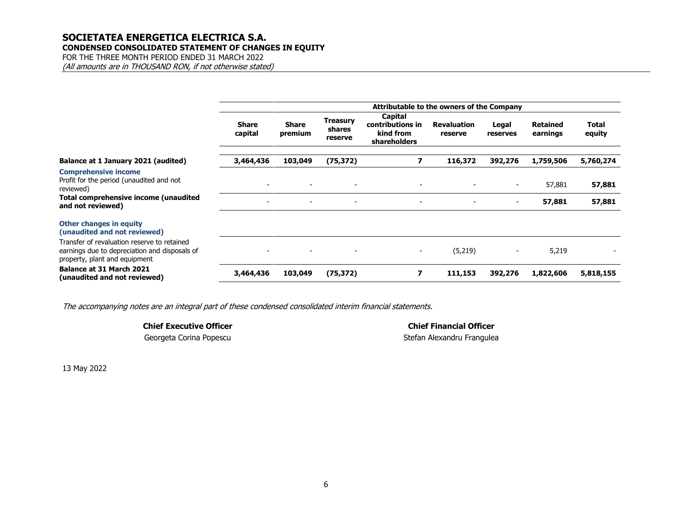#### **SOCIETATEA ENERGETICA ELECTRICA S.A. CONDENSED CONSOLIDATED STATEMENT OF CHANGES IN EQUITY**

FOR THE THREE MONTH PERIOD ENDED 31 MARCH 2022 (All amounts are in THOUSAND RON, if not otherwise stated)

|                                                                                                                               | Attributable to the owners of the Company |                          |                               |                                                          |                               |                          |                             |                 |  |
|-------------------------------------------------------------------------------------------------------------------------------|-------------------------------------------|--------------------------|-------------------------------|----------------------------------------------------------|-------------------------------|--------------------------|-----------------------------|-----------------|--|
|                                                                                                                               | <b>Share</b><br>capital                   | <b>Share</b><br>premium  | Treasury<br>shares<br>reserve | Capital<br>contributions in<br>kind from<br>shareholders | <b>Revaluation</b><br>reserve | Legal<br>reserves        | <b>Retained</b><br>earnings | Total<br>equity |  |
| Balance at 1 January 2021 (audited)                                                                                           | 3,464,436                                 | 103,049                  | (75, 372)                     | 7                                                        | 116,372                       | 392,276                  | 1,759,506                   | 5,760,274       |  |
| <b>Comprehensive income</b><br>Profit for the period (unaudited and not<br>reviewed)                                          |                                           | $\overline{\phantom{a}}$ | $\overline{\phantom{a}}$      |                                                          |                               | $\overline{\phantom{a}}$ | 57,881                      | 57,881          |  |
| Total comprehensive income (unaudited<br>and not reviewed)                                                                    | $\overline{\phantom{a}}$                  | $\blacksquare$           | $\blacksquare$                | $\overline{\phantom{a}}$                                 | $\overline{\phantom{a}}$      | $\overline{\phantom{a}}$ | 57,881                      | 57,881          |  |
| <b>Other changes in equity</b><br>(unaudited and not reviewed)                                                                |                                           |                          |                               |                                                          |                               |                          |                             |                 |  |
| Transfer of revaluation reserve to retained<br>earnings due to depreciation and disposals of<br>property, plant and equipment |                                           |                          | $\blacksquare$                |                                                          | (5,219)                       |                          | 5,219                       |                 |  |
| Balance at 31 March 2021<br>(unaudited and not reviewed)                                                                      | 3,464,436                                 | 103,049                  | (75, 372)                     |                                                          | 111,153                       | 392,276                  | 1,822,606                   | 5,818,155       |  |

The accompanying notes are an integral part of these condensed consolidated interim financial statements.

**Chief Executive Officer Chief Financial Officer** Georgeta Corina Popescu and Stefan Alexandru Frangulea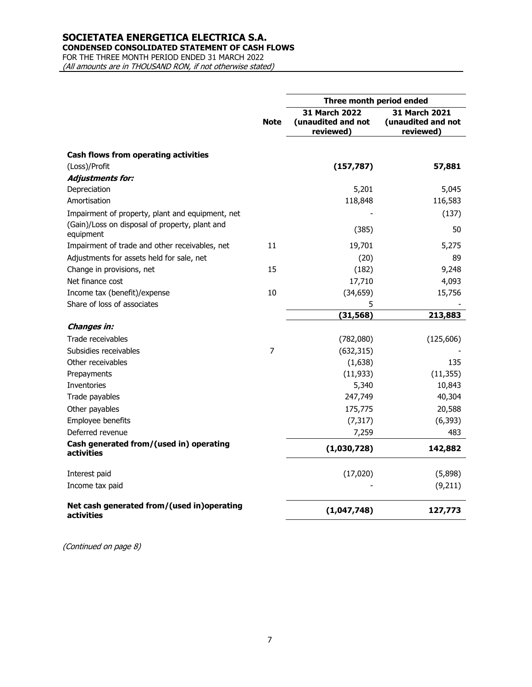**CONDENSED CONSOLIDATED STATEMENT OF CASH FLOWS**

FOR THE THREE MONTH PERIOD ENDED 31 MARCH 2022 (All amounts are in THOUSAND RON, if not otherwise stated)

|                                                             | Three month period ended |                                                  |                                                         |  |
|-------------------------------------------------------------|--------------------------|--------------------------------------------------|---------------------------------------------------------|--|
|                                                             | <b>Note</b>              | 31 March 2022<br>(unaudited and not<br>reviewed) | <b>31 March 2021</b><br>(unaudited and not<br>reviewed) |  |
| Cash flows from operating activities                        |                          |                                                  |                                                         |  |
| (Loss)/Profit                                               |                          | (157, 787)                                       | 57,881                                                  |  |
| <b>Adjustments for:</b>                                     |                          |                                                  |                                                         |  |
| Depreciation                                                |                          | 5,201                                            | 5,045                                                   |  |
| Amortisation                                                |                          | 118,848                                          | 116,583                                                 |  |
| Impairment of property, plant and equipment, net            |                          |                                                  | (137)                                                   |  |
| (Gain)/Loss on disposal of property, plant and<br>equipment |                          | (385)                                            | 50                                                      |  |
| Impairment of trade and other receivables, net              | 11                       | 19,701                                           | 5,275                                                   |  |
| Adjustments for assets held for sale, net                   |                          | (20)                                             | 89                                                      |  |
| Change in provisions, net                                   | 15                       | (182)                                            | 9,248                                                   |  |
| Net finance cost                                            |                          | 17,710                                           | 4,093                                                   |  |
| Income tax (benefit)/expense                                | 10                       | (34, 659)                                        | 15,756                                                  |  |
| Share of loss of associates                                 |                          | 5                                                |                                                         |  |
|                                                             |                          | (31, 568)                                        | 213,883                                                 |  |
| Changes in:                                                 |                          |                                                  |                                                         |  |
| Trade receivables                                           |                          | (782,080)                                        | (125,606)                                               |  |
| Subsidies receivables                                       | 7                        | (632, 315)                                       |                                                         |  |
| Other receivables                                           |                          | (1,638)                                          | 135                                                     |  |
| Prepayments                                                 |                          | (11, 933)                                        | (11, 355)                                               |  |
| Inventories                                                 |                          | 5,340                                            | 10,843                                                  |  |
| Trade payables                                              |                          | 247,749                                          | 40,304                                                  |  |
| Other payables                                              |                          | 175,775                                          | 20,588                                                  |  |
| Employee benefits                                           |                          | (7, 317)                                         | (6, 393)                                                |  |
| Deferred revenue                                            |                          | 7,259                                            | 483                                                     |  |
| Cash generated from/(used in) operating<br>activities       |                          | (1,030,728)                                      | 142,882                                                 |  |
| Interest paid                                               |                          | (17,020)                                         | (5,898)                                                 |  |
| Income tax paid                                             |                          |                                                  | (9,211)                                                 |  |
| Net cash generated from/(used in)operating<br>activities    |                          | (1,047,748)                                      | 127,773                                                 |  |

(Continued on page 8)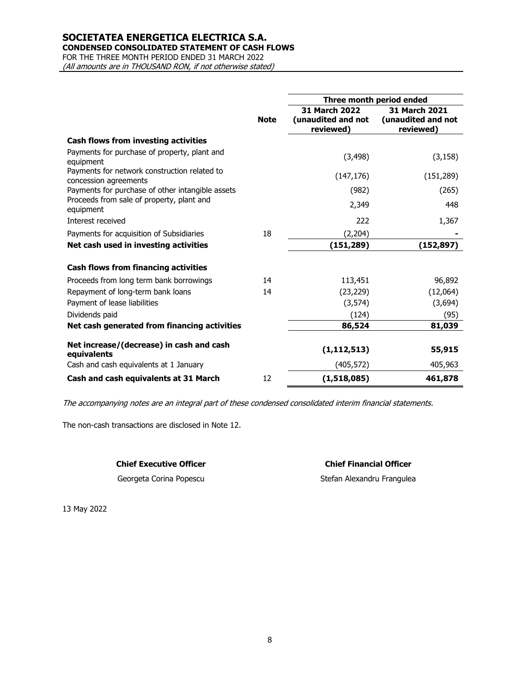**CONDENSED CONSOLIDATED STATEMENT OF CASH FLOWS**

FOR THE THREE MONTH PERIOD ENDED 31 MARCH 2022

(All amounts are in THOUSAND RON, if not otherwise stated)

|                                                                       |             | Three month period ended                         |                                                  |  |  |
|-----------------------------------------------------------------------|-------------|--------------------------------------------------|--------------------------------------------------|--|--|
|                                                                       | <b>Note</b> | 31 March 2022<br>(unaudited and not<br>reviewed) | 31 March 2021<br>(unaudited and not<br>reviewed) |  |  |
| <b>Cash flows from investing activities</b>                           |             |                                                  |                                                  |  |  |
| Payments for purchase of property, plant and<br>equipment             |             | (3, 498)                                         | (3, 158)                                         |  |  |
| Payments for network construction related to<br>concession agreements |             | (147, 176)                                       | (151, 289)                                       |  |  |
| Payments for purchase of other intangible assets                      |             | (982)                                            | (265)                                            |  |  |
| Proceeds from sale of property, plant and<br>equipment                |             | 2,349                                            | 448                                              |  |  |
| Interest received                                                     |             | 222                                              | 1,367                                            |  |  |
| Payments for acquisition of Subsidiaries                              | 18          | (2, 204)                                         |                                                  |  |  |
| Net cash used in investing activities                                 |             | (151, 289)                                       | (152,897)                                        |  |  |
| <b>Cash flows from financing activities</b>                           |             |                                                  |                                                  |  |  |
| Proceeds from long term bank borrowings                               | 14          | 113,451                                          | 96,892                                           |  |  |
| Repayment of long-term bank loans                                     | 14          | (23, 229)                                        | (12,064)                                         |  |  |
| Payment of lease liabilities                                          |             | (3, 574)                                         | (3,694)                                          |  |  |
| Dividends paid                                                        |             | (124)                                            | (95)                                             |  |  |
| Net cash generated from financing activities                          |             | 86,524                                           | 81,039                                           |  |  |
| Net increase/(decrease) in cash and cash<br>equivalents               |             | (1, 112, 513)                                    | 55,915                                           |  |  |
| Cash and cash equivalents at 1 January                                |             | (405, 572)                                       | 405,963                                          |  |  |
| Cash and cash equivalents at 31 March                                 | 12          | (1,518,085)                                      | 461,878                                          |  |  |

The accompanying notes are an integral part of these condensed consolidated interim financial statements.

The non-cash transactions are disclosed in Note 12.

#### **Chief Executive Officer Chief Financial Officer**

Georgeta Corina Popescu Stefan Alexandru Frangulea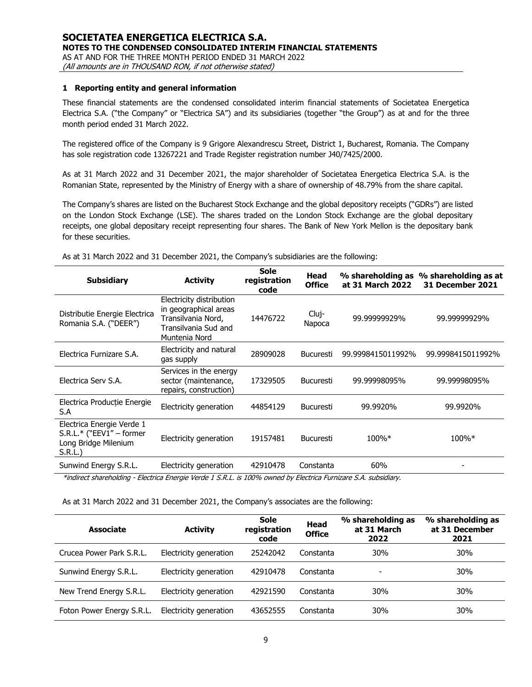#### **1 Reporting entity and general information**

These financial statements are the condensed consolidated interim financial statements of Societatea Energetica Electrica S.A. ("the Company" or "Electrica SA") and its subsidiaries (together "the Group") as at and for the three month period ended 31 March 2022.

The registered office of the Company is 9 Grigore Alexandrescu Street, District 1, Bucharest, Romania. The Company has sole registration code 13267221 and Trade Register registration number J40/7425/2000.

As at 31 March 2022 and 31 December 2021, the major shareholder of Societatea Energetica Electrica S.A. is the Romanian State, represented by the Ministry of Energy with a share of ownership of 48.79% from the share capital.

The Company's shares are listed on the Bucharest Stock Exchange and the global depository receipts ("GDRs") are listed on the London Stock Exchange (LSE). The shares traded on the London Stock Exchange are the global depositary receipts, one global depositary receipt representing four shares. The Bank of New York Mellon is the depositary bank for these securities.

| <b>Subsidiary</b>                                                                                               | <b>Activity</b>                                                                                                  | <b>Sole</b><br>registration<br>code | Head<br><b>Office</b> | at 31 March 2022  | % shareholding as % shareholding as at<br>31 December 2021 |
|-----------------------------------------------------------------------------------------------------------------|------------------------------------------------------------------------------------------------------------------|-------------------------------------|-----------------------|-------------------|------------------------------------------------------------|
| Distributie Energie Electrica<br>Romania S.A. ("DEER")                                                          | Electricity distribution<br>in geographical areas<br>Transilvania Nord,<br>Transilvania Sud and<br>Muntenia Nord | 14476722                            | Cluj-<br>Napoca       | 99.99999929%      | 99.99999929%                                               |
| Electrica Furnizare S.A.                                                                                        | Electricity and natural<br>gas supply                                                                            | 28909028                            | <b>Bucuresti</b>      | 99.9998415011992% | 99.9998415011992%                                          |
| Electrica Serv S.A.                                                                                             | Services in the energy<br>sector (maintenance,<br>repairs, construction)                                         | 17329505                            | <b>Bucuresti</b>      | 99.99998095%      | 99.99998095%                                               |
| Electrica Producție Energie<br>S.A                                                                              | Electricity generation                                                                                           | 44854129                            | <b>Bucuresti</b>      | 99.9920%          | 99.9920%                                                   |
| Electrica Energie Verde 1<br>S.R.L.* ("EEV1" - former<br>Long Bridge Milenium<br>S.R.L.                         | Electricity generation                                                                                           | 19157481                            | <b>Bucuresti</b>      | 100%*             | 100%*                                                      |
| Sunwind Energy S.R.L.                                                                                           | Electricity generation                                                                                           | 42910478                            | Constanta             | 60%               |                                                            |
| *indirect shareholding - Electrica Energie Verde 1 S.R.L. is 100% owned by Electrica Furnizare S.A. subsidiary. |                                                                                                                  |                                     |                       |                   |                                                            |

As at 31 March 2022 and 31 December 2021, the Company's subsidiaries are the following:

As at 31 March 2022 and 31 December 2021, the Company's associates are the following:

| <b>Activity</b><br><b>Associate</b> |                        | Sole<br>registration<br>code | Head<br><b>Office</b> | % shareholding as<br>at 31 March<br>2022 | % shareholding as<br>at 31 December<br>2021 |
|-------------------------------------|------------------------|------------------------------|-----------------------|------------------------------------------|---------------------------------------------|
| Crucea Power Park S.R.L.            | Electricity generation | 25242042                     | Constanta             | <b>30%</b>                               | 30%                                         |
| Sunwind Energy S.R.L.               | Electricity generation | 42910478                     | Constanta             | ٠                                        | 30%                                         |
| New Trend Energy S.R.L.             | Electricity generation | 42921590                     | Constanta             | 30%                                      | 30%                                         |
| Foton Power Energy S.R.L.           | Electricity generation | 43652555                     | Constanta             | 30%                                      | 30%                                         |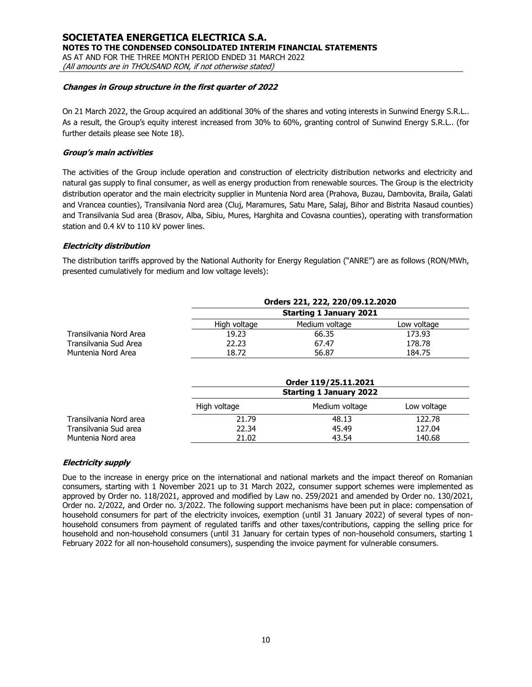#### **SOCIETATEA ENERGETICA ELECTRICA S.A. NOTES TO THE CONDENSED CONSOLIDATED INTERIM FINANCIAL STATEMENTS** AS AT AND FOR THE THREE MONTH PERIOD ENDED 31 MARCH 2022 (All amounts are in THOUSAND RON, if not otherwise stated)

#### **Changes in Group structure in the first quarter of 2022**

On 21 March 2022, the Group acquired an additional 30% of the shares and voting interests in Sunwind Energy S.R.L.. As a result, the Group's equity interest increased from 30% to 60%, granting control of Sunwind Energy S.R.L.. (for further details please see Note 18).

#### **Group's main activities**

The activities of the Group include operation and construction of electricity distribution networks and electricity and natural gas supply to final consumer, as well as energy production from renewable sources. The Group is the electricity distribution operator and the main electricity supplier in Muntenia Nord area (Prahova, Buzau, Dambovita, Braila, Galati and Vrancea counties), Transilvania Nord area (Cluj, Maramures, Satu Mare, Salaj, Bihor and Bistrita Nasaud counties) and Transilvania Sud area (Brasov, Alba, Sibiu, Mures, Harghita and Covasna counties), operating with transformation station and 0.4 kV to 110 kV power lines.

#### **Electricity distribution**

The distribution tariffs approved by the National Authority for Energy Regulation ("ANRE") are as follows (RON/MWh, presented cumulatively for medium and low voltage levels):

|                        | Orders 221, 222, 220/09.12.2020 |                |             |  |  |  |  |  |
|------------------------|---------------------------------|----------------|-------------|--|--|--|--|--|
|                        | <b>Starting 1 January 2021</b>  |                |             |  |  |  |  |  |
|                        | High voltage                    | Medium voltage | Low voltage |  |  |  |  |  |
| Transilvania Nord Area | 19.23                           | 66.35          | 173.93      |  |  |  |  |  |
| Transilvania Sud Area  | 22.23                           | 67.47          | 178.78      |  |  |  |  |  |
| Muntenia Nord Area     | 18.72                           | 56.87          | 184.75      |  |  |  |  |  |

|                        |              | Order 119/25.11.2021           |             |  |  |  |  |  |
|------------------------|--------------|--------------------------------|-------------|--|--|--|--|--|
|                        |              | <b>Starting 1 January 2022</b> |             |  |  |  |  |  |
|                        | High voltage | Medium voltage                 | Low voltage |  |  |  |  |  |
| Transilvania Nord area | 21.79        | 48.13                          | 122.78      |  |  |  |  |  |
| Transilvania Sud area  | 22.34        | 45.49                          | 127.04      |  |  |  |  |  |
| Muntenia Nord area     | 21.02        | 43.54                          | 140.68      |  |  |  |  |  |

#### **Electricity supply**

Due to the increase in energy price on the international and national markets and the impact thereof on Romanian consumers, starting with 1 November 2021 up to 31 March 2022, consumer support schemes were implemented as approved by Order no. 118/2021, approved and modified by Law no. 259/2021 and amended by Order no. 130/2021, Order no. 2/2022, and Order no. 3/2022. The following support mechanisms have been put in place: compensation of household consumers for part of the electricity invoices, exemption (until 31 January 2022) of several types of nonhousehold consumers from payment of regulated tariffs and other taxes/contributions, capping the selling price for household and non-household consumers (until 31 January for certain types of non-household consumers, starting 1 February 2022 for all non-household consumers), suspending the invoice payment for vulnerable consumers.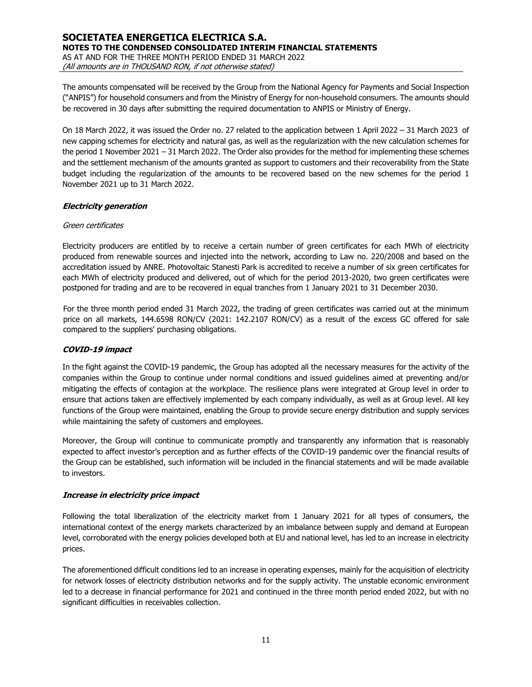The amounts compensated will be received by the Group from the National Agency for Payments and Social Inspection ("ANPIS") for household consumers and from the Ministry of Energy for non-household consumers. The amounts should be recovered in 30 days after submitting the required documentation to ANPIS or Ministry of Energy.

On 18 March 2022, it was issued the Order no. 27 related to the application between 1 April 2022 – 31 March 2023 of new capping schemes for electricity and natural gas, as well as the regularization with the new calculation schemes for the period 1 November 2021 – 31 March 2022. The Order also provides for the method for implementing these schemes and the settlement mechanism of the amounts granted as support to customers and their recoverability from the State budget including the regularization of the amounts to be recovered based on the new schemes for the period 1 November 2021 up to 31 March 2022.

#### **Electricity generation**

#### Green certificates

Electricity producers are entitled by to receive a certain number of green certificates for each MWh of electricity produced from renewable sources and injected into the network, according to Law no. 220/2008 and based on the accreditation issued by ANRE. Photovoltaic Stanesti Park is accredited to receive a number of six green certificates for each MWh of electricity produced and delivered, out of which for the period 2013-2020, two green certificates were postponed for trading and are to be recovered in equal tranches from 1 January 2021 to 31 December 2030.

For the three month period ended 31 March 2022, the trading of green certificates was carried out at the minimum price on all markets, 144.6598 RON/CV (2021: 142.2107 RON/CV) as a result of the excess GC offered for sale compared to the suppliers' purchasing obligations.

#### **COVID-19 impact**

In the fight against the COVID-19 pandemic, the Group has adopted all the necessary measures for the activity of the companies within the Group to continue under normal conditions and issued guidelines aimed at preventing and/or mitigating the effects of contagion at the workplace. The resilience plans were integrated at Group level in order to ensure that actions taken are effectively implemented by each company individually, as well as at Group level. All key functions of the Group were maintained, enabling the Group to provide secure energy distribution and supply services while maintaining the safety of customers and employees.

Moreover, the Group will continue to communicate promptly and transparently any information that is reasonably expected to affect investor's perception and as further effects of the COVID-19 pandemic over the financial results of the Group can be established, such information will be included in the financial statements and will be made available to investors.

#### **Increase in electricity price impact**

Following the total liberalization of the electricity market from 1 January 2021 for all types of consumers, the international context of the energy markets characterized by an imbalance between supply and demand at European level, corroborated with the energy policies developed both at EU and national level, has led to an increase in electricity prices.

The aforementioned difficult conditions led to an increase in operating expenses, mainly for the acquisition of electricity for network losses of electricity distribution networks and for the supply activity. The unstable economic environment led to a decrease in financial performance for 2021 and continued in the three month period ended 2022, but with no significant difficulties in receivables collection.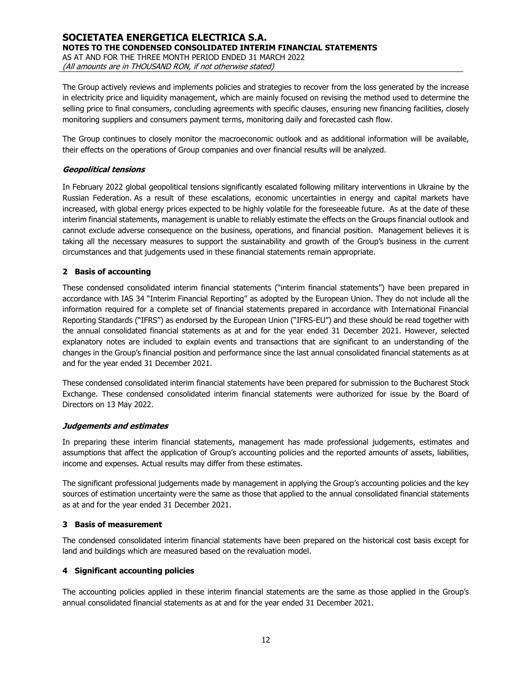The Group actively reviews and implements policies and strategies to recover from the loss generated by the increase in electricity price and liquidity management, which are mainly focused on revising the method used to determine the selling price to final consumers, concluding agreements with specific clauses, ensuring new financing facilities, closely monitoring suppliers and consumers payment terms, monitoring daily and forecasted cash flow.

The Group continues to closely monitor the macroeconomic outlook and as additional information will be available, their effects on the operations of Group companies and over financial results will be analyzed.

#### **Geopolitical tensions**

In February 2022 global geopolitical tensions significantly escalated following military interventions in Ukraine by the Russian Federation. As a result of these escalations, economic uncertainties in energy and capital markets have increased, with global energy prices expected to be highly volatile for the foreseeable future. As at the date of these interim financial statements, management is unable to reliably estimate the effects on the Groups financial outlook and cannot exclude adverse consequence on the business, operations, and financial position. Management believes it is taking all the necessary measures to support the sustainability and growth of the Group's business in the current circumstances and that judgements used in these financial statements remain appropriate.

#### **2 Basis of accounting**

These condensed consolidated interim financial statements ("interim financial statements") have been prepared in accordance with IAS 34 "Interim Financial Reporting" as adopted by the European Union. They do not include all the information required for a complete set of financial statements prepared in accordance with International Financial Reporting Standards ("IFRS") as endorsed by the European Union ("IFRS-EU") and these should be read together with the annual consolidated financial statements as at and for the year ended 31 December 2021. However, selected explanatory notes are included to explain events and transactions that are significant to an understanding of the changes in the Group's financial position and performance since the last annual consolidated financial statements as at and for the year ended 31 December 2021.

These condensed consolidated interim financial statements have been prepared for submission to the Bucharest Stock Exchange. These condensed consolidated interim financial statements were authorized for issue by the Board of Directors on 13 May 2022.

#### **Judgements and estimates**

In preparing these interim financial statements, management has made professional judgements, estimates and assumptions that affect the application of Group's accounting policies and the reported amounts of assets, liabilities, income and expenses. Actual results may differ from these estimates.

The significant professional judgements made by management in applying the Group's accounting policies and the key sources of estimation uncertainty were the same as those that applied to the annual consolidated financial statements as at and for the year ended 31 December 2021.

#### **3 Basis of measurement**

The condensed consolidated interim financial statements have been prepared on the historical cost basis except for land and buildings which are measured based on the revaluation model.

#### **4 Significant accounting policies**

The accounting policies applied in these interim financial statements are the same as those applied in the Group's annual consolidated financial statements as at and for the year ended 31 December 2021.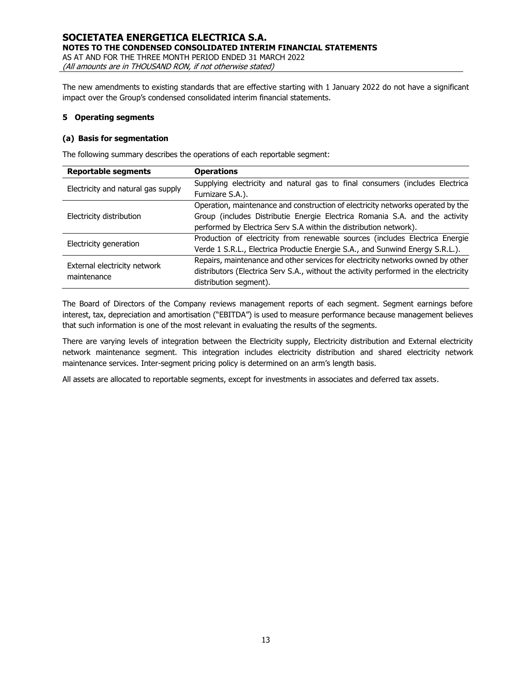The new amendments to existing standards that are effective starting with 1 January 2022 do not have a significant impact over the Group's condensed consolidated interim financial statements.

#### **5 Operating segments**

#### **(a) Basis for segmentation**

The following summary describes the operations of each reportable segment:

| <b>Reportable segments</b>         | <b>Operations</b>                                                                    |  |  |  |  |
|------------------------------------|--------------------------------------------------------------------------------------|--|--|--|--|
| Electricity and natural gas supply | Supplying electricity and natural gas to final consumers (includes Electrica         |  |  |  |  |
|                                    | Furnizare S.A.).                                                                     |  |  |  |  |
|                                    | Operation, maintenance and construction of electricity networks operated by the      |  |  |  |  |
| Electricity distribution           | Group (includes Distributie Energie Electrica Romania S.A. and the activity          |  |  |  |  |
|                                    | performed by Electrica Serv S.A within the distribution network).                    |  |  |  |  |
| Electricity generation             | Production of electricity from renewable sources (includes Electrica Energie         |  |  |  |  |
|                                    | Verde 1 S.R.L., Electrica Productie Energie S.A., and Sunwind Energy S.R.L.).        |  |  |  |  |
| External electricity network       | Repairs, maintenance and other services for electricity networks owned by other      |  |  |  |  |
| maintenance                        | distributors (Electrica Serv S.A., without the activity performed in the electricity |  |  |  |  |
|                                    | distribution segment).                                                               |  |  |  |  |

The Board of Directors of the Company reviews management reports of each segment. Segment earnings before interest, tax, depreciation and amortisation ("EBITDA") is used to measure performance because management believes that such information is one of the most relevant in evaluating the results of the segments.

There are varying levels of integration between the Electricity supply, Electricity distribution and External electricity network maintenance segment. This integration includes electricity distribution and shared electricity network maintenance services. Inter-segment pricing policy is determined on an arm's length basis.

All assets are allocated to reportable segments, except for investments in associates and deferred tax assets.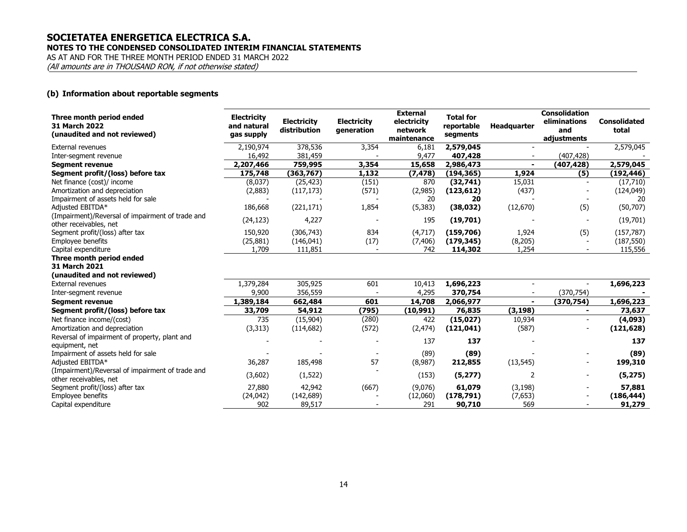### **SOCIETATEA ENERGETICA ELECTRICA S.A. NOTES TO THE CONDENSED CONSOLIDATED INTERIM FINANCIAL STATEMENTS**

AS AT AND FOR THE THREE MONTH PERIOD ENDED 31 MARCH 2022

(All amounts are in THOUSAND RON, if not otherwise stated)

#### **(b) Information about reportable segments**

| Three month period ended<br>31 March 2022<br>(unaudited and not reviewed) | <b>Electricity</b><br>and natural<br>gas supply | <b>Electricity</b><br>distribution | <b>Electricity</b><br>generation | <b>External</b><br>electricity<br>network | <b>Total for</b><br>reportable<br>segments | <b>Headquarter</b> | <b>Consolidation</b><br>eliminations<br>and | <b>Consolidated</b><br>total |
|---------------------------------------------------------------------------|-------------------------------------------------|------------------------------------|----------------------------------|-------------------------------------------|--------------------------------------------|--------------------|---------------------------------------------|------------------------------|
| <b>External revenues</b>                                                  |                                                 |                                    |                                  | maintenance                               |                                            |                    | adjustments                                 |                              |
|                                                                           | 2,190,974                                       | 378,536                            | 3,354                            | 6,181<br>9,477                            | 2,579,045                                  |                    |                                             | 2,579,045                    |
| Inter-segment revenue                                                     | 16,492                                          | 381,459                            |                                  |                                           | 407,428                                    |                    | (407, 428)                                  |                              |
| <b>Segment revenue</b>                                                    | 2,207,466                                       | 759,995                            | 3,354                            | 15,658                                    | 2,986,473                                  |                    | (407, 428)                                  | 2,579,045                    |
| Segment profit/(loss) before tax                                          | 175,748                                         | (363, 767)                         | 1,132                            | (7, 478)                                  | (194, 365)                                 | 1,924              | (5)                                         | (192, 446)                   |
| Net finance (cost)/ income                                                | (8,037)                                         | (25, 423)                          | (151)                            | 870                                       | (32,741)                                   | 15,031             |                                             | (17,710)                     |
| Amortization and depreciation                                             | (2,883)                                         | (117, 173)                         | (571)                            | (2,985)                                   | (123, 612)                                 | (437)              |                                             | (124, 049)                   |
| Impairment of assets held for sale                                        |                                                 |                                    |                                  | 20                                        | 20                                         |                    |                                             | 20                           |
| Adjusted EBITDA*                                                          | 186,668                                         | (221, 171)                         | 1,854                            | (5, 383)                                  | (38, 032)                                  | (12, 670)          | (5)                                         | (50, 707)                    |
| (Impairment)/Reversal of impairment of trade and                          | (24, 123)                                       | 4,227                              |                                  | 195                                       | (19,701)                                   |                    |                                             | (19,701)                     |
| other receivables, net                                                    |                                                 |                                    |                                  |                                           |                                            |                    |                                             |                              |
| Segment profit/(loss) after tax                                           | 150,920                                         | (306, 743)                         | 834                              | (4,717)                                   | (159, 706)                                 | 1,924              | (5)                                         | (157, 787)                   |
| Employee benefits                                                         | (25, 881)                                       | (146, 041)                         | (17)                             | (7, 406)                                  | (179, 345)                                 | (8, 205)           |                                             | (187, 550)                   |
| Capital expenditure                                                       | 1,709                                           | 111,851                            |                                  | 742                                       | 114,302                                    | 1,254              |                                             | 115,556                      |
| Three month period ended                                                  |                                                 |                                    |                                  |                                           |                                            |                    |                                             |                              |
| 31 March 2021                                                             |                                                 |                                    |                                  |                                           |                                            |                    |                                             |                              |
| (unaudited and not reviewed)                                              |                                                 |                                    |                                  |                                           |                                            |                    |                                             |                              |
| <b>External revenues</b>                                                  | 1,379,284                                       | 305,925                            | 601                              | 10,413                                    | 1,696,223                                  | $\sim$             | $\sim$                                      | 1,696,223                    |
| Inter-segment revenue                                                     | 9,900                                           | 356,559                            |                                  | 4,295                                     | 370,754                                    |                    | (370, 754)                                  |                              |
| <b>Segment revenue</b>                                                    | 1,389,184                                       | 662,484                            | 601                              | 14,708                                    | 2,066,977                                  |                    | (370, 754)                                  | 1,696,223                    |
| Segment profit/(loss) before tax                                          | 33,709                                          | 54,912                             | (795)                            | (10,991)                                  | 76,835                                     | (3, 198)           |                                             | 73,637                       |
| Net finance income/(cost)                                                 | 735                                             | (15,904)                           | (280)                            | 422                                       | (15, 027)                                  | 10,934             |                                             | (4,093)                      |
| Amortization and depreciation                                             | (3, 313)                                        | (114, 682)                         | (572)                            | (2, 474)                                  | (121, 041)                                 | (587)              |                                             | (121, 628)                   |
| Reversal of impairment of property, plant and                             |                                                 |                                    |                                  |                                           |                                            |                    |                                             |                              |
| equipment, net                                                            |                                                 |                                    |                                  | 137                                       | 137                                        |                    |                                             | 137                          |
| Impairment of assets held for sale                                        |                                                 |                                    |                                  | (89)                                      | (89)                                       |                    |                                             | (89)                         |
| Adjusted EBITDA*                                                          | 36,287                                          | 185,498                            | 57                               | (8,987)                                   | 212,855                                    | (13, 545)          |                                             | 199,310                      |
| (Impairment)/Reversal of impairment of trade and                          |                                                 |                                    |                                  |                                           |                                            |                    |                                             |                              |
| other receivables, net                                                    | (3,602)                                         | (1,522)                            |                                  | (153)                                     | (5, 277)                                   | 2                  | $\blacksquare$                              | (5, 275)                     |
| Segment profit/(loss) after tax                                           | 27,880                                          | 42,942                             | (667)                            | (9,076)                                   | 61,079                                     | (3, 198)           |                                             | 57,881                       |
| Employee benefits                                                         | (24, 042)                                       | (142, 689)                         |                                  | (12,060)                                  | (178, 791)                                 | (7,653)            |                                             | (186, 444)                   |
| Capital expenditure                                                       | 902                                             | 89,517                             |                                  | 291                                       | 90,710                                     | 569                |                                             | 91,279                       |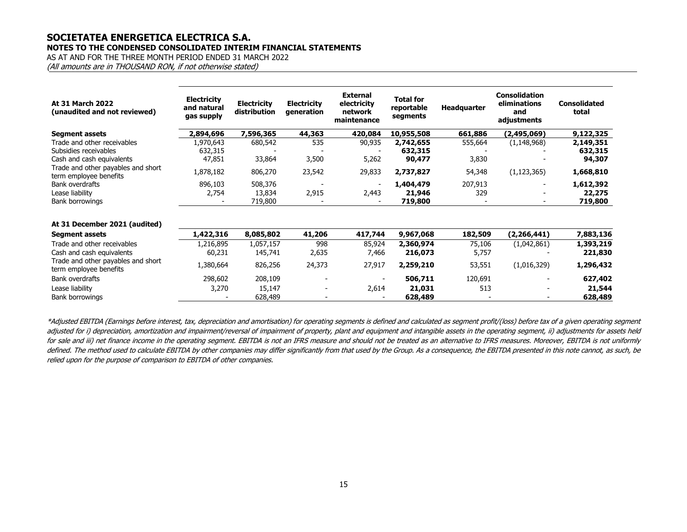### **SOCIETATEA ENERGETICA ELECTRICA S.A. NOTES TO THE CONDENSED CONSOLIDATED INTERIM FINANCIAL STATEMENTS**

AS AT AND FOR THE THREE MONTH PERIOD ENDED 31 MARCH 2022

(All amounts are in THOUSAND RON, if not otherwise stated)

| At 31 March 2022<br>(unaudited and not reviewed)             | <b>Electricity</b><br>and natural<br>gas supply | <b>Electricity</b><br>distribution | <b>Electricity</b><br>generation | <b>External</b><br>electricity<br>network<br>maintenance | <b>Total for</b><br>reportable<br>segments | Headquarter | <b>Consolidation</b><br>eliminations<br>and<br>adjustments | <b>Consolidated</b><br>total |
|--------------------------------------------------------------|-------------------------------------------------|------------------------------------|----------------------------------|----------------------------------------------------------|--------------------------------------------|-------------|------------------------------------------------------------|------------------------------|
| <b>Segment assets</b>                                        | 2,894,696                                       | 7,596,365                          | 44,363                           | 420,084                                                  | 10,955,508                                 | 661,886     | (2,495,069)                                                | 9,122,325                    |
| Trade and other receivables                                  | 1,970,643                                       | 680,542                            | 535                              | 90,935                                                   | 2,742,655                                  | 555,664     | (1, 148, 968)                                              | 2,149,351                    |
| Subsidies receivables                                        | 632,315                                         |                                    |                                  |                                                          | 632,315                                    |             |                                                            | 632,315                      |
| Cash and cash equivalents                                    | 47,851                                          | 33,864                             | 3,500                            | 5,262                                                    | 90,477                                     | 3,830       |                                                            | 94,307                       |
| Trade and other payables and short<br>term employee benefits | 1,878,182                                       | 806,270                            | 23,542                           | 29,833                                                   | 2,737,827                                  | 54,348      | (1, 123, 365)                                              | 1,668,810                    |
| Bank overdrafts                                              | 896,103                                         | 508,376                            |                                  |                                                          | 1,404,479                                  | 207,913     | $\overline{\phantom{a}}$                                   | 1,612,392                    |
| Lease liability                                              | 2,754                                           | 13,834                             | 2,915                            | 2,443                                                    | 21,946                                     | 329         |                                                            | 22,275                       |
| Bank borrowings                                              |                                                 | 719,800                            |                                  |                                                          | 719,800                                    |             |                                                            | 719,800                      |
| At 31 December 2021 (audited)                                |                                                 |                                    |                                  |                                                          |                                            |             |                                                            |                              |
| <b>Segment assets</b>                                        | 1,422,316                                       | 8,085,802                          | 41,206                           | 417,744                                                  | 9,967,068                                  | 182,509     | (2, 266, 441)                                              | 7,883,136                    |
| Trade and other receivables                                  | 1,216,895                                       | 1,057,157                          | 998                              | 85,924                                                   | 2,360,974                                  | 75,106      | (1,042,861)                                                | 1,393,219                    |
| Cash and cash equivalents                                    | 60,231                                          | 145,741                            | 2,635                            | 7,466                                                    | 216,073                                    | 5,757       |                                                            | 221,830                      |
| Trade and other payables and short<br>term employee benefits | 1,380,664                                       | 826,256                            | 24,373                           | 27,917                                                   | 2,259,210                                  | 53,551      | (1,016,329)                                                | 1,296,432                    |
| Bank overdrafts                                              | 298,602                                         | 208,109                            |                                  |                                                          | 506,711                                    | 120,691     |                                                            | 627,402                      |
| Lease liability                                              | 3,270                                           | 15,147                             |                                  | 2,614                                                    | 21,031                                     | 513         |                                                            | 21,544                       |
| Bank borrowings                                              |                                                 | 628,489                            |                                  |                                                          | 628,489                                    |             |                                                            | 628,489                      |

\*Adjusted EBITDA (Earnings before interest, tax, depreciation and amortisation) for operating segments is defined and calculated as segment profit/(loss) before tax of a given operating segment adjusted for i) depreciation, amortization and impairment/reversal of impairment of property, plant and equipment and intangible assets in the operating segment, ii) adjustments for assets held for sale and iii) net finance income in the operating segment. EBITDA is not an IFRS measure and should not be treated as an alternative to IFRS measures. Moreover, EBITDA is not uniformly defined. The method used to calculate EBITDA by other companies may differ significantly from that used by the Group. As a consequence, the EBITDA presented in this note cannot, as such, be relied upon for the purpose of comparison to EBITDA of other companies.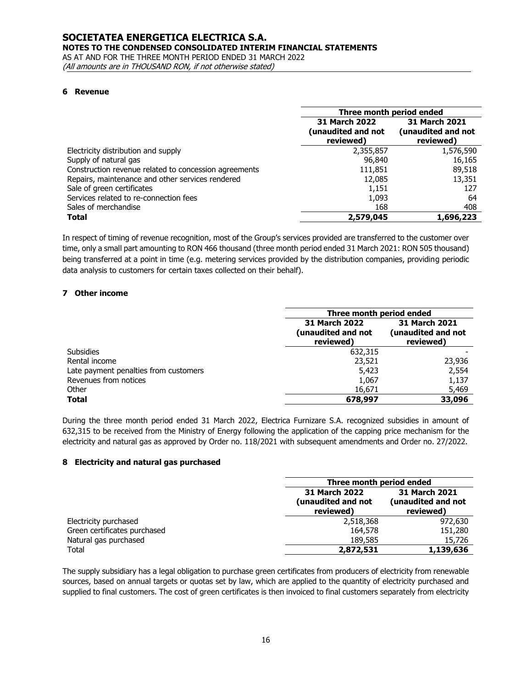#### **SOCIETATEA ENERGETICA ELECTRICA S.A. NOTES TO THE CONDENSED CONSOLIDATED INTERIM FINANCIAL STATEMENTS** AS AT AND FOR THE THREE MONTH PERIOD ENDED 31 MARCH 2022

(All amounts are in THOUSAND RON, if not otherwise stated)

#### **6 Revenue**

|                                                       | Three month period ended                         |                                                         |
|-------------------------------------------------------|--------------------------------------------------|---------------------------------------------------------|
|                                                       | 31 March 2022<br>(unaudited and not<br>reviewed) | <b>31 March 2021</b><br>(unaudited and not<br>reviewed) |
| Electricity distribution and supply                   | 2,355,857                                        | 1,576,590                                               |
| Supply of natural gas                                 | 96,840                                           | 16,165                                                  |
| Construction revenue related to concession agreements | 111,851                                          | 89,518                                                  |
| Repairs, maintenance and other services rendered      | 12,085                                           | 13,351                                                  |
| Sale of green certificates                            | 1,151                                            | 127                                                     |
| Services related to re-connection fees                | 1,093                                            | 64                                                      |
| Sales of merchandise                                  | 168                                              | 408                                                     |
| <b>Total</b>                                          | 2,579,045                                        | 1,696,223                                               |

In respect of timing of revenue recognition, most of the Group's services provided are transferred to the customer over time, only a small part amounting to RON 466 thousand (three month period ended 31 March 2021: RON 505 thousand) being transferred at a point in time (e.g. metering services provided by the distribution companies, providing periodic data analysis to customers for certain taxes collected on their behalf).

#### **7 Other income**

|                                       | Three month period ended                         |                                                         |
|---------------------------------------|--------------------------------------------------|---------------------------------------------------------|
|                                       | 31 March 2022<br>(unaudited and not<br>reviewed) | <b>31 March 2021</b><br>(unaudited and not<br>reviewed) |
| <b>Subsidies</b>                      | 632,315                                          |                                                         |
| Rental income                         | 23,521                                           | 23,936                                                  |
| Late payment penalties from customers | 5,423                                            | 2,554                                                   |
| Revenues from notices                 | 1,067                                            | 1,137                                                   |
| Other                                 | 16,671                                           | 5,469                                                   |
| <b>Total</b>                          | 678,997                                          | 33,096                                                  |

During the three month period ended 31 March 2022, Electrica Furnizare S.A. recognized subsidies in amount of 632,315 to be received from the Ministry of Energy following the application of the capping price mechanism for the electricity and natural gas as approved by Order no. 118/2021 with subsequent amendments and Order no. 27/2022.

#### **8 Electricity and natural gas purchased**

|                              | Three month period ended                         |                                                         |
|------------------------------|--------------------------------------------------|---------------------------------------------------------|
|                              | 31 March 2022<br>(unaudited and not<br>reviewed) | <b>31 March 2021</b><br>(unaudited and not<br>reviewed) |
| Electricity purchased        | 2,518,368                                        | 972,630                                                 |
| Green certificates purchased | 164,578                                          | 151,280                                                 |
| Natural gas purchased        | 189,585                                          | 15,726                                                  |
| Total                        | 2,872,531                                        | 1,139,636                                               |

The supply subsidiary has a legal obligation to purchase green certificates from producers of electricity from renewable sources, based on annual targets or quotas set by law, which are applied to the quantity of electricity purchased and supplied to final customers. The cost of green certificates is then invoiced to final customers separately from electricity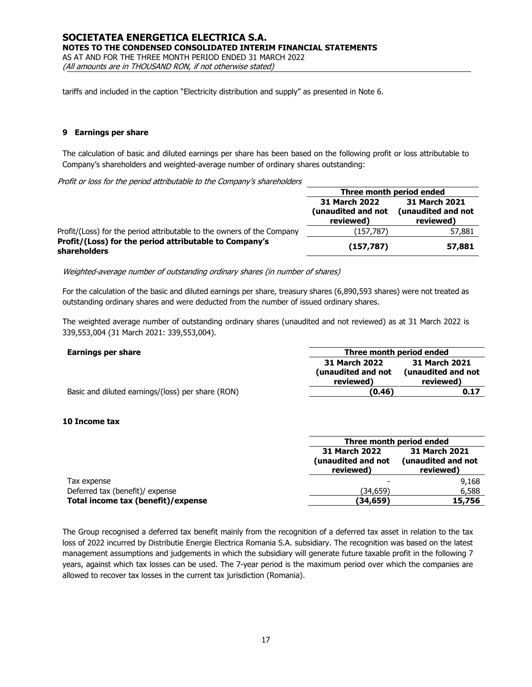tariffs and included in the caption "Electricity distribution and supply" as presented in Note 6.

#### **9 Earnings per share**

The calculation of basic and diluted earnings per share has been based on the following profit or loss attributable to Company's shareholders and weighted-average number of ordinary shares outstanding:

Profit or loss for the period attributable to the Company's shareholders

|                                                                        | Three month period ended                                |                                                  |
|------------------------------------------------------------------------|---------------------------------------------------------|--------------------------------------------------|
|                                                                        | <b>31 March 2022</b><br>(unaudited and not<br>reviewed) | 31 March 2021<br>(unaudited and not<br>reviewed) |
| Profit/(Loss) for the period attributable to the owners of the Company | (157,787)                                               | 57,881                                           |
| Profit/(Loss) for the period attributable to Company's<br>shareholders | (157, 787)                                              | 57,881                                           |

Weighted-average number of outstanding ordinary shares (in number of shares)

For the calculation of the basic and diluted earnings per share, treasury shares (6,890,593 shares) were not treated as outstanding ordinary shares and were deducted from the number of issued ordinary shares.

The weighted average number of outstanding ordinary shares (unaudited and not reviewed) as at 31 March 2022 is 339,553,004 (31 March 2021: 339,553,004).

| Earnings per share                                | Three month period ended                         |                                                  |
|---------------------------------------------------|--------------------------------------------------|--------------------------------------------------|
|                                                   | 31 March 2022<br>(unaudited and not<br>reviewed) | 31 March 2021<br>(unaudited and not<br>reviewed) |
| Basic and diluted earnings/(loss) per share (RON) | (0.46)                                           | 0.17                                             |

#### **10 Income tax**

|                                    | Three month period ended                         |                                                         |
|------------------------------------|--------------------------------------------------|---------------------------------------------------------|
|                                    | 31 March 2022<br>(unaudited and not<br>reviewed) | <b>31 March 2021</b><br>(unaudited and not<br>reviewed) |
| Tax expense                        |                                                  | 9,168                                                   |
| Deferred tax (benefit)/ expense    | (34,659)                                         | 6,588                                                   |
| Total income tax (benefit)/expense | (34,659)                                         | 15,756                                                  |

The Group recognised a deferred tax benefit mainly from the recognition of a deferred tax asset in relation to the tax loss of 2022 incurred by Distributie Energie Electrica Romania S.A. subsidiary. The recognition was based on the latest management assumptions and judgements in which the subsidiary will generate future taxable profit in the following 7 years, against which tax losses can be used. The 7-year period is the maximum period over which the companies are allowed to recover tax losses in the current tax jurisdiction (Romania).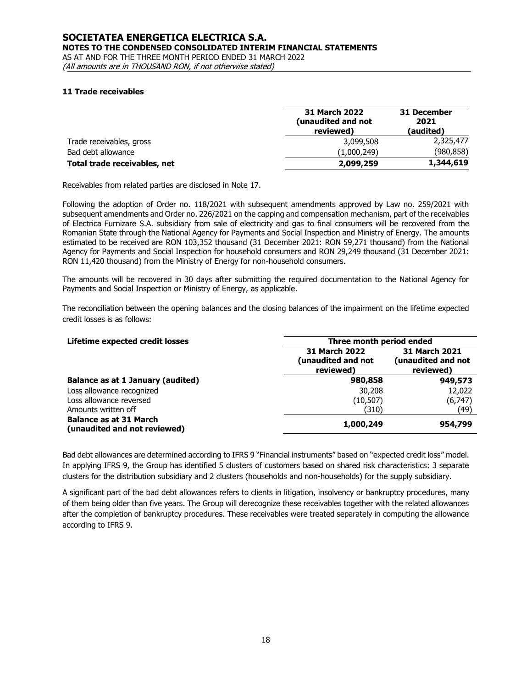(All amounts are in THOUSAND RON, if not otherwise stated)

#### **11 Trade receivables**

|                              | <b>31 March 2022</b><br>(unaudited and not<br>reviewed) | 31 December<br>2021<br>(audited) |
|------------------------------|---------------------------------------------------------|----------------------------------|
| Trade receivables, gross     | 3,099,508                                               | 2,325,477                        |
| Bad debt allowance           | (1,000,249)                                             | (980,858)                        |
| Total trade receivables, net | 2,099,259                                               | 1,344,619                        |

Receivables from related parties are disclosed in Note 17.

Following the adoption of Order no. 118/2021 with subsequent amendments approved by Law no. 259/2021 with subsequent amendments and Order no. 226/2021 on the capping and compensation mechanism, part of the receivables of Electrica Furnizare S.A. subsidiary from sale of electricity and gas to final consumers will be recovered from the Romanian State through the National Agency for Payments and Social Inspection and Ministry of Energy. The amounts estimated to be received are RON 103,352 thousand (31 December 2021: RON 59,271 thousand) from the National Agency for Payments and Social Inspection for household consumers and RON 29,249 thousand (31 December 2021: RON 11,420 thousand) from the Ministry of Energy for non-household consumers.

The amounts will be recovered in 30 days after submitting the required documentation to the National Agency for Payments and Social Inspection or Ministry of Energy, as applicable.

The reconciliation between the opening balances and the closing balances of the impairment on the lifetime expected credit losses is as follows:

| Lifetime expected credit losses                               | Three month period ended                                |                                                         |  |
|---------------------------------------------------------------|---------------------------------------------------------|---------------------------------------------------------|--|
|                                                               | <b>31 March 2022</b><br>(unaudited and not<br>reviewed) | <b>31 March 2021</b><br>(unaudited and not<br>reviewed) |  |
| <b>Balance as at 1 January (audited)</b>                      | 980,858                                                 | 949,573                                                 |  |
| Loss allowance recognized                                     | 30,208                                                  | 12,022                                                  |  |
| Loss allowance reversed                                       | (10, 507)                                               | (6, 747)                                                |  |
| Amounts written off                                           | (310)                                                   | (49)                                                    |  |
| <b>Balance as at 31 March</b><br>(unaudited and not reviewed) | 1,000,249                                               | 954,799                                                 |  |

Bad debt allowances are determined according to IFRS 9 "Financial instruments" based on "expected credit loss" model. In applying IFRS 9, the Group has identified 5 clusters of customers based on shared risk characteristics: 3 separate clusters for the distribution subsidiary and 2 clusters (households and non-households) for the supply subsidiary.

A significant part of the bad debt allowances refers to clients in litigation, insolvency or bankruptcy procedures, many of them being older than five years. The Group will derecognize these receivables together with the related allowances after the completion of bankruptcy procedures. These receivables were treated separately in computing the allowance according to IFRS 9.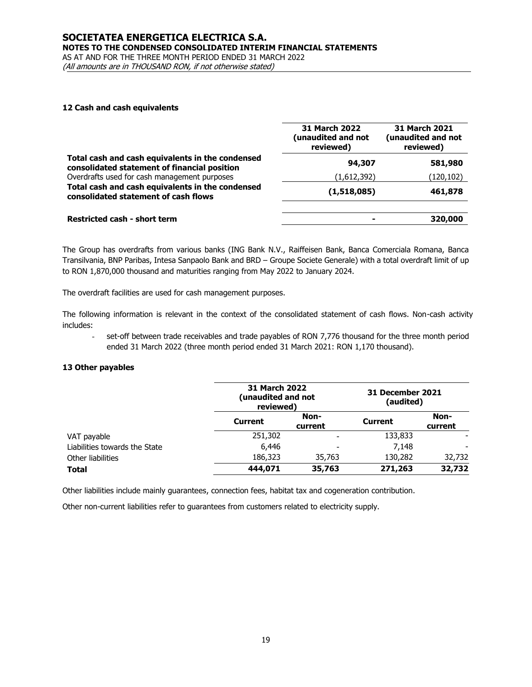# **SOCIETATEA ENERGETICA ELECTRICA S.A. NOTES TO THE CONDENSED CONSOLIDATED INTERIM FINANCIAL STATEMENTS** AS AT AND FOR THE THREE MONTH PERIOD ENDED 31 MARCH 2022

(All amounts are in THOUSAND RON, if not otherwise stated)

#### **12 Cash and cash equivalents**

|                                                                                                  | <b>31 March 2022</b><br>(unaudited and not<br>reviewed) | 31 March 2021<br>(unaudited and not<br>reviewed) |
|--------------------------------------------------------------------------------------------------|---------------------------------------------------------|--------------------------------------------------|
| Total cash and cash equivalents in the condensed<br>consolidated statement of financial position | 94,307                                                  | 581,980                                          |
| Overdrafts used for cash management purposes                                                     | (1,612,392)                                             | (120,102)                                        |
| Total cash and cash equivalents in the condensed<br>consolidated statement of cash flows         | (1,518,085)                                             | 461,878                                          |
| <b>Restricted cash - short term</b>                                                              |                                                         | 320,000                                          |

The Group has overdrafts from various banks (ING Bank N.V., Raiffeisen Bank, Banca Comerciala Romana, Banca Transilvania, BNP Paribas, Intesa Sanpaolo Bank and BRD – Groupe Societe Generale) with a total overdraft limit of up to RON 1,870,000 thousand and maturities ranging from May 2022 to January 2024.

The overdraft facilities are used for cash management purposes.

The following information is relevant in the context of the consolidated statement of cash flows. Non-cash activity includes:

set-off between trade receivables and trade payables of RON 7,776 thousand for the three month period ended 31 March 2022 (three month period ended 31 March 2021: RON 1,170 thousand).

### **13 Other payables**

|                               | <b>31 March 2022</b><br>(unaudited and not<br>reviewed) |                 | 31 December 2021<br>(audited) |                 |
|-------------------------------|---------------------------------------------------------|-----------------|-------------------------------|-----------------|
|                               | <b>Current</b>                                          | Non-<br>current | <b>Current</b>                | Non-<br>current |
| VAT payable                   | 251,302                                                 |                 | 133,833                       |                 |
| Liabilities towards the State | 6,446                                                   | ٠               | 7.148                         |                 |
| Other liabilities             | 186,323                                                 | 35,763          | 130,282                       | 32,732          |
| <b>Total</b>                  | 444,071                                                 | 35,763          | 271,263                       | 32,732          |

Other liabilities include mainly guarantees, connection fees, habitat tax and cogeneration contribution.

Other non-current liabilities refer to guarantees from customers related to electricity supply.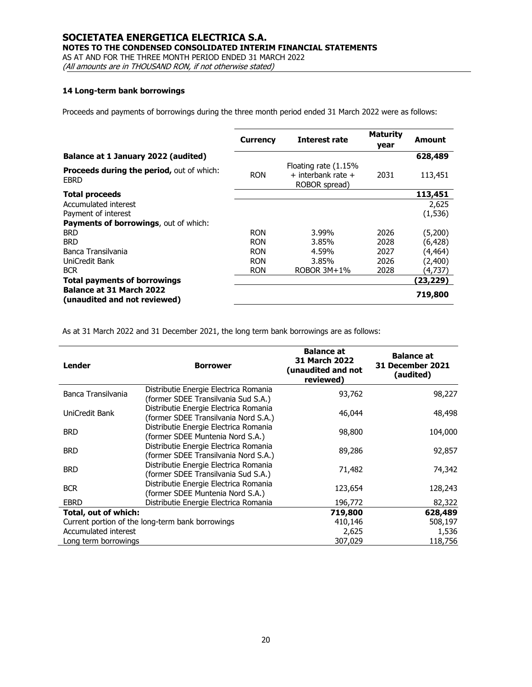#### **SOCIETATEA ENERGETICA ELECTRICA S.A. NOTES TO THE CONDENSED CONSOLIDATED INTERIM FINANCIAL STATEMENTS**

AS AT AND FOR THE THREE MONTH PERIOD ENDED 31 MARCH 2022

(All amounts are in THOUSAND RON, if not otherwise stated)

# **14 Long-term bank borrowings**

Proceeds and payments of borrowings during the three month period ended 31 March 2022 were as follows:

|                                                                 | <b>Currency</b> | Interest rate                                               | <b>Maturity</b><br>year | Amount   |
|-----------------------------------------------------------------|-----------------|-------------------------------------------------------------|-------------------------|----------|
| Balance at 1 January 2022 (audited)                             |                 |                                                             |                         | 628,489  |
| <b>Proceeds during the period, out of which:</b><br>EBRD        | <b>RON</b>      | Floating rate (1.15%<br>+ interbank rate +<br>ROBOR spread) | 2031                    | 113,451  |
| <b>Total proceeds</b>                                           |                 |                                                             |                         | 113,451  |
| Accumulated interest                                            |                 |                                                             |                         | 2,625    |
| Payment of interest                                             |                 |                                                             |                         | (1, 536) |
| Payments of borrowings, out of which:                           |                 |                                                             |                         |          |
| <b>BRD</b>                                                      | <b>RON</b>      | 3.99%                                                       | 2026                    | (5,200)  |
| <b>BRD</b>                                                      | <b>RON</b>      | 3.85%                                                       | 2028                    | (6, 428) |
| Banca Transilvania                                              | <b>RON</b>      | 4.59%                                                       | 2027                    | (4, 464) |
| UniCredit Bank                                                  | <b>RON</b>      | 3.85%                                                       | 2026                    | (2,400)  |
| <b>BCR</b>                                                      | <b>RON</b>      | ROBOR $3M+1%$                                               | 2028                    | (4,737)  |
| <b>Total payments of borrowings</b>                             |                 |                                                             |                         | (23,229) |
| <b>Balance at 31 March 2022</b><br>(unaudited and not reviewed) |                 |                                                             |                         | 719,800  |

As at 31 March 2022 and 31 December 2021, the long term bank borrowings are as follows:

| Lender               | <b>Borrower</b>                                                               | <b>Balance at</b><br><b>31 March 2022</b><br>(unaudited and not<br>reviewed) | <b>Balance at</b><br><b>31 December 2021</b><br>(audited) |
|----------------------|-------------------------------------------------------------------------------|------------------------------------------------------------------------------|-----------------------------------------------------------|
| Banca Transilvania   | Distributie Energie Electrica Romania<br>(former SDEE Transilvania Sud S.A.)  | 93,762                                                                       | 98,227                                                    |
| UniCredit Bank       | Distributie Energie Electrica Romania<br>(former SDEE Transilvania Nord S.A.) | 46,044                                                                       | 48,498                                                    |
| <b>BRD</b>           | Distributie Energie Electrica Romania<br>(former SDEE Muntenia Nord S.A.)     | 98,800                                                                       | 104,000                                                   |
| <b>BRD</b>           | Distributie Energie Electrica Romania<br>(former SDEE Transilvania Nord S.A.) | 89,286                                                                       | 92,857                                                    |
| <b>BRD</b>           | Distributie Energie Electrica Romania<br>(former SDEE Transilvania Sud S.A.)  | 71,482                                                                       | 74,342                                                    |
| <b>BCR</b>           | Distributie Energie Electrica Romania<br>(former SDEE Muntenia Nord S.A.)     | 123,654                                                                      | 128,243                                                   |
| <b>EBRD</b>          | Distributie Energie Electrica Romania                                         | 196,772                                                                      | 82,322                                                    |
| Total, out of which: |                                                                               | 719,800                                                                      | 628,489                                                   |
|                      | Current portion of the long-term bank borrowings                              | 410,146                                                                      | 508,197                                                   |
| Accumulated interest |                                                                               | 2,625                                                                        | 1,536                                                     |
| Long term borrowings |                                                                               | 307,029                                                                      | 118,756                                                   |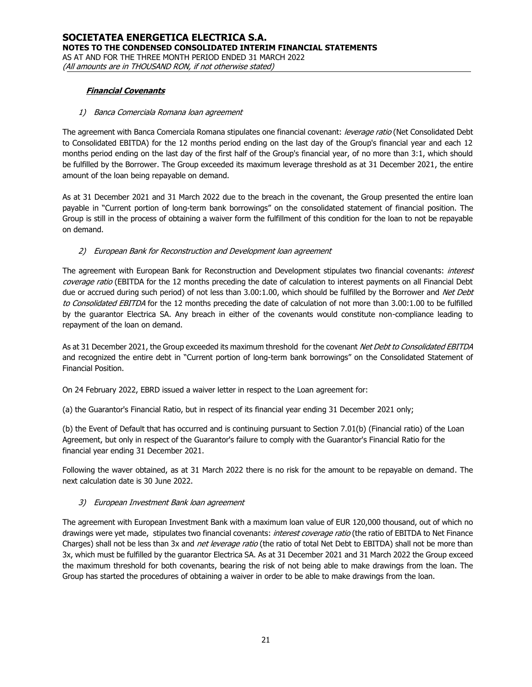### **Financial Covenants**

### 1) Banca Comerciala Romana loan agreement

The agreement with Banca Comerciala Romana stipulates one financial covenant: leverage ratio (Net Consolidated Debt to Consolidated EBITDA) for the 12 months period ending on the last day of the Group's financial year and each 12 months period ending on the last day of the first half of the Group's financial year, of no more than 3:1, which should be fulfilled by the Borrower. The Group exceeded its maximum leverage threshold as at 31 December 2021, the entire amount of the loan being repayable on demand.

As at 31 December 2021 and 31 March 2022 due to the breach in the covenant, the Group presented the entire loan payable in "Current portion of long-term bank borrowings" on the consolidated statement of financial position. The Group is still in the process of obtaining a waiver form the fulfillment of this condition for the loan to not be repayable on demand.

### 2) European Bank for Reconstruction and Development loan agreement

The agreement with European Bank for Reconstruction and Development stipulates two financial covenants: interest coverage ratio (EBITDA for the 12 months preceding the date of calculation to interest payments on all Financial Debt due or accrued during such period) of not less than 3.00:1.00, which should be fulfilled by the Borrower and Net Debt to Consolidated EBITDA for the 12 months preceding the date of calculation of not more than 3.00:1.00 to be fulfilled by the guarantor Electrica SA. Any breach in either of the covenants would constitute non-compliance leading to repayment of the loan on demand.

As at 31 December 2021, the Group exceeded its maximum threshold for the covenant Net Debt to Consolidated EBITDA and recognized the entire debt in "Current portion of long-term bank borrowings" on the Consolidated Statement of Financial Position.

On 24 February 2022, EBRD issued a waiver letter in respect to the Loan agreement for:

(a) the Guarantor's Financial Ratio, but in respect of its financial year ending 31 December 2021 only;

(b) the Event of Default that has occurred and is continuing pursuant to Section 7.01(b) (Financial ratio) of the Loan Agreement, but only in respect of the Guarantor's failure to comply with the Guarantor's Financial Ratio for the financial year ending 31 December 2021.

Following the waver obtained, as at 31 March 2022 there is no risk for the amount to be repayable on demand. The next calculation date is 30 June 2022.

### 3) European Investment Bank loan agreement

The agreement with European Investment Bank with a maximum loan value of EUR 120,000 thousand, out of which no drawings were yet made, stipulates two financial covenants: *interest coverage ratio* (the ratio of EBITDA to Net Finance Charges) shall not be less than 3x and *net leverage ratio* (the ratio of total Net Debt to EBITDA) shall not be more than 3x, which must be fulfilled by the guarantor Electrica SA. As at 31 December 2021 and 31 March 2022 the Group exceed the maximum threshold for both covenants, bearing the risk of not being able to make drawings from the loan. The Group has started the procedures of obtaining a waiver in order to be able to make drawings from the loan.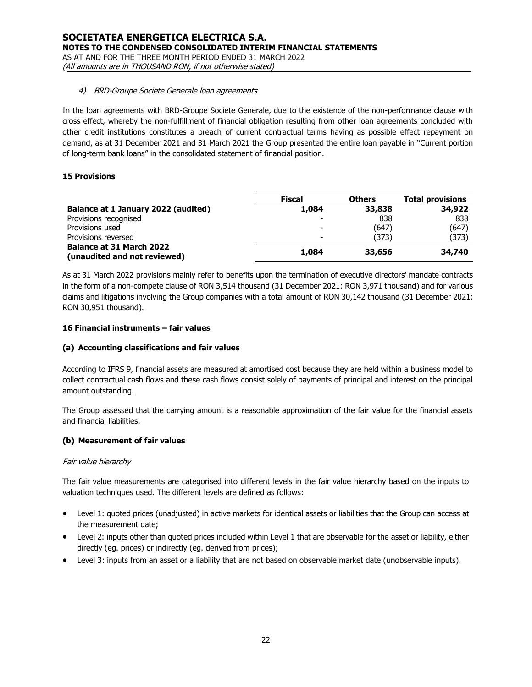### 4) BRD-Groupe Societe Generale loan agreements

In the loan agreements with BRD-Groupe Societe Generale, due to the existence of the non-performance clause with cross effect, whereby the non-fulfillment of financial obligation resulting from other loan agreements concluded with other credit institutions constitutes a breach of current contractual terms having as possible effect repayment on demand, as at 31 December 2021 and 31 March 2021 the Group presented the entire loan payable in "Current portion of long-term bank loans" in the consolidated statement of financial position.

### **15 Provisions**

|                                     | <b>Fiscal</b> | <b>Others</b> | <b>Total provisions</b> |
|-------------------------------------|---------------|---------------|-------------------------|
| Balance at 1 January 2022 (audited) | 1,084         | 33,838        | 34,922                  |
| Provisions recognised               |               | 838           | 838                     |
| Provisions used                     | -             | (647)         | (647)                   |
| Provisions reversed                 | -             | (373)         | (373)                   |
| <b>Balance at 31 March 2022</b>     | 1,084         | 33,656        | 34,740                  |
| (unaudited and not reviewed)        |               |               |                         |

As at 31 March 2022 provisions mainly refer to benefits upon the termination of executive directors' mandate contracts in the form of a non-compete clause of RON 3,514 thousand (31 December 2021: RON 3,971 thousand) and for various claims and litigations involving the Group companies with a total amount of RON 30,142 thousand (31 December 2021: RON 30,951 thousand).

### **16 Financial instruments – fair values**

### **(a) Accounting classifications and fair values**

According to IFRS 9, financial assets are measured at amortised cost because they are held within a business model to collect contractual cash flows and these cash flows consist solely of payments of principal and interest on the principal amount outstanding.

The Group assessed that the carrying amount is a reasonable approximation of the fair value for the financial assets and financial liabilities.

### **(b) Measurement of fair values**

#### Fair value hierarchy

The fair value measurements are categorised into different levels in the fair value hierarchy based on the inputs to valuation techniques used. The different levels are defined as follows:

- Level 1: quoted prices (unadjusted) in active markets for identical assets or liabilities that the Group can access at the measurement date;
- Level 2: inputs other than quoted prices included within Level 1 that are observable for the asset or liability, either directly (eg. prices) or indirectly (eg. derived from prices);
- Level 3: inputs from an asset or a liability that are not based on observable market date (unobservable inputs).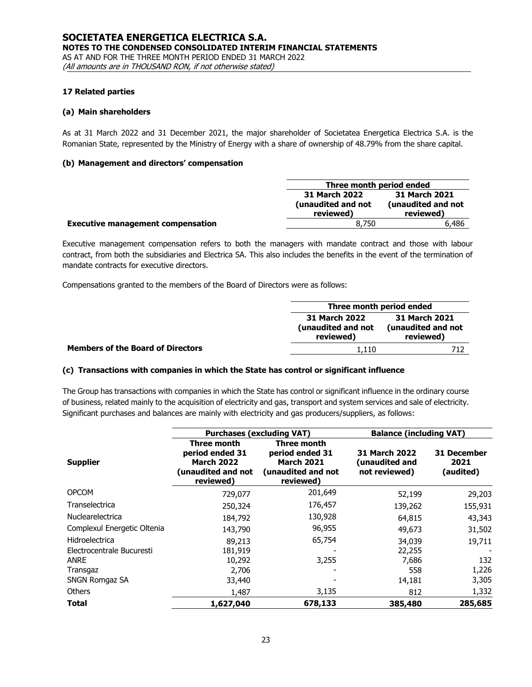#### **17 Related parties**

#### **(a) Main shareholders**

As at 31 March 2022 and 31 December 2021, the major shareholder of Societatea Energetica Electrica S.A. is the Romanian State, represented by the Ministry of Energy with a share of ownership of 48.79% from the share capital.

#### **(b) Management and directors' compensation**

|                                          | Three month period ended                                                                             |       |  |
|------------------------------------------|------------------------------------------------------------------------------------------------------|-------|--|
|                                          | 31 March 2021<br>31 March 2022<br>(unaudited and not<br>(unaudited and not<br>reviewed)<br>reviewed) |       |  |
| <b>Executive management compensation</b> | 8.750                                                                                                | 6.486 |  |

Executive management compensation refers to both the managers with mandate contract and those with labour contract, from both the subsidiaries and Electrica SA. This also includes the benefits in the event of the termination of mandate contracts for executive directors.

Compensations granted to the members of the Board of Directors were as follows:

|                                          | Three month period ended                                                                             |  |  |
|------------------------------------------|------------------------------------------------------------------------------------------------------|--|--|
|                                          | 31 March 2021<br>31 March 2022<br>(unaudited and not<br>(unaudited and not<br>reviewed)<br>reviewed) |  |  |
| <b>Members of the Board of Directors</b> | 1.110                                                                                                |  |  |

### **(c) Transactions with companies in which the State has control or significant influence**

The Group has transactions with companies in which the State has control or significant influence in the ordinary course of business, related mainly to the acquisition of electricity and gas, transport and system services and sale of electricity. Significant purchases and balances are mainly with electricity and gas producers/suppliers, as follows:

|                                             | <b>Purchases (excluding VAT)</b>                                                              |                                                                                        | <b>Balance (including VAT)</b>                          |                                  |
|---------------------------------------------|-----------------------------------------------------------------------------------------------|----------------------------------------------------------------------------------------|---------------------------------------------------------|----------------------------------|
| <b>Supplier</b>                             | <b>Three month</b><br>period ended 31<br><b>March 2022</b><br>(unaudited and not<br>reviewed) | Three month<br>period ended 31<br><b>March 2021</b><br>(unaudited and not<br>reviewed) | <b>31 March 2022</b><br>(unaudited and<br>not reviewed) | 31 December<br>2021<br>(audited) |
| <b>OPCOM</b>                                | 729,077                                                                                       | 201,649                                                                                | 52,199                                                  | 29,203                           |
| Transelectrica                              | 250,324                                                                                       | 176,457                                                                                | 139,262                                                 | 155,931                          |
| Nuclearelectrica                            | 184,792                                                                                       | 130,928                                                                                | 64,815                                                  | 43,343                           |
| Complexul Energetic Oltenia                 | 143,790                                                                                       | 96,955                                                                                 | 49,673                                                  | 31,502                           |
| Hidroelectrica<br>Electrocentrale Bucuresti | 89,213<br>181,919                                                                             | 65,754                                                                                 | 34,039<br>22,255                                        | 19,711                           |
| ANRE                                        | 10,292                                                                                        | 3,255                                                                                  | 7,686                                                   | 132                              |
| Transgaz                                    | 2,706                                                                                         |                                                                                        | 558                                                     | 1,226                            |
| <b>SNGN Romgaz SA</b>                       | 33,440                                                                                        |                                                                                        | 14,181                                                  | 3,305                            |
| Others                                      | 1,487                                                                                         | 3,135                                                                                  | 812                                                     | 1,332                            |
| Total                                       | 1,627,040                                                                                     | 678,133                                                                                | 385,480                                                 | 285,685                          |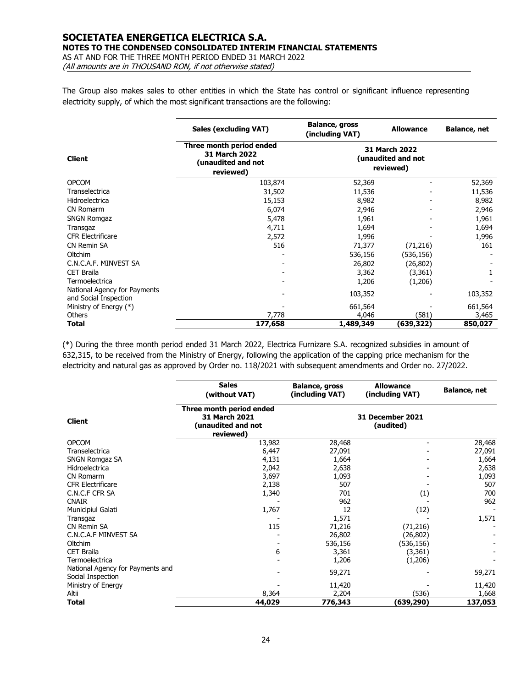#### **SOCIETATEA ENERGETICA ELECTRICA S.A. NOTES TO THE CONDENSED CONSOLIDATED INTERIM FINANCIAL STATEMENTS** AS AT AND FOR THE THREE MONTH PERIOD ENDED 31 MARCH 2022

(All amounts are in THOUSAND RON, if not otherwise stated)

The Group also makes sales to other entities in which the State has control or significant influence representing electricity supply, of which the most significant transactions are the following:

|                                                       | <b>Sales (excluding VAT)</b>                                                        | <b>Balance, gross</b><br>(including VAT)                | <b>Allowance</b> | <b>Balance, net</b> |
|-------------------------------------------------------|-------------------------------------------------------------------------------------|---------------------------------------------------------|------------------|---------------------|
| <b>Client</b>                                         | Three month period ended<br><b>31 March 2022</b><br>(unaudited and not<br>reviewed) | <b>31 March 2022</b><br>(unaudited and not<br>reviewed) |                  |                     |
| <b>OPCOM</b>                                          | 103,874                                                                             | 52,369                                                  |                  | 52,369              |
| Transelectrica                                        | 31,502                                                                              | 11,536                                                  |                  | 11,536              |
| Hidroelectrica                                        | 15,153                                                                              | 8,982                                                   |                  | 8,982               |
| CN Romarm                                             | 6,074                                                                               | 2,946                                                   |                  | 2,946               |
| <b>SNGN Romgaz</b>                                    | 5,478                                                                               | 1,961                                                   |                  | 1,961               |
| Transgaz                                              | 4,711                                                                               | 1,694                                                   |                  | 1,694               |
| <b>CFR Electrificare</b>                              | 2,572                                                                               | 1,996                                                   |                  | 1,996               |
| CN Remin SA                                           | 516                                                                                 | 71,377                                                  | (71, 216)        | 161                 |
| Oltchim                                               |                                                                                     | 536,156                                                 | (536,156)        |                     |
| C.N.C.A.F. MINVEST SA                                 |                                                                                     | 26,802                                                  | (26, 802)        |                     |
| <b>CET Braila</b>                                     |                                                                                     | 3,362                                                   | (3,361)          |                     |
| Termoelectrica                                        |                                                                                     | 1,206                                                   | (1,206)          |                     |
| National Agency for Payments<br>and Social Inspection |                                                                                     | 103,352                                                 |                  | 103,352             |
| Ministry of Energy (*)                                |                                                                                     | 661,564                                                 |                  | 661,564             |
| <b>Others</b>                                         | 7,778                                                                               | 4,046                                                   | (581)            | 3,465               |
| Total                                                 | 177,658                                                                             | 1,489,349                                               | (639,322)        | 850,027             |

(\*) During the three month period ended 31 March 2022, Electrica Furnizare S.A. recognized subsidies in amount of 632,315, to be received from the Ministry of Energy, following the application of the capping price mechanism for the electricity and natural gas as approved by Order no. 118/2021 with subsequent amendments and Order no. 27/2022.

|                                                       | <b>Sales</b><br>(without VAT)                                                | <b>Balance, gross</b><br>(including VAT) | <b>Allowance</b><br>(including VAT) | <b>Balance, net</b> |
|-------------------------------------------------------|------------------------------------------------------------------------------|------------------------------------------|-------------------------------------|---------------------|
| <b>Client</b>                                         | Three month period ended<br>31 March 2021<br>(unaudited and not<br>reviewed) | 31 December 2021<br>(audited)            |                                     |                     |
| <b>OPCOM</b>                                          | 13,982                                                                       | 28,468                                   |                                     | 28,468              |
| Transelectrica                                        | 6,447                                                                        | 27,091                                   |                                     | 27,091              |
| <b>SNGN Romgaz SA</b>                                 | 4,131                                                                        | 1,664                                    |                                     | 1,664               |
| Hidroelectrica                                        | 2,042                                                                        | 2,638                                    |                                     | 2,638               |
| CN Romarm                                             | 3,697                                                                        | 1,093                                    |                                     | 1,093               |
| <b>CFR Electrificare</b>                              | 2,138                                                                        | 507                                      |                                     | 507                 |
| C.N.C.F CFR SA                                        | 1,340                                                                        | 701                                      | (1)                                 | 700                 |
| <b>CNAIR</b>                                          |                                                                              | 962                                      |                                     | 962                 |
| Municipiul Galati                                     | 1,767                                                                        | 12                                       | (12)                                |                     |
| Transgaz                                              |                                                                              | 1,571                                    |                                     | 1,571               |
| <b>CN Remin SA</b>                                    | 115                                                                          | 71,216                                   | (71, 216)                           |                     |
| C.N.C.A.F MINVEST SA                                  |                                                                              | 26,802                                   | (26,802)                            |                     |
| Oltchim                                               |                                                                              | 536,156                                  | (536, 156)                          |                     |
| <b>CET Braila</b>                                     | 6                                                                            | 3,361                                    | (3, 361)                            |                     |
| Termoelectrica                                        |                                                                              | 1,206                                    | (1,206)                             |                     |
| National Agency for Payments and<br>Social Inspection |                                                                              | 59,271                                   |                                     | 59,271              |
| Ministry of Energy                                    |                                                                              | 11,420                                   |                                     | 11,420              |
| Altii                                                 | 8,364                                                                        | 2,204                                    | (536)                               | 1,668               |
| <b>Total</b>                                          | 44,029                                                                       | 776,343                                  | (639,290)                           | 137,053             |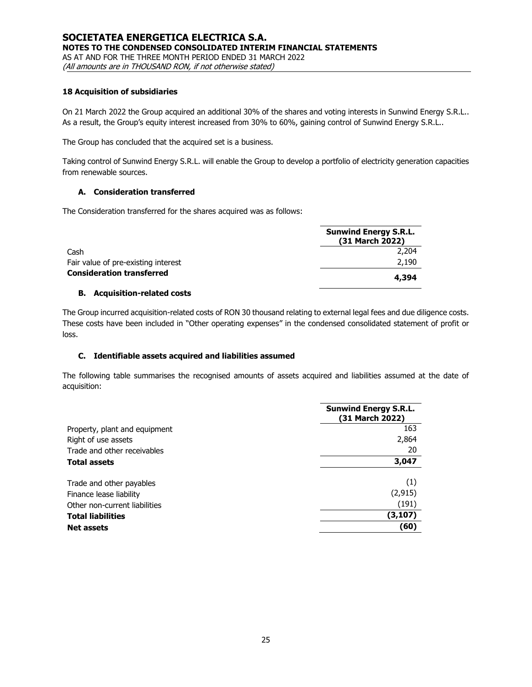#### **18 Acquisition of subsidiaries**

On 21 March 2022 the Group acquired an additional 30% of the shares and voting interests in Sunwind Energy S.R.L.. As a result, the Group's equity interest increased from 30% to 60%, gaining control of Sunwind Energy S.R.L..

The Group has concluded that the acquired set is a business.

Taking control of Sunwind Energy S.R.L. will enable the Group to develop a portfolio of electricity generation capacities from renewable sources.

# **A. Consideration transferred**

The Consideration transferred for the shares acquired was as follows:

|                                     | <b>Sunwind Energy S.R.L.</b><br>(31 March 2022) |  |  |
|-------------------------------------|-------------------------------------------------|--|--|
| Cash                                | 2,204                                           |  |  |
| Fair value of pre-existing interest | 2,190                                           |  |  |
| <b>Consideration transferred</b>    | 4,394                                           |  |  |

#### **B. Acquisition-related costs**

The Group incurred acquisition-related costs of RON 30 thousand relating to external legal fees and due diligence costs. These costs have been included in "Other operating expenses" in the condensed consolidated statement of profit or loss.

### **C. Identifiable assets acquired and liabilities assumed**

The following table summarises the recognised amounts of assets acquired and liabilities assumed at the date of acquisition:

|                               | <b>Sunwind Energy S.R.L.</b><br>(31 March 2022) |  |  |  |
|-------------------------------|-------------------------------------------------|--|--|--|
| Property, plant and equipment | 163                                             |  |  |  |
| Right of use assets           | 2,864                                           |  |  |  |
| Trade and other receivables   | 20                                              |  |  |  |
| <b>Total assets</b>           | 3,047                                           |  |  |  |
| Trade and other payables      | (1)                                             |  |  |  |
| Finance lease liability       | (2, 915)                                        |  |  |  |
| Other non-current liabilities | (191)                                           |  |  |  |
| <b>Total liabilities</b>      | (3, 107)                                        |  |  |  |
| <b>Net assets</b>             | (60)                                            |  |  |  |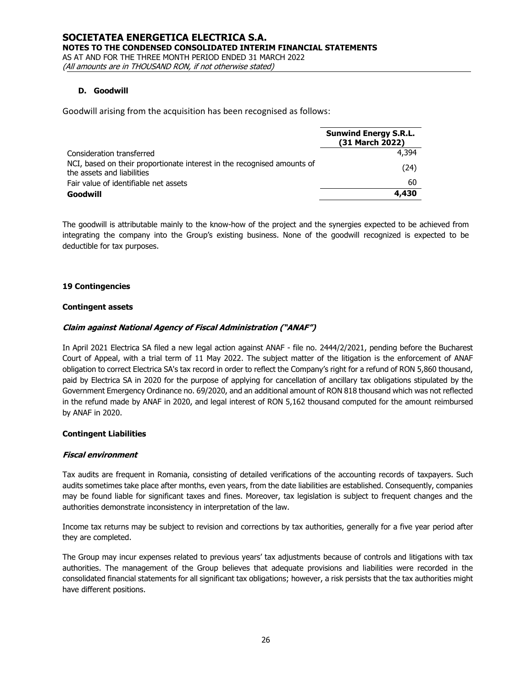### **D. Goodwill**

Goodwill arising from the acquisition has been recognised as follows:

|                                                                                                       | <b>Sunwind Energy S.R.L.</b><br>(31 March 2022) |
|-------------------------------------------------------------------------------------------------------|-------------------------------------------------|
| Consideration transferred                                                                             | 4.394                                           |
| NCI, based on their proportionate interest in the recognised amounts of<br>the assets and liabilities | (24)                                            |
| Fair value of identifiable net assets                                                                 | 60                                              |
| Goodwill                                                                                              | 4,430                                           |

The goodwill is attributable mainly to the know-how of the project and the synergies expected to be achieved from integrating the company into the Group's existing business. None of the goodwill recognized is expected to be deductible for tax purposes.

### **19 Contingencies**

### **Contingent assets**

# **Claim against National Agency of Fiscal Administration ("ANAF")**

In April 2021 Electrica SA filed a new legal action against ANAF - file no. 2444/2/2021, pending before the Bucharest Court of Appeal, with a trial term of 11 May 2022. The subject matter of the litigation is the enforcement of ANAF obligation to correct Electrica SA's tax record in order to reflect the Company's right for a refund of RON 5,860 thousand, paid by Electrica SA in 2020 for the purpose of applying for cancellation of ancillary tax obligations stipulated by the Government Emergency Ordinance no. 69/2020, and an additional amount of RON 818 thousand which was not reflected in the refund made by ANAF in 2020, and legal interest of RON 5,162 thousand computed for the amount reimbursed by ANAF in 2020.

### **Contingent Liabilities**

### **Fiscal environment**

Tax audits are frequent in Romania, consisting of detailed verifications of the accounting records of taxpayers. Such audits sometimes take place after months, even years, from the date liabilities are established. Consequently, companies may be found liable for significant taxes and fines. Moreover, tax legislation is subject to frequent changes and the authorities demonstrate inconsistency in interpretation of the law.

Income tax returns may be subject to revision and corrections by tax authorities, generally for a five year period after they are completed.

The Group may incur expenses related to previous years' tax adjustments because of controls and litigations with tax authorities. The management of the Group believes that adequate provisions and liabilities were recorded in the consolidated financial statements for all significant tax obligations; however, a risk persists that the tax authorities might have different positions.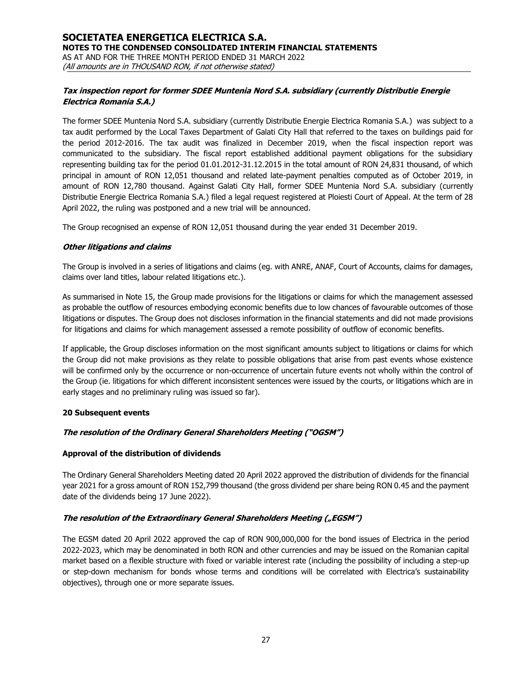# **Tax inspection report for former SDEE Muntenia Nord S.A. subsidiary (currently Distributie Energie Electrica Romania S.A.)**

The former SDEE Muntenia Nord S.A. subsidiary (currently Distributie Energie Electrica Romania S.A.) was subject to a tax audit performed by the Local Taxes Department of Galati City Hall that referred to the taxes on buildings paid for the period 2012-2016. The tax audit was finalized in December 2019, when the fiscal inspection report was communicated to the subsidiary. The fiscal report established additional payment obligations for the subsidiary representing building tax for the period 01.01.2012-31.12.2015 in the total amount of RON 24,831 thousand, of which principal in amount of RON 12,051 thousand and related late-payment penalties computed as of October 2019, in amount of RON 12,780 thousand. Against Galati City Hall, former SDEE Muntenia Nord S.A. subsidiary (currently Distributie Energie Electrica Romania S.A.) filed a legal request registered at Ploiesti Court of Appeal. At the term of 28 April 2022, the ruling was postponed and a new trial will be announced.

The Group recognised an expense of RON 12,051 thousand during the year ended 31 December 2019.

#### **Other litigations and claims**

The Group is involved in a series of litigations and claims (eg. with ANRE, ANAF, Court of Accounts, claims for damages, claims over land titles, labour related litigations etc.).

As summarised in Note 15, the Group made provisions for the litigations or claims for which the management assessed as probable the outflow of resources embodying economic benefits due to low chances of favourable outcomes of those litigations or disputes. The Group does not discloses information in the financial statements and did not made provisions for litigations and claims for which management assessed a remote possibility of outflow of economic benefits.

If applicable, the Group discloses information on the most significant amounts subject to litigations or claims for which the Group did not make provisions as they relate to possible obligations that arise from past events whose existence will be confirmed only by the occurrence or non-occurrence of uncertain future events not wholly within the control of the Group (ie. litigations for which different inconsistent sentences were issued by the courts, or litigations which are in early stages and no preliminary ruling was issued so far).

### **20 Subsequent events**

### **The resolution of the Ordinary General Shareholders Meeting ("OGSM")**

### **Approval of the distribution of dividends**

The Ordinary General Shareholders Meeting dated 20 April 2022 approved the distribution of dividends for the financial year 2021 for a gross amount of RON 152,799 thousand (the gross dividend per share being RON 0.45 and the payment date of the dividends being 17 June 2022).

### **The resolution of the Extraordinary General Shareholders Meeting ("EGSM")**

The EGSM dated 20 April 2022 approved the cap of RON 900,000,000 for the bond issues of Electrica in the period 2022-2023, which may be denominated in both RON and other currencies and may be issued on the Romanian capital market based on a flexible structure with fixed or variable interest rate (including the possibility of including a step-up or step-down mechanism for bonds whose terms and conditions will be correlated with Electrica's sustainability objectives), through one or more separate issues.